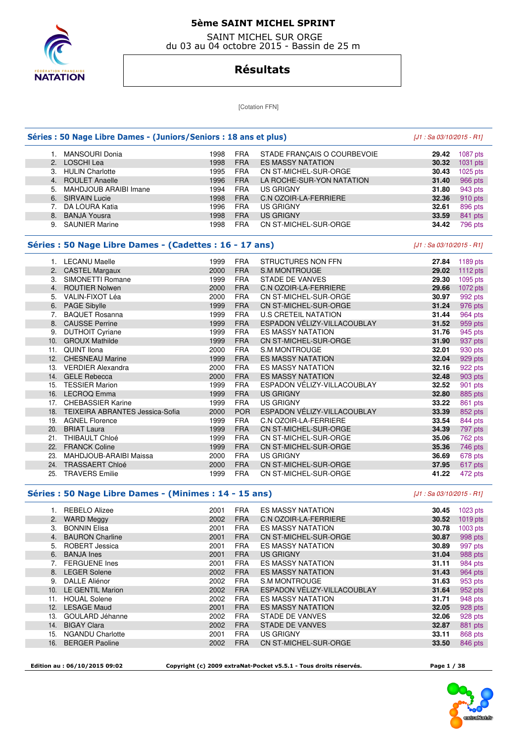

 SAINT MICHEL SUR ORGE du 03 au 04 octobre 2015 - Bassin de 25 m

### **Résultats**

[Cotation FFN]

|     | Séries : 50 Nage Libre Dames - (Juniors/Seniors : 18 ans et plus) |      | [J1 : Sa 03/10/2015 - R1] |                              |                           |            |
|-----|-------------------------------------------------------------------|------|---------------------------|------------------------------|---------------------------|------------|
| 1.  | <b>MANSOURI Donia</b>                                             | 1998 | <b>FRA</b>                | STADE FRANÇAIS O COURBEVOIE  | 29.42                     | 1087 pts   |
| 2.  | <b>LOSCHI Lea</b>                                                 | 1998 | <b>FRA</b>                | <b>ES MASSY NATATION</b>     | 30.32                     | 1031 pts   |
| 3.  | <b>HULIN Charlotte</b>                                            | 1995 | <b>FRA</b>                | CN ST-MICHEL-SUR-ORGE        | 30.43                     | 1025 pts   |
| 4.  | <b>ROULET Anaelle</b>                                             | 1996 | <b>FRA</b>                | LA ROCHE-SUR-YON NATATION    | 31.40                     | 966 pts    |
| 5.  | MAHDJOUB ARAIBI Imane                                             | 1994 | <b>FRA</b>                | <b>US GRIGNY</b>             | 31.80                     | 943 pts    |
| 6.  | <b>SIRVAIN Lucie</b>                                              | 1998 | <b>FRA</b>                | <b>C.N OZOIR-LA-FERRIERE</b> | 32.36                     | 910 pts    |
| 7.  | DA LOURA Katia                                                    | 1996 | <b>FRA</b>                | <b>US GRIGNY</b>             | 32.61                     | 896 pts    |
| 8.  | <b>BANJA Yousra</b>                                               | 1998 | <b>FRA</b>                | <b>US GRIGNY</b>             | 33.59                     | 841 pts    |
|     | 9. SAUNIER Marine                                                 | 1998 | <b>FRA</b>                | CN ST-MICHEL-SUR-ORGE        | 34.42                     | 796 pts    |
|     | Séries : 50 Nage Libre Dames - (Cadettes : 16 - 17 ans)           |      |                           |                              | [J1 : Sa 03/10/2015 - R1] |            |
|     | 1. LECANU Maelle                                                  | 1999 | <b>FRA</b>                | <b>STRUCTURES NON FFN</b>    | 27.84                     | 1189 pts   |
|     | 2. CASTEL Margaux                                                 | 2000 | <b>FRA</b>                | <b>S.M MONTROUGE</b>         | 29.02                     | 1112 pts   |
| 3.  | SIMONETTI Romane                                                  | 1999 | <b>FRA</b>                | <b>STADE DE VANVES</b>       | 29.30                     | 1095 pts   |
| 4.  | <b>ROUTIER Nolwen</b>                                             | 2000 | <b>FRA</b>                | C.N OZOIR-LA-FERRIERE        | 29.66                     | $1072$ pts |
| 5.  | VALIN-FIXOT Léa                                                   | 2000 | <b>FRA</b>                | CN ST-MICHEL-SUR-ORGE        | 30.97                     | 992 pts    |
| 6.  | <b>PAGE Sibylle</b>                                               | 1999 | <b>FRA</b>                | CN ST-MICHEL-SUR-ORGE        | 31.24                     | 976 pts    |
| 7.  | <b>BAQUET Rosanna</b>                                             | 1999 | <b>FRA</b>                | <b>U.S CRETEIL NATATION</b>  | 31.44                     | 964 pts    |
| 8.  | <b>CAUSSE Perrine</b>                                             | 1999 | <b>FRA</b>                | ESPADON VÉLIZY-VILLACOUBLAY  | 31.52                     | 959 pts    |
| 9.  | <b>DUTHOIT Cyriane</b>                                            | 1999 | <b>FRA</b>                | <b>ES MASSY NATATION</b>     | 31.76                     | 945 pts    |
| 10. | <b>GROUX Mathilde</b>                                             | 1999 | <b>FRA</b>                | CN ST-MICHEL-SUR-ORGE        | 31.90                     | 937 pts    |
| 11. | <b>QUINT Ilona</b>                                                | 2000 | <b>FRA</b>                | <b>S.M MONTROUGE</b>         | 32.01                     | 930 pts    |
|     | 12. CHESNEAU Marine                                               | 1999 | <b>FRA</b>                | <b>ES MASSY NATATION</b>     | 32.04                     | 929 pts    |
|     | 13. VERDIER Alexandra                                             | 2000 | <b>FRA</b>                | <b>ES MASSY NATATION</b>     | 32.16                     | 922 pts    |
| 14. | <b>GELE Rebecca</b>                                               | 2000 | <b>FRA</b>                | <b>ES MASSY NATATION</b>     | 32.48                     | 903 pts    |
| 15. | <b>TESSIER Marion</b>                                             | 1999 | <b>FRA</b>                | ESPADON VÉLIZY-VILLACOUBLAY  | 32.52                     | 901 pts    |
|     | 16. LECROQ Emma                                                   | 1999 | <b>FRA</b>                | <b>US GRIGNY</b>             | 32.80                     | 885 pts    |
|     | 17. CHEBASSIER Karine                                             | 1999 | <b>FRA</b>                | <b>US GRIGNY</b>             | 33.22                     | 861 pts    |
|     | 18. TEIXEIRA ABRANTES Jessica-Sofia                               | 2000 | <b>POR</b>                | ESPADON VÉLIZY-VILLACOUBLAY  | 33.39                     | 852 pts    |
|     | 19. AGNEL Florence                                                | 1999 | <b>FRA</b>                | C.N OZOIR-LA-FERRIERE        | 33.54                     | 844 pts    |
| 20. | <b>BRIAT Laura</b>                                                | 1999 | <b>FRA</b>                | CN ST-MICHEL-SUR-ORGE        | 34.39                     | 797 pts    |
| 21. | <b>THIBAULT Chloé</b>                                             | 1999 | <b>FRA</b>                | CN ST-MICHEL-SUR-ORGE        | 35.06                     | 762 pts    |
| 22. | <b>FRANCK Coline</b>                                              | 1999 | <b>FRA</b>                | CN ST-MICHEL-SUR-ORGE        | 35.36                     | 746 pts    |
| 23. | MAHDJOUB-ARAIBI Maissa                                            | 2000 | <b>FRA</b>                | <b>US GRIGNY</b>             | 36.69                     | 678 pts    |
| 24. | <b>TRASSAERT Chloé</b>                                            | 2000 | <b>FRA</b>                | CN ST-MICHEL-SUR-ORGE        | 37.95                     | 617 pts    |
| 25. | <b>TRAVERS Emilie</b>                                             | 1999 | <b>FRA</b>                | CN ST-MICHEL-SUR-ORGE        | 41.22                     | 472 pts    |

#### **Séries : 50 Nage Libre Dames - (Minimes : 14 - 15 ans)** [J1 : Sa 03/10/2015 - R1]

|     | 1. REBELO Alizee        | 2001 | <b>FRA</b> | <b>ES MASSY NATATION</b>     | 30.45 | $1023$ pts |
|-----|-------------------------|------|------------|------------------------------|-------|------------|
| 2.  | <b>WARD Meggy</b>       | 2002 | <b>FRA</b> | <b>C.N OZOIR-LA-FERRIERE</b> | 30.52 | $1019$ pts |
| З.  | <b>BONNIN Elisa</b>     | 2001 | <b>FRA</b> | <b>ES MASSY NATATION</b>     | 30.78 | $1003$ pts |
| 4.  | <b>BAURON Charline</b>  | 2001 | <b>FRA</b> | CN ST-MICHEL-SUR-ORGE        | 30.87 | 998 pts    |
| 5.  | ROBERT Jessica          | 2001 | <b>FRA</b> | <b>ES MASSY NATATION</b>     | 30.89 | 997 pts    |
| 6.  | <b>BANJA Ines</b>       | 2001 | <b>FRA</b> | <b>US GRIGNY</b>             | 31.04 | 988 pts    |
|     | <b>FERGUENE Ines</b>    | 2001 | <b>FRA</b> | <b>ES MASSY NATATION</b>     | 31.11 | 984 pts    |
|     | 8. LEGER Solene         | 2002 | <b>FRA</b> | <b>ES MASSY NATATION</b>     | 31.43 | 964 pts    |
| 9.  | DALLE Aliénor           | 2002 | <b>FRA</b> | S.M MONTROUGE                | 31.63 | 953 pts    |
| 10. | LE GENTIL Marion        | 2002 | <b>FRA</b> | ESPADON VÉLIZY-VILLACOUBLAY  | 31.64 | 952 pts    |
| 11. | <b>HOUAL Solene</b>     | 2002 | <b>FRA</b> | <b>ES MASSY NATATION</b>     | 31.71 | 948 pts    |
| 12. | <b>LESAGE Maud</b>      | 2001 | <b>FRA</b> | <b>ES MASSY NATATION</b>     | 32.05 | 928 pts    |
| 13. | GOULARD Jéhanne         | 2002 | <b>FRA</b> | <b>STADE DE VANVES</b>       | 32.06 | 928 pts    |
| 14. | <b>BIGAY Clara</b>      | 2002 | <b>FRA</b> | <b>STADE DE VANVES</b>       | 32.87 | 881 pts    |
| 15. | <b>NGANDU Charlotte</b> | 2001 | <b>FRA</b> | US GRIGNY                    | 33.11 | 868 pts    |
| 16. | <b>BERGER Paoline</b>   | 2002 | <b>FRA</b> | <b>CN ST-MICHEL-SUR-ORGE</b> | 33.50 | 846 pts    |
|     |                         |      |            |                              |       |            |

 **Edition au : 06/10/2015 09:02 Copyright (c) 2009 extraNat-Pocket v5.5.1 - Tous droits réservés. Page 1 / 38** 

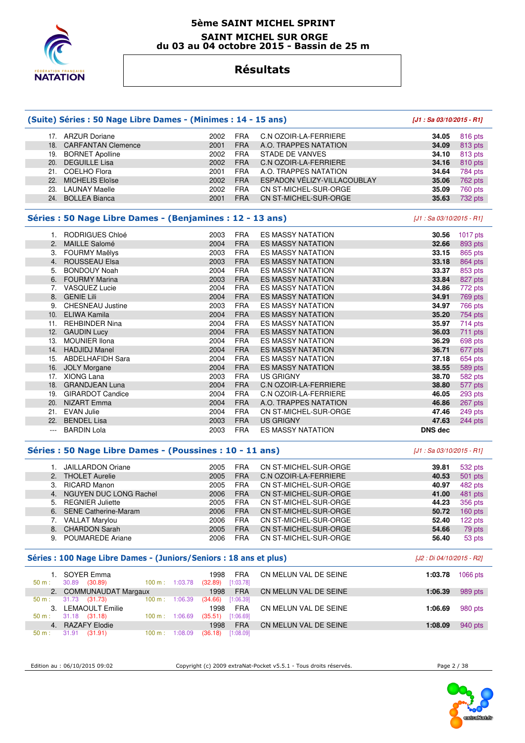

### **5ème SAINT MICHEL SPRINT SAINT MICHEL SUR ORGE du 03 au 04 octobre 2015 - Bassin de 25 m**

### **Résultats**

|                | (Suite) Séries : 50 Nage Libre Dames - (Minimes : 14 - 15 ans)     |                             |                         |                             | [J1: Sa 03/10/2015 - R1]   |                                                                          |
|----------------|--------------------------------------------------------------------|-----------------------------|-------------------------|-----------------------------|----------------------------|--------------------------------------------------------------------------|
|                | 17. ARZUR Doriane                                                  | 2002                        | <b>FRA</b>              | C.N OZOIR-LA-FERRIERE       | 34.05                      | 816 pts                                                                  |
|                | 18. CARFANTAN Clemence                                             | 2001                        | <b>FRA</b>              | A.O. TRAPPES NATATION       | 34.09                      | 813 pts                                                                  |
|                | 19. BORNET Apolline                                                | 2002                        | <b>FRA</b>              | <b>STADE DE VANVES</b>      | 34.10                      | 813 pts                                                                  |
| 20.            | <b>DEGUILLE Lisa</b>                                               | 2002                        | <b>FRA</b>              | C.N OZOIR-LA-FERRIERE       | 34.16                      | 810 pts                                                                  |
|                | 21. COELHO Flora                                                   | 2001                        | <b>FRA</b>              | A.O. TRAPPES NATATION       | 34.64                      | 784 pts                                                                  |
| 22.            | <b>MICHELIS Eloïse</b>                                             | 2002                        | <b>FRA</b>              | ESPADON VÉLIZY-VILLACOUBLAY | 35.06                      | 762 pts                                                                  |
|                | 23. LAUNAY Maelle                                                  | 2002                        | <b>FRA</b>              | CN ST-MICHEL-SUR-ORGE       | 35.09                      | 760 pts                                                                  |
|                | 24. BOLLEA Bianca                                                  | 2001                        | <b>FRA</b>              | CN ST-MICHEL-SUR-ORGE       | 35.63                      | 732 pts                                                                  |
|                | Séries : 50 Nage Libre Dames - (Benjamines : 12 - 13 ans)          |                             |                         |                             | [J1 : Sa 03/10/2015 - R1]  |                                                                          |
|                | 1. RODRIGUES Chloé                                                 | 2003                        | <b>FRA</b>              | <b>ES MASSY NATATION</b>    | 30.56                      | 1017 pts                                                                 |
| 2.             | <b>MAILLE Salomé</b>                                               | 2004                        | <b>FRA</b>              | <b>ES MASSY NATATION</b>    | 32.66                      | 893 pts                                                                  |
|                | 3. FOURMY Maëlys                                                   | 2003                        | <b>FRA</b>              | <b>ES MASSY NATATION</b>    | 33.15                      | 865 pts                                                                  |
| 4.             | ROUSSEAU Elsa                                                      | 2003                        | <b>FRA</b>              | <b>ES MASSY NATATION</b>    | 33.18                      | 864 pts                                                                  |
| 5.             | <b>BONDOUY Noah</b>                                                | 2004                        | <b>FRA</b>              | ES MASSY NATATION           | 33.37                      | 853 pts                                                                  |
| 6.             | <b>FOURMY Marina</b>                                               | 2003                        | <b>FRA</b>              | <b>ES MASSY NATATION</b>    | 33.84                      | 827 pts                                                                  |
| 7.             | <b>VASQUEZ Lucie</b>                                               | 2004                        | <b>FRA</b>              | <b>ES MASSY NATATION</b>    | 34.86                      | 772 pts                                                                  |
| 8.             | <b>GENIE Lili</b>                                                  | 2004                        | <b>FRA</b>              | <b>ES MASSY NATATION</b>    | 34.91                      | 769 pts                                                                  |
|                | 9. CHESNEAU Justine                                                | 2003                        | <b>FRA</b>              | <b>ES MASSY NATATION</b>    | 34.97                      | 766 pts                                                                  |
|                | 10. ELIWA Kamila                                                   | 2004                        | <b>FRA</b>              | <b>ES MASSY NATATION</b>    | 35.20                      | 754 pts                                                                  |
| 11.            | <b>REHBINDER Nina</b>                                              | 2004                        | <b>FRA</b>              | ES MASSY NATATION           | 35.97                      | 714 pts                                                                  |
| 12.            | <b>GAUDIN Lucy</b>                                                 | 2004                        | <b>FRA</b>              | <b>ES MASSY NATATION</b>    | 36.03                      | 711 pts                                                                  |
| 13.            | <b>MOUNIER Ilona</b>                                               | 2004                        | <b>FRA</b>              | <b>ES MASSY NATATION</b>    | 36.29                      | 698 pts                                                                  |
| 14.            | <b>HADJIDJ Manel</b>                                               | 2004                        | <b>FRA</b>              | <b>ES MASSY NATATION</b>    | 36.71                      | 677 pts                                                                  |
|                | 15. ABDELHAFIDH Sara                                               | 2004                        | <b>FRA</b>              | <b>ES MASSY NATATION</b>    | 37.18                      | 654 pts                                                                  |
|                | 16. JOLY Morgane                                                   | 2004                        | <b>FRA</b>              | <b>ES MASSY NATATION</b>    | 38.55                      | 589 pts                                                                  |
|                | 17. XIONG Lana                                                     | 2003                        | <b>FRA</b>              | <b>US GRIGNY</b>            | 38.70                      | 582 pts                                                                  |
|                | 18. GRANDJEAN Luna                                                 | 2004                        | <b>FRA</b>              | C.N OZOIR-LA-FERRIERE       | 38.80                      | 577 pts                                                                  |
|                | 19. GIRARDOT Candice                                               | 2004                        | <b>FRA</b>              | C.N OZOIR-LA-FERRIERE       | 46.05                      | 293 pts                                                                  |
| 20.            | <b>NIZART</b> Emma                                                 | 2004                        | <b>FRA</b>              | A.O. TRAPPES NATATION       | 46.86                      | 267 pts                                                                  |
|                | 21. EVAN Julie                                                     | 2004                        | <b>FRA</b>              | CN ST-MICHEL-SUR-ORGE       | 47.46                      | 249 pts                                                                  |
|                | 22. BENDEL Lisa                                                    | 2003                        | <b>FRA</b>              | <b>US GRIGNY</b>            | 47.63                      | 244 pts                                                                  |
| $\cdots$       | <b>BARDIN Lola</b>                                                 | 2003                        | <b>FRA</b>              | <b>ES MASSY NATATION</b>    | <b>DNS</b> dec             |                                                                          |
|                | Séries : 50 Nage Libre Dames - (Poussines : 10 - 11 ans)           |                             |                         |                             | $[J1: Sa 03/10/2015 - R1]$ |                                                                          |
|                | 1. JAILLARDON Oriane                                               | 2005                        | <b>FRA</b>              | CN ST-MICHEL-SUR-ORGE       | 39.81                      | 532 pts                                                                  |
|                | 2. THOLET Aurelie                                                  | 2005                        | <b>FRA</b>              | C.N OZOIR-LA-FERRIERE       | 40.53                      | 501 pts                                                                  |
| 3.             | <b>RICARD Manon</b>                                                | 2005                        | <b>FRA</b>              | CN ST-MICHEL-SUR-ORGE       | 40.97                      | 482 pts                                                                  |
|                | NGUYEN DUC LONG Rachel                                             | 2006                        | <b>FRA</b>              | CN ST-MICHEL-SUR-ORGE       | 41.00                      | 481 pts                                                                  |
| 4.             |                                                                    | 2005                        | <b>FRA</b>              | CN ST-MICHEL-SUR-ORGE       | 44.23                      | 356 pts                                                                  |
| 5.             | <b>REGNIER Juliette</b>                                            |                             |                         | CN ST-MICHEL-SUR-ORGE       | 50.72                      | $160$ pts                                                                |
|                | 6. SENE Catherine-Maram                                            | 2006                        | <b>FRA</b>              |                             |                            |                                                                          |
|                | 7. VALLAT Marylou                                                  | 2006                        | <b>FRA</b>              | CN ST-MICHEL-SUR-ORGE       | 52.40                      |                                                                          |
|                | 8. CHARDON Sarah                                                   | 2005                        | <b>FRA</b>              | CN ST-MICHEL-SUR-ORGE       | 54.66                      |                                                                          |
|                | 9. POUMAREDE Ariane                                                | 2006                        | FRA                     | CN ST-MICHEL-SUR-ORGE       | 56.40                      |                                                                          |
|                | Séries : 100 Nage Libre Dames - (Juniors/Seniors : 18 ans et plus) |                             |                         |                             | [J2 : Di 04/10/2015 - R2]  |                                                                          |
| 50 m:          | 1. SOYER Emma<br>30.89 (30.89)<br>100 m: 1:03.78                   | 1998<br>$(32.89)$ [1:03.78] | <b>FRA</b>              | CN MELUN VAL DE SEINE       | 1:03.78                    |                                                                          |
| 2.             | <b>COMMUNAUDAT Margaux</b>                                         | 1998                        | <b>FRA</b>              | CN MELUN VAL DE SEINE       | 1:06.39                    |                                                                          |
| $50 m$ :       | $100 m$ : 1:06.39<br>31.73 (31.73)                                 | $(34.66)$ [1:06.39]         |                         |                             |                            |                                                                          |
|                | 3. LEMAOULT Emilie                                                 | 1998                        | <b>FRA</b>              | CN MELUN VAL DE SEINE       | 1:06.69                    |                                                                          |
| 50 m:          | $31.18$ $(31.18)$<br>$100 m$ : 1:06.69                             | $(35.51)$ [1:06.69]         |                         |                             |                            |                                                                          |
| 4.<br>$50 m$ : | <b>RAZAFY Elodie</b><br>$31.91$ $(31.91)$<br>100 m: 1:08.09        | 1998<br>(36.18)             | <b>FRA</b><br>[1:08.09] | CN MELUN VAL DE SEINE       | 1:08.09                    | 122 pts<br>79 pts<br>53 pts<br>1066 pts<br>989 pts<br>980 pts<br>940 pts |

Edition au : 06/10/2015 09:02 Copyright (c) 2009 extraNat-Pocket v5.5.1 - Tous droits réservés. Page 2 / 38

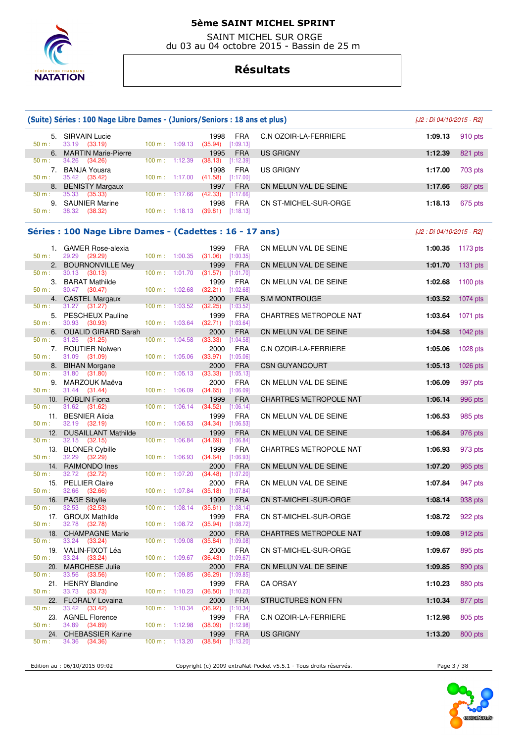

 SAINT MICHEL SUR ORGE du 03 au 04 octobre 2015 - Bassin de 25 m

# **Résultats**

|                  | (Suite) Séries : 100 Nage Libre Dames - (Juniors/Seniors : 18 ans et plus) |                |                                  |                                                    |                           |                               | [J2 : Di 04/10/2015 - R2] |            |
|------------------|----------------------------------------------------------------------------|----------------|----------------------------------|----------------------------------------------------|---------------------------|-------------------------------|---------------------------|------------|
| 50 m:            | 5. SIRVAIN Lucie<br>33.19 (33.19)                                          |                | 100 m: 1:09.13                   | 1998<br>$(35.94)$ [1:09.13]                        | <b>FRA</b>                | C.N OZOIR-LA-FERRIERE         | 1:09.13                   | 910 pts    |
| $50 \text{ m}$ : | 6. MARTIN Marie-Pierre<br>34.26 (34.26)                                    | 100 m: 1:12.39 |                                  | 1995<br>$(38.13)$ [1:12.39]                        | <b>FRA</b>                | <b>US GRIGNY</b>              | 1:12.39                   | 821 pts    |
| 50 m:            | 7. BANJA Yousra<br>35.42 (35.42)                                           | 100 m: 1:17.00 |                                  | 1998<br>$(41.58)$ [1:17.00]                        | <b>FRA</b>                | <b>US GRIGNY</b>              | 1:17.00                   | 703 pts    |
| 8.               | <b>BENISTY Margaux</b>                                                     |                |                                  | 1997                                               | <b>FRA</b>                | CN MELUN VAL DE SEINE         | 1:17.66                   | 687 pts    |
| 50 m:            | 35.33<br>(35.33)<br>9. SAUNIER Marine                                      |                | 100 m: 1:17.66                   | $(42.33)$ [1:17.66]<br>1998                        | FRA                       | CN ST-MICHEL-SUR-ORGE         | 1:18.13                   | 675 pts    |
| 50 m:            | 38.32 (38.32)                                                              |                | 100 m: 1:18.13                   | $(39.81)$ [1:18.13]                                |                           |                               |                           |            |
|                  | Séries : 100 Nage Libre Dames - (Cadettes : 16 - 17 ans)                   |                |                                  |                                                    |                           |                               | [J2 : Di 04/10/2015 - R2] |            |
| 50 m:            | 1. GAMER Rose-alexia<br>29.29 (29.29)                                      |                | 100 m: 1:00.35                   | 1999<br>$(31.06)$ [1:00.35]                        | <b>FRA</b>                | CN MELUN VAL DE SEINE         | 1:00.35                   | 1173 pts   |
|                  | 2. BOURNONVILLE Mey                                                        |                |                                  | 1999                                               | <b>FRA</b>                | CN MELUN VAL DE SEINE         | 1:01.70                   | 1131 $pts$ |
| 50 m:<br>50 m:   | 30.13<br>(30.13)<br>3. BARAT Mathilde<br>30.47 (30.47)                     |                | 100 m: 1:01.70<br>100 m: 1:02.68 | $(31.57)$ [1:01.70]<br>1999<br>$(32.21)$ [1:02.68] | <b>FRA</b>                | CN MELUN VAL DE SEINE         | 1:02.68                   | $1100$ pts |
|                  | 4. CASTEL Margaux                                                          |                |                                  | 2000                                               | <b>FRA</b>                | <b>S.M MONTROUGE</b>          | 1:03.52                   | $1074$ pts |
| 50 m :           | $31.27$ $(31.27)$<br>5. PESCHEUX Pauline                                   |                | 100 m: 1:03.52                   | (32.25)<br>1999                                    | [1:03.52]<br><b>FRA</b>   | CHARTRES METROPOLE NAT        | 1:03.64                   | $1071$ pts |
| 50 m:            | 30.93 (30.93)<br>6. OUALID GIRARD Sarah                                    |                | 100 m: 1:03.64                   | $(32.71)$ [1:03.64]<br>2000                        | <b>FRA</b>                | CN MELUN VAL DE SEINE         | 1:04.58                   | 1042 pts   |
| 50 m:            | $31.25$ $(31.25)$<br>7. ROUTIER Nolwen                                     |                | 100 m: 1:04.58                   | $(33.33)$ [1:04.58]<br>2000                        | <b>FRA</b>                | C.N OZOIR-LA-FERRIERE         | 1:05.06                   | 1028 pts   |
| 50 m:            | 31.09 (31.09)                                                              |                | 100 m: 1:05.06                   | $(33.97)$ [1:05.06]                                |                           |                               |                           |            |
| 8.<br>50 m:      | <b>BIHAN Morgane</b><br>31.80<br>(31.80)                                   |                | 100 m: 1:05.13                   | 2000<br>(33.33)                                    | <b>FRA</b><br>[1:05.13]   | <b>CSN GUYANCOURT</b>         | 1:05.13                   | 1026 pts   |
| 50 m:            | 9. MARZOUK Maëva<br>$31.44$ $(31.44)$                                      |                | 100 m: 1:06.09                   | 2000<br>$(34.65)$ [1:06.09]                        | <b>FRA</b>                | CN MELUN VAL DE SEINE         | 1:06.09                   | 997 pts    |
|                  | 10. ROBLIN Fiona                                                           |                |                                  | 1999                                               | <b>FRA</b>                | CHARTRES METROPOLE NAT        | 1:06.14                   | 996 pts    |
| 50 m:<br>50 m:   | 31.62 (31.62)<br>11. BESNIER Alicia<br>32.19 (32.19)                       | 100 m: 1:06.53 | 100 m: 1:06.14                   | (34.52)<br>1999<br>$(34.34)$ [1:06.53]             | [1:06.14]<br><b>FRA</b>   | CN MELUN VAL DE SEINE         | 1:06.53                   | 985 pts    |
| 12.              | <b>DUSAILLANT Mathilde</b>                                                 |                |                                  | 1999                                               | <b>FRA</b>                | CN MELUN VAL DE SEINE         | 1:06.84                   | 976 pts    |
| $50 m$ :         | 32.15 (32.15)<br>13. BLONER Cybille                                        |                | 100 m: 1:06.84                   | (34.69)<br>1999                                    | [1:06.84]<br><b>FRA</b>   | CHARTRES METROPOLE NAT        | 1:06.93                   | 973 pts    |
| 50 m:            | 32.29 (32.29)<br>14. RAIMONDO Ines                                         |                | 100 m: 1:06.93                   | $(34.64)$ [1:06.93]<br>2000                        | <b>FRA</b>                | CN MELUN VAL DE SEINE         | 1:07.20                   | 965 pts    |
| 50 m:            | 32.72 (32.72)<br>15. PELLIER Claire                                        |                | 100 m: 1:07.20                   | (34.48)<br>2000                                    | $[1:07.20]$<br><b>FRA</b> | CN MELUN VAL DE SEINE         | 1:07.84                   | 947 pts    |
| 50 m:            | 32.66<br>(32.66)                                                           |                | 100 m: 1:07.84                   | $(35.18)$ [1:07.84]                                |                           |                               |                           |            |
| 50 m :           | 16. PAGE Sibylle<br>32.53 (32.53)                                          |                |                                  | 1999<br>100 m: 1:08.14 (35.61) [1:08.14]           | <b>FRA</b>                | CN ST-MICHEL-SUR-ORGE         | 1:08.14                   | 938 pts    |
| 50 m:            | 17. GROUX Mathilde<br>32.78 (32.78)                                        |                | 100 m: 1:08.72                   | 1999<br>(35.94)                                    | <b>FRA</b><br>$[1:08.72]$ | CN ST-MICHEL-SUR-ORGE         | 1:08.72                   | 922 pts    |
| 18.              | <b>CHAMPAGNE Marie</b>                                                     |                |                                  | 2000                                               | <b>FRA</b>                | <b>CHARTRES METROPOLE NAT</b> | 1:09.08                   | 912 pts    |
| 50 m :           | 33.24 (33.24)<br>19. VALIN-FIXOT Léa                                       | 100 m: 1:09.08 |                                  | $(35.84)$ [1:09.08]<br>2000                        | <b>FRA</b>                | CN ST-MICHEL-SUR-ORGE         | 1:09.67                   | 895 pts    |
| 50 m:<br>20.     | 33.24 (33.24)<br><b>MARCHESE Julie</b>                                     |                | 100 m: 1:09.67                   | $(36.43)$ [1:09.67]<br>2000                        | <b>FRA</b>                | CN MELUN VAL DE SEINE         | 1:09.85                   | 890 pts    |
| 50 m:            | 33.56<br>(33.56)                                                           |                | 100 m: 1:09.85                   | (36.29)                                            | [1:09.85]                 |                               |                           |            |
| $50 m$ :         | 21. HENRY Blandine<br>33.73 (33.73)                                        |                | 100 m: 1:10.23                   | 1999<br>$(36.50)$ [1:10.23]                        | <b>FRA</b>                | CA ORSAY                      | 1:10.23                   | 880 pts    |
| 22.              | <b>FLORALY Lovaina</b><br>33.42 (33.42)                                    |                | 100 m: 1:10.34                   | 2000<br>(36.92)                                    | <b>FRA</b>                | STRUCTURES NON FFN            | 1:10.34                   | 877 pts    |
| 50 m:            | 23. AGNEL Florence                                                         |                |                                  | 1999                                               | [1:10.34]<br>FRA          | C.N OZOIR-LA-FERRIERE         | 1:12.98                   | 805 pts    |
| 50 m:            | 34.89 (34.89)                                                              |                | 100 m: 1:12.98                   | $(38.09)$ [1:12.98]                                |                           |                               |                           |            |
| 24.<br>50 m :    | <b>CHEBASSIER Karine</b><br>34.36 (34.36)                                  |                | $100 \text{ m}: 1:13.20$         | 1999<br>$(38.84)$ [1:13.20]                        | <b>FRA</b>                | <b>US GRIGNY</b>              | 1:13.20                   | 800 pts    |

Edition au : 06/10/2015 09:02 Copyright (c) 2009 extraNat-Pocket v5.5.1 - Tous droits réservés. Page 3 / 38

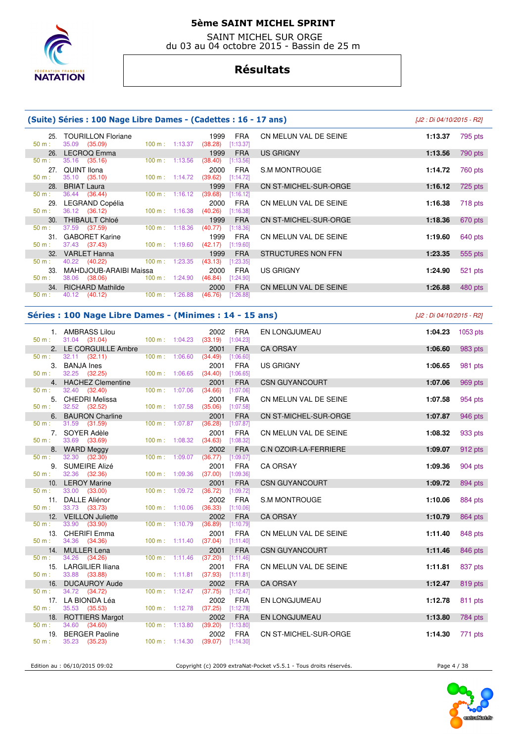

 SAINT MICHEL SUR ORGE du 03 au 04 octobre 2015 - Bassin de 25 m

# **Résultats**

|                  | (Suite) Séries : 100 Nage Libre Dames - (Cadettes : 16 - 17 ans) |                           |         |                 |                         |                       |         |         |  |  |
|------------------|------------------------------------------------------------------|---------------------------|---------|-----------------|-------------------------|-----------------------|---------|---------|--|--|
| $50 m$ :         | 25. TOURILLON Floriane<br>35.09 (35.09)                          | $100 \text{ m}: 1:13.37$  |         | 1999<br>(38.28) | <b>FRA</b><br>[1:13.37] | CN MELUN VAL DE SEINE | 1:13.37 | 795 pts |  |  |
|                  | 26. LECROQ Emma                                                  |                           |         | 1999            | <b>FRA</b>              | US GRIGNY             | 1:13.56 | 790 pts |  |  |
| $50 m$ :         | 35.16 (35.16)                                                    | $100 \text{ m}: 1:13.56$  |         | (38.40)         | [1:13.56]               |                       |         |         |  |  |
|                  | 27. QUINT Ilona                                                  |                           |         | 2000            | FRA                     | S.M MONTROUGE         | 1:14.72 | 760 pts |  |  |
| $50 m$ :         | $35.10$ $(35.10)$                                                | 100 m: 1:14.72            |         | (39.62)         | [1:14.72]               |                       |         |         |  |  |
|                  | 28. BRIAT Laura                                                  |                           |         | 1999            | <b>FRA</b>              | CN ST-MICHEL-SUR-ORGE | 1:16.12 | 725 pts |  |  |
| $50 m$ :         | 36.44 (36.44)                                                    | $100 \text{ m}$ : 1:16.12 |         | (39.68)         | [1:16.12]               |                       |         |         |  |  |
| 29.              | LEGRAND Copélia                                                  |                           |         | 2000            | FRA                     | CN MELUN VAL DE SEINE | 1:16.38 | 718 pts |  |  |
| $50 m$ :         | 36.12 (36.12)                                                    | $100 \text{ m}: 1:16.38$  |         | (40.26)         | [1:16.38]               |                       |         |         |  |  |
|                  | 30. THIBAULT Chloé                                               |                           |         | 1999            | <b>FRA</b>              | CN ST-MICHEL-SUR-ORGE | 1:18.36 | 670 pts |  |  |
| $50 m$ :         | 37.59 (37.59)                                                    | $100 \text{ m}: 1:18.36$  |         | (40.77)         | [1:18.36]               |                       |         |         |  |  |
| $31 -$           | <b>GABORET Karine</b>                                            |                           |         | 1999            | <b>FRA</b>              | CN MELUN VAL DE SEINE | 1:19.60 | 640 pts |  |  |
| 50 m:            | 37.43 (37.43)                                                    | $100 \text{ m}$ : 1:19.60 |         | (42.17)         | [1:19.60]               |                       |         |         |  |  |
| 32.              | <b>VARLET Hanna</b>                                              |                           |         | 1999            | <b>FRA</b>              | STRUCTURES NON FFN    | 1:23.35 | 555 pts |  |  |
| $50 \text{ m}$ : | $40.22$ $(40.22)$                                                | $100 \text{ m}: 1:23.35$  |         | (43.13)         | [1:23.35]               |                       |         |         |  |  |
| 33.              | MAHDJOUB-ARAIBI Maissa                                           |                           |         | 2000            | <b>FRA</b>              | US GRIGNY             | 1:24.90 | 521 pts |  |  |
| $50 m$ :         | 38.06 (38.06)                                                    | $100 \text{ m}: 1:24.90$  |         | (46.84)         | [1:24.90]               |                       |         |         |  |  |
|                  | 34. RICHARD Mathilde                                             |                           |         | 2000            | <b>FRA</b>              | CN MELUN VAL DE SEINE | 1:26.88 | 480 pts |  |  |
| $50 m$ :         | 40.12 (40.12)                                                    | $100 \text{ m}$ :         | 1:26.88 | (46.76)         | [1:26.88]               |                       |         |         |  |  |

### **Séries : 100 Nage Libre Dames - (Minimes : 14 - 15 ans)** [J2 : Di 04/10/2015 - R2]

|                  | 1. AMBRASS Lilou              |                |                                  | 2002                             | <b>FRA</b> | EN LONGJUMEAU                | 1:04.23 | 1053 pts |
|------------------|-------------------------------|----------------|----------------------------------|----------------------------------|------------|------------------------------|---------|----------|
|                  | $50 \text{ m}: 31.04 (31.04)$ |                |                                  | 100 m: 1:04.23 (33.19) [1:04.23] |            |                              |         |          |
|                  | 2. LE CORGUILLE Ambre         |                |                                  | 2001                             | <b>FRA</b> | <b>CA ORSAY</b>              | 1:06.60 | 983 pts  |
| 50 m:            | $32.11$ $(32.11)$             |                | 100 m: 1:06.60                   | (34.49)                          | [1:06.60]  |                              |         |          |
|                  | 3. BANJA Ines                 |                |                                  | 2001                             | <b>FRA</b> | <b>US GRIGNY</b>             | 1:06.65 | 981 pts  |
| 50 m : _         | 32.25 (32.25)                 |                | 100 m: 1:06.65                   | (34.40)                          | [1:06.65]  |                              |         |          |
|                  |                               |                |                                  |                                  |            |                              |         |          |
|                  | 4. HACHEZ Clementine          |                |                                  | 2001                             | <b>FRA</b> | <b>CSN GUYANCOURT</b>        | 1:07.06 | 969 pts  |
| 50 m:            | 32.40 (32.40)                 |                | 100 m: 1:07.06                   | (34.66)                          | [1:07.06]  |                              |         |          |
|                  | 5. CHEDRI Melissa             |                |                                  | 2001                             | <b>FRA</b> | CN MELUN VAL DE SEINE        | 1:07.58 | 954 pts  |
| 50 m:            | 32.52 (32.52)                 |                | 100 m: 1:07.58                   | (35.06)                          | [1:07.58]  |                              |         |          |
|                  | 6. BAURON Charline            |                |                                  | 2001                             | <b>FRA</b> | CN ST-MICHEL-SUR-ORGE        | 1:07.87 | 946 pts  |
| 50 m:            | 31.59 (31.59)                 |                | 100 m: 1:07.87                   | (36.28)                          | [1:07.87]  |                              |         |          |
|                  | 7. SOYER Adèle                |                |                                  | 2001                             | <b>FRA</b> | CN MELUN VAL DE SEINE        | 1:08.32 | 933 pts  |
| $50 \text{ m}$ : | 33.69 (33.69)                 |                | 100 m: 1:08.32                   | (34.63)                          | [1:08.32]  |                              |         |          |
|                  | 8. WARD Meggy                 |                |                                  | 2002                             | <b>FRA</b> | <b>C.N OZOIR-LA-FERRIERE</b> | 1:09.07 | 912 pts  |
| 50 m:            | 32.30 (32.30)                 |                | 100 m: 1:09.07                   | (36.77)                          | [1:09.07]  |                              |         |          |
|                  |                               |                |                                  |                                  |            |                              |         |          |
|                  | 9. SUMEIRE Alizé              |                |                                  | 2001                             | <b>FRA</b> | <b>CA ORSAY</b>              | 1:09.36 | 904 pts  |
| 50 m:            | 32.36 (32.36)                 |                | 100 m: 1:09.36                   | $(37.00)$ [1:09.36]              |            |                              |         |          |
|                  | 10. LEROY Marine              |                |                                  | 2001                             | <b>FRA</b> | <b>CSN GUYANCOURT</b>        | 1:09.72 | 894 pts  |
| 50 m:            | 33.00 (33.00)                 |                | 100 m: 1:09.72                   | (36.72)                          | [1:09.72]  |                              |         |          |
|                  | 11. DALLE Aliénor             |                |                                  | 2002                             | <b>FRA</b> | <b>S.M MONTROUGE</b>         | 1:10.06 | 884 pts  |
| 50 m:            | 33.73 (33.73)                 |                | 100 m: 1:10.06                   | $(36.33)$ [1:10.06]              |            |                              |         |          |
|                  | 12. VEILLON Juliette          |                |                                  | 2002                             | <b>FRA</b> | <b>CA ORSAY</b>              | 1:10.79 | 864 pts  |
| 50 m:            | 33.90 (33.90)                 |                | 100 m: 1:10.79                   | (36.89)                          | [1:10.79]  |                              |         |          |
|                  | 13. CHERIFI Emma              |                |                                  | 2001                             | <b>FRA</b> | CN MELUN VAL DE SEINE        | 1:11.40 | 848 pts  |
| 50 m:            | 34.36 (34.36)                 |                |                                  | 100 m: 1:11.40 (37.04) [1:11.40] |            |                              |         |          |
|                  | 14. MULLER Lena               |                |                                  | 2001                             | <b>FRA</b> | <b>CSN GUYANCOURT</b>        | 1:11.46 |          |
|                  | 34.26 (34.26)                 |                | 100 m: 1:11.46                   | (37.20)                          |            |                              |         | 846 pts  |
| 50 m:            |                               |                |                                  |                                  | [1:11.46]  |                              |         |          |
|                  | 15. LARGILIER Iliana          |                |                                  | 2001                             | <b>FRA</b> | CN MELUN VAL DE SEINE        | 1:11.81 | 837 pts  |
| 50 m:            | 33.88 (33.88)                 |                | $100 \text{ m}: 1:11.81$ (37.93) |                                  | [1:11.81]  |                              |         |          |
|                  | 16. DUCAUROY Aude             |                |                                  | 2002                             | <b>FRA</b> | <b>CA ORSAY</b>              | 1:12.47 | 819 pts  |
| 50 m:            | 34.72 (34.72)                 |                | $100 \text{ m}: 1:12.47$         | (37.75)                          | [1:12.47]  |                              |         |          |
|                  | 17. LA BIONDA Léa             |                |                                  | 2002                             | <b>FRA</b> | EN LONGJUMEAU                | 1:12.78 | 811 pts  |
| 50 m:            | 35.53 (35.53)                 |                | 100 m: 1:12.78                   | $(37.25)$ [1:12.78]              |            |                              |         |          |
|                  | 18. ROTTIERS Margot           |                |                                  | 2002                             | <b>FRA</b> | EN LONGJUMEAU                | 1:13.80 | 784 pts  |
| 50 m:            | 34.60 (34.60)                 |                | 100 m: 1:13.80                   | $(39.20)$ [1:13.80]              |            |                              |         |          |
|                  | 19. BERGER Paoline            |                |                                  | 2002                             | <b>FRA</b> | CN ST-MICHEL-SUR-ORGE        | 1:14.30 |          |
| 50 m:            | 35.23 (35.23)                 | 100 m: 1:14.30 |                                  | (39.07)                          | [1:14.30]  |                              |         | 771 pts  |
|                  |                               |                |                                  |                                  |            |                              |         |          |
|                  |                               |                |                                  |                                  |            |                              |         |          |

Edition au : 06/10/2015 09:02 Copyright (c) 2009 extraNat-Pocket v5.5.1 - Tous droits réservés. Page 4 / 38

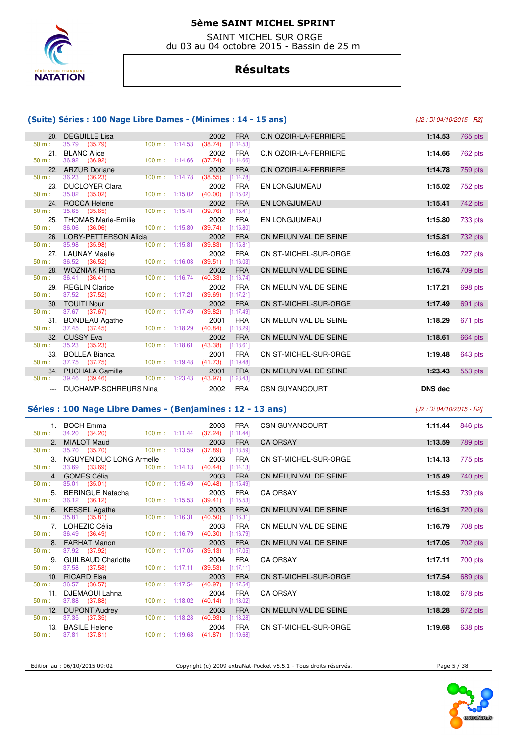

 SAINT MICHEL SUR ORGE du 03 au 04 octobre 2015 - Bassin de 25 m

# **Résultats**

|                      | (Suite) Séries : 100 Nage Libre Dames - (Minimes : 14 - 15 ans) |                          |         |                                  |                                     | [J2 : Di 04/10/2015 - R2] |
|----------------------|-----------------------------------------------------------------|--------------------------|---------|----------------------------------|-------------------------------------|---------------------------|
| 20.<br>50 m:         | <b>DEGUILLE Lisa</b><br>35.79 (35.79)                           | $100 \text{ m}: 1:14.53$ |         | 2002<br>$(38.74)$ [1:14.53]      | <b>FRA</b><br>C.N OZOIR-LA-FERRIERE | 1:14.53<br>765 pts        |
| 50 m:                | 21. BLANC Alice<br>36.92<br>(36.92)                             | $100 \text{ m}: 1:14.66$ |         | 2002<br>$(37.74)$ [1:14.66]      | <b>FRA</b><br>C.N OZOIR-LA-FERRIERE | 1:14.66<br>762 pts        |
| 50 m:                | 22. ARZUR Doriane<br>36.23<br>(36.23)                           | 100 m: 1:14.78           |         | 2002<br>$[1:14.78]$<br>(38.55)   | <b>FRA</b><br>C.N OZOIR-LA-FERRIERE | 1:14.78<br>759 pts        |
| 23.<br>$50 m$ :      | <b>DUCLOYER Clara</b><br>35.02 (35.02)                          | 100 m: 1:15.02           |         | 2002<br>$(40.00)$ [1:15.02]      | <b>FRA</b><br>EN LONGJUMEAU         | 1:15.02<br>752 pts        |
| 24.                  | ROCCA Helene                                                    |                          |         | 2002                             | <b>FRA</b><br>EN LONGJUMEAU         | 1:15.41<br>742 pts        |
| 50 m:<br>$50 m$ :    | 35.65<br>(35.65)<br>25. THOMAS Marie-Emilie<br>36.06            | $100 \text{ m}: 1:15.41$ |         | [1:15.41]<br>(39.76)<br>2002     | <b>FRA</b><br>EN LONGJUMEAU         | 1:15.80<br>733 pts        |
| 26.                  | (36.06)<br><b>LORY-PETTERSON Alicia</b>                         | 100 m: 1:15.80           |         | (39.74)<br>[1:15.80]<br>2002     | <b>FRA</b><br>CN MELUN VAL DE SEINE | 1:15.81<br>732 pts        |
| 50 m:                | 35.98<br>(35.98)                                                | 100 m: 1:15.81           |         | $(39.83)$ [1:15.81]              |                                     |                           |
| 50 m:                | 27. LAUNAY Maelle<br>36.52 (36.52)                              | 100 m: 1:16.03           |         | 2002<br>$(39.51)$ [1:16.03]      | <b>FRA</b><br>CN ST-MICHEL-SUR-ORGE | 1:16.03<br>727 pts        |
| $50 m$ :             | 28. WOZNIAK Rima<br>36.41 (36.41)                               | 100 m:                   | 1:16.74 | 2002<br>(40.33)<br>[1:16.74]     | <b>FRA</b><br>CN MELUN VAL DE SEINE | 1:16.74<br>709 pts        |
| 29.                  | <b>REGLIN Clarice</b>                                           |                          |         | 2002                             | FRA<br>CN MELUN VAL DE SEINE        | 1:17.21<br>698 pts        |
| 50 m:                | 37.52 (37.52)<br>30. TOUITI Nour                                | $100 \text{ m}: 1:17.21$ |         | (39.69)<br>[1:17.21]<br>2002     | <b>FRA</b><br>CN ST-MICHEL-SUR-ORGE | 1:17.49<br>691 pts        |
| 50 m:                | 37.67 (37.67)                                                   | 100 m: 1:17.49           |         | (39.82)<br>[1:17.49]             |                                     |                           |
| 50 m:                | 31. BONDEAU Agathe<br>37.45<br>(37.45)                          | 100 m: 1:18.29           |         | 2001<br>(40.84)<br>[1:18.29]     | <b>FRA</b><br>CN MELUN VAL DE SEINE | 1:18.29<br>671 pts        |
| 32.<br>$50 m$ :      | <b>CUSSY Eva</b><br>35.23<br>(35.23)                            | $100 \text{ m}: 1:18.61$ |         | 2002<br>(43.38)<br>[1:18.61]     | <b>FRA</b><br>CN MELUN VAL DE SEINE | 1:18.61<br>664 pts        |
|                      | 33. BOLLEA Bianca                                               |                          |         | 2001                             | <b>FRA</b><br>CN ST-MICHEL-SUR-ORGE | 1:19.48<br>643 pts        |
| $50 m$ :<br>34.      | 37.75 (37.75)<br><b>PUCHALA Camille</b>                         | 100 m: 1:19.48           |         | (41.73)<br>[1:19.48]<br>2001     | <b>FRA</b><br>CN MELUN VAL DE SEINE | 1:23.43<br>553 pts        |
| 50 m:                | 39.46<br>(39.46)                                                | 100 m: 1:23.43           |         |                                  |                                     |                           |
| $\sim$ $\sim$ $\sim$ | DUCHAMP-SCHREURS Nina                                           |                          |         | (43.97)<br>[1:23.43]<br>2002     | FRA<br><b>CSN GUYANCOURT</b>        | DNS dec                   |
|                      |                                                                 |                          |         |                                  |                                     | [J2 : Di 04/10/2015 - R2] |
|                      | Séries : 100 Nage Libre Dames - (Benjamines : 12 - 13 ans)      |                          |         |                                  |                                     |                           |
| 50 m:                | 1. BOCH Emma<br>34.20 (34.20)                                   | $100 \text{ m}: 1:11.44$ |         | 2003<br>(37.24)<br>[1:11.44]     | <b>FRA</b><br><b>CSN GUYANCOURT</b> | 846 pts<br>1:11.44        |
| 2.                   | <b>MIALOT Maud</b>                                              |                          |         | 2003                             | <b>FRA</b><br><b>CA ORSAY</b>       | 1:13.59<br>789 pts        |
| 50 m:                | 35.70<br>(35.70)                                                | $100 \text{ m}: 1:13.59$ |         | (37.89)<br>[1:13.59]             |                                     |                           |
| 3.<br>$50 m$ :       | NGUYEN DUC LONG Armelle<br>33.69 (33.69)                        | 100 m: 1:14.13           |         | 2003<br>(40.44)<br>[1:14.13]     | <b>FRA</b><br>CN ST-MICHEL-SUR-ORGE | 1:14.13<br>775 pts        |
| 4.<br>50 m:          | <b>GOMES Célia</b>                                              |                          |         | 2003                             | <b>FRA</b><br>CN MELUN VAL DE SEINE | 1:15.49<br>740 pts        |
| 5.                   | 35.01 (35.01)<br><b>BERINGUE Natacha</b>                        | $100 \text{ m}: 1:15.49$ |         | (40.48)<br>[1:15.49]<br>2003     | <b>FRA</b><br><b>CA ORSAY</b>       | 1:15.53<br>739 pts        |
| 50 m:<br>6.          | 36.12 (36.12)<br><b>KESSEL Agathe</b>                           | 100 m: 1:15.53           |         | (39.41)<br>[1:15.53]<br>2003     | <b>FRA</b><br>CN MELUN VAL DE SEINE | 1:16.31<br>720 pts        |
| 50 m:                | 35.81 (35.81)                                                   | $100 \text{ m}: 1:16.31$ |         | [1:16.31]<br>(40.50)             |                                     |                           |
| 50 m:                | 7. LOHEZIC Célia<br>36.49 (36.49)                               | 100 m: 1:16.79           |         | 2003<br>$(40.30)$ [1:16.79]      | FRA<br>CN MELUN VAL DE SEINE        | 1:16.79<br>708 pts        |
| 8.                   | <b>FARHAT Manon</b>                                             |                          |         | 2003                             | <b>FRA</b><br>CN MELUN VAL DE SEINE | 1:17.05<br>702 pts        |
| 50 m:<br>9.          | 37.92<br>(37.92)<br><b>GUILBAUD Charlotte</b>                   | 100 m: 1:17.05           |         | (39.13)<br>$[1:17.05]$<br>2004   | <b>FRA</b><br><b>CA ORSAY</b>       | 1:17.11<br>700 pts        |
| $50 m$ :             | 37.58 (37.58)                                                   |                          |         | 100 m: 1:17.11 (39.53) [1:17.11] |                                     |                           |
| 10.<br>$50 m$ :      | <b>RICARD Elsa</b><br>36.57 (36.57)                             | 100 m:                   | 1:17.54 | 2003<br>(40.97)<br>[1:17.54]     | <b>FRA</b><br>CN ST-MICHEL-SUR-ORGE | 1:17.54<br>689 pts        |
| 11.                  | <b>DJEMAOUI Lahna</b>                                           |                          |         | 2004                             | <b>FRA</b><br><b>CA ORSAY</b>       | 1:18.02<br>678 pts        |
| 50 m:<br>12.         | 37.88 (37.88)<br><b>DUPONT Audrey</b>                           | 100 m: 1:18.02           |         | $(40.14)$ [1:18.02]<br>2003      | <b>FRA</b><br>CN MELUN VAL DE SEINE | 1:18.28<br>672 pts        |
| 50 m:                | 37.35<br>(37.35)<br>13. BASILE Helene                           | 100 m: 1:18.28           |         | $(40.93)$ [1:18.28]<br>2004      | <b>FRA</b><br>CN ST-MICHEL-SUR-ORGE | 1:19.68<br>638 pts        |

Edition au : 06/10/2015 09:02 Copyright (c) 2009 extraNat-Pocket v5.5.1 - Tous droits réservés. Page 5 / 38

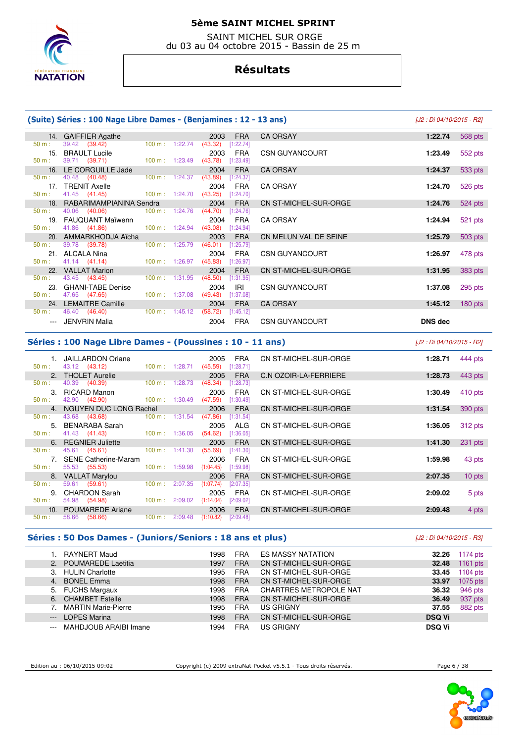

 SAINT MICHEL SUR ORGE du 03 au 04 octobre 2015 - Bassin de 25 m

# **Résultats**

|          | (Suite) Séries : 100 Nage Libre Dames - (Benjamines : 12 - 13 ans) |                                  |                                  |            |                       | [J2 : Di 04/10/2015 - R2] |           |
|----------|--------------------------------------------------------------------|----------------------------------|----------------------------------|------------|-----------------------|---------------------------|-----------|
|          | 14. GAIFFIER Agathe                                                |                                  | 2003                             | <b>FRA</b> | CA ORSAY              | 1:22.74                   | 568 pts   |
| 50 m:    | 39.42 (39.42)                                                      |                                  | 100 m: 1:22.74 (43.32) [1:22.74] |            |                       |                           |           |
| 15.      | <b>BRAULT Lucile</b>                                               |                                  | 2003                             | <b>FRA</b> | <b>CSN GUYANCOURT</b> | 1:23.49                   | 552 pts   |
| 50 m:    | 39.71 (39.71) 100 m : 1:23.49 (43.78)                              |                                  |                                  | [1:23.49]  |                       |                           |           |
|          | 16. LE CORGUILLE Jade                                              |                                  | 2004                             | <b>FRA</b> | <b>CA ORSAY</b>       | 1:24.37                   | 533 pts   |
| 50 m:    | 40.48 (40.48)                                                      | 100 m: 1:24.37                   | (43.89)                          | [1:24.37]  |                       |                           |           |
|          | 17. TRENIT Axelle                                                  |                                  | 2004                             | FRA        | <b>CA ORSAY</b>       | 1:24.70                   | 526 pts   |
| $50 m$ : | 41.45 (41.45) 100 m : 1:24.70 (43.25) [1:24.70]                    |                                  |                                  |            |                       |                           |           |
|          | 18. RABARIMAMPIANINA Sendra                                        |                                  | 2004                             | <b>FRA</b> | CN ST-MICHEL-SUR-ORGE | 1:24.76                   | 524 pts   |
| $50 m$ : | 40.06 (40.06) 100 m : 1:24.76 (44.70)                              |                                  |                                  | [1:24.76]  |                       |                           |           |
|          | 19. FAUQUANT Maïwenn                                               |                                  | 2004                             | <b>FRA</b> | <b>CA ORSAY</b>       | 1:24.94                   | 521 pts   |
| 50 m:    | 41.86 (41.86) 100 m : 1:24.94 (43.08) [1:24.94]                    |                                  |                                  |            |                       |                           |           |
|          | 20. AMMARKHODJA Aïcha                                              |                                  | 2003                             | <b>FRA</b> | CN MELUN VAL DE SEINE | 1:25.79                   | 503 pts   |
| 50 m:    | 39.78 ( <b>39.78</b> )                                             | 100 m: 1:25.79                   | (46.01)                          | [1:25.79]  |                       |                           |           |
|          | 21. ALCALA Nina                                                    |                                  | 2004                             | FRA        | <b>CSN GUYANCOURT</b> | 1:26.97                   | 478 pts   |
| $50 m$ : | 41.14 (41.14) 100 m : 1:26.97 (45.83) [1:26.97]                    |                                  |                                  |            |                       |                           |           |
|          | 22. VALLAT Marion                                                  |                                  | 2004                             | <b>FRA</b> | CN ST-MICHEL-SUR-ORGE | 1:31.95                   | 383 pts   |
| $50 m$ : | 43.45 (43.45)                                                      |                                  | 100 m: 1:31.95 (48.50) [1:31.95] |            |                       |                           |           |
|          | 23. GHANI-TABE Denise                                              |                                  | 2004                             | IRI        | <b>CSN GUYANCOURT</b> | 1:37.08                   | $295$ pts |
| 50 m:    | 47.65 (47.65)                                                      |                                  | 100 m: 1:37.08 (49.43) [1:37.08] |            |                       |                           |           |
|          | 24. LEMAITRE Camille                                               |                                  | 2004                             | <b>FRA</b> | <b>CA ORSAY</b>       | 1:45.12                   | $180$ pts |
| 50 m:    | 46.40 (46.40)                                                      | $100 \text{ m}: 1:45.12 (58.72)$ |                                  | [1:45.12]  |                       |                           |           |
|          | --- JENVRIN Malia                                                  |                                  | 2004                             | <b>FRA</b> | <b>CSN GUYANCOURT</b> | <b>DNS</b> dec            |           |

#### **Séries : 100 Nage Libre Dames - (Poussines : 10 - 11 ans)** [J2 : Di 04/10/2015 - R2]

|          | <b>JAILLARDON Oriane</b>  |                          |         | 2005      | <b>FRA</b> | CN ST-MICHEL-SUR-ORGE        | 1:28.71 | 444 pts   |
|----------|---------------------------|--------------------------|---------|-----------|------------|------------------------------|---------|-----------|
| 50 m:    | 43.12 (43.12)             | 100 m: 1:28.71           |         | (45.59)   | [1:28.71]  |                              |         |           |
|          | 2. THOLET Aurelie         |                          |         | 2005      | <b>FRA</b> | C.N OZOIR-LA-FERRIERE        | 1:28.73 | 443 pts   |
| $50 m$ : | 40.39 (40.39)             | $100 m$ :                | 1:28.73 | (48.34)   | [1:28.73]  |                              |         |           |
|          | 3. RICARD Manon           |                          |         | 2005      | <b>FRA</b> | CN ST-MICHEL-SUR-ORGE        | 1:30.49 | $410$ pts |
| $50 m$ : | 42.90 (42.90)             | $100 \text{ m}: 1:30.49$ |         | (47.59)   | [1:30.49]  |                              |         |           |
|          | 4. NGUYEN DUC LONG Rachel |                          |         | 2006      | <b>FRA</b> | CN ST-MICHEL-SUR-ORGE        | 1:31.54 | 390 pts   |
| 50 m:    | 43.68 (43.68)             | $100 \text{ m}: 1:31.54$ |         | (47.86)   | [1:31.54]  |                              |         |           |
|          | 5. BENARABA Sarah         |                          |         | 2005      | ALG        | CN ST-MICHEL-SUR-ORGE        | 1:36.05 | 312 pts   |
| 50 m:    | 41.43 (41.43)             | 100 m : 1:36.05          |         | (54.62)   | [1:36.05]  |                              |         |           |
|          | 6. REGNIER Juliette       |                          |         | 2005      | <b>FRA</b> | CN ST-MICHEL-SUR-ORGE        | 1:41.30 | 231 pts   |
| $50 m$ : | 45.61 (45.61)             | $100 \text{ m}: 1:41.30$ |         | (55.69)   | [1:41.30]  |                              |         |           |
|          | 7. SENE Catherine-Maram   |                          |         | 2006      | <b>FRA</b> | CN ST-MICHEL-SUR-ORGE        | 1:59.98 | 43 pts    |
| 50 m:    | 55.53 (55.53)             | $100 \text{ m}: 1:59.98$ |         | (1:04.45) | [1:59.98]  |                              |         |           |
|          | 8. VALLAT Marylou         |                          |         | 2006      | <b>FRA</b> | CN ST-MICHEL-SUR-ORGE        | 2:07.35 | $10$ pts  |
| 50 m:    | 59.61 (59.61)             | 100 m:                   | 2:07.35 | (1:07.74) | [2:07.35]  |                              |         |           |
|          | 9. CHARDON Sarah          |                          |         | 2005      | <b>FRA</b> | CN ST-MICHEL-SUR-ORGE        | 2:09.02 | 5 pts     |
| 50 m:    | 54.98 (54.98)             | 100 m: 2:09.02           |         | (1:14.04) | [2:09.02]  |                              |         |           |
|          | 10. POUMAREDE Ariane      |                          |         | 2006      | <b>FRA</b> | <b>CN ST-MICHEL-SUR-ORGE</b> | 2:09.48 | 4 pts     |
| 50 m:    | (58.66)<br>58.66          | 100 m: 2:09.48           |         | (1:10.82) | [2:09.48]  |                              |         |           |

### **Séries : 50 Dos Dames - (Juniors/Seniors : 18 ans et plus)** [J2 : Di 04/10/2015 - R3]

|          | RAYNERT Maud               | 1998 | <b>FRA</b> | <b>ES MASSY NATATION</b>      | 32.26         | 1174 pts   |
|----------|----------------------------|------|------------|-------------------------------|---------------|------------|
|          | 2. POUMAREDE Laetitia      | 1997 | <b>FRA</b> | CN ST-MICHEL-SUR-ORGE         | 32.48         | $1161$ pts |
|          | <b>HULIN Charlotte</b>     | 1995 | <b>FRA</b> | CN ST-MICHEL-SUR-ORGE         | 33.45         | $1104$ pts |
| 4.       | <b>BONEL Emma</b>          | 1998 | <b>FRA</b> | CN ST-MICHEL-SUR-ORGE         | 33.97         | 1075 pts   |
|          | 5. FUCHS Margaux           | 1998 | <b>FRA</b> | <b>CHARTRES METROPOLE NAT</b> | 36.32         | 946 pts    |
|          | 6. CHAMBET Estelle         | 1998 | <b>FRA</b> | CN ST-MICHEL-SUR-ORGE         | 36.49         | 937 pts    |
|          | <b>MARTIN Marie-Pierre</b> | 1995 | <b>FRA</b> | <b>US GRIGNY</b>              | 37.55         | 882 pts    |
| $\cdots$ | <b>LOPES Marina</b>        | 1998 | <b>FRA</b> | CN ST-MICHEL-SUR-ORGE         | <b>DSQ Vi</b> |            |
|          | MAHDJOUB ARAIBI Imane      | 1994 | <b>FRA</b> | <b>US GRIGNY</b>              | <b>DSQ Vi</b> |            |

Edition au : 06/10/2015 09:02 Copyright (c) 2009 extraNat-Pocket v5.5.1 - Tous droits réservés. Page 6 / 38

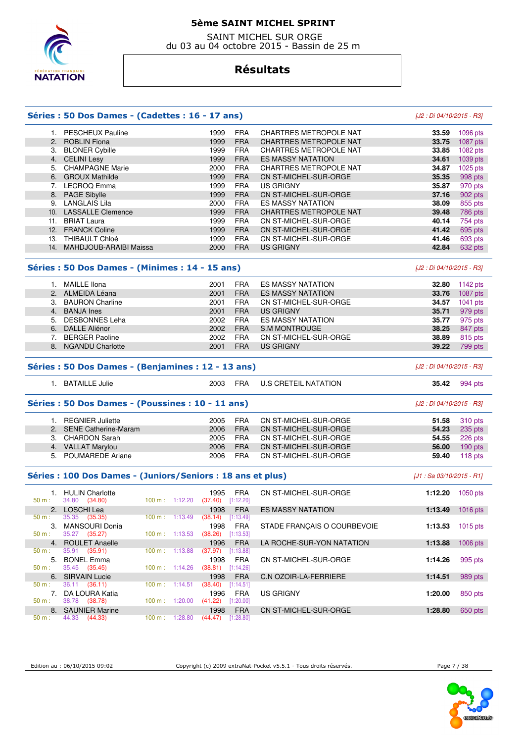

 SAINT MICHEL SUR ORGE du 03 au 04 octobre 2015 - Bassin de 25 m

### **Résultats**

#### **Séries : 50 Dos Dames - (Cadettes : 16 - 17 ans)** [J2 : Di 04/10/2015 - R3]

#### 1. PESCHEUX Pauline 1999 FRA CHARTRES METROPOLE NAT **33.59** 1096 pts 2. ROBLIN Fiona 1999 FRA CHARTRES METROPOLE NAT **33.75** 1087 pts 3. BLONER Cybille 1999 FRA CHARTRES METROPOLE NAT **33.85** 1082 pts 4. CELINI Lesy 1999 FRA ES MASSY NATATION **34.61** 1039 pts 5. CHAMPAGNE Marie 2000 FRA CHARTRES METROPOLE NAT **34.87** 1025 pts 1999 FRA CN ST-MICHEL-SUR-ORGE **35.35**  7. LECROQ Emma 1999 FRA US GRIGNY **35.87** 970 pts 8. PAGE Sibylle 1999 FRA CN ST-MICHEL-SUR-ORGE **37.16** 902 pts 9. LANGLAIS Lila 2000 FRA ES MASSY NATATION 10. LASSALLE Clemence **1999 FRA CHARTRES METROPOLE NAT 39.48** 786 pts<br>11. BRIAT Laura **40.14** 754 pts **1999 FRA CN ST-MICHEL-SUR-ORGE 40.14** 754 pts 11. BRIAT Laura 1999 FRA CN ST-MICHEL-SUR-ORGE 40.14 12. FRANCK Coline 1999 FRA CN ST-MICHEL-SUR-ORGE **41.42** 695 pts 1999 FRA CN ST-MICHEL-SUR-ORGE **41.46** 693 pts 14. MAHDJOUB-ARAIBI Maissa 2000 FRA US GRIGNY **42.84** 632 pts

#### **Séries : 50 Dos Dames - (Minimes : 14 - 15 ans)** [J2 : Di 04/10/2015 - R3]

|    | MAILLE IIona            | 2001 | <b>FRA</b> | <b>ES MASSY NATATION</b> | 32.80 | 1142 $pts$ |
|----|-------------------------|------|------------|--------------------------|-------|------------|
| 2. | ALMEIDA Léana           | 2001 | <b>FRA</b> | <b>ES MASSY NATATION</b> | 33.76 | 1087 pts   |
| 3. | <b>BAURON Charline</b>  | 2001 | <b>FRA</b> | CN ST-MICHEL-SUR-ORGE    | 34.57 | $1041$ pts |
| 4. | <b>BANJA</b> Ines       | 2001 | <b>FRA</b> | US GRIGNY                | 35.71 | 979 pts    |
| 5. | DESBONNES Leha          | 2002 | <b>FRA</b> | <b>ES MASSY NATATION</b> | 35.77 | 975 pts    |
| 6. | DALLE Aliénor           | 2002 | <b>FRA</b> | S.M MONTROUGE            | 38.25 | 847 pts    |
|    | <b>BERGER Paoline</b>   | 2002 | <b>FRA</b> | CN ST-MICHEL-SUR-ORGE    | 38.89 | 815 pts    |
|    | <b>NGANDU Charlotte</b> | 2001 | <b>FRA</b> | <b>US GRIGNY</b>         | 39.22 | 799 pts    |
|    |                         |      |            |                          |       |            |

| Séries : 50 Dos Dames - (Benjamines : 12 - 13 ans)                             | [J2 : Di 04/10/2015 - R3] |  |                               |                      |  |  |
|--------------------------------------------------------------------------------|---------------------------|--|-------------------------------|----------------------|--|--|
| BATAILLE Julie                                                                 |                           |  | 2003 FRA U.S CRETEIL NATATION | <b>35.42</b> 994 pts |  |  |
| Séries : 50 Dos Dames - (Poussines : 10 - 11 ans)<br>[J2 : Di 04/10/2015 - R3] |                           |  |                               |                      |  |  |
|                                                                                |                           |  |                               |                      |  |  |

| 1. REGNIER Juliette     | 2005. |            | FRA CN ST-MICHEL-SUR-ORGE |       | <b>51.58</b> 310 pts |
|-------------------------|-------|------------|---------------------------|-------|----------------------|
| 2. SENE Catherine-Maram | 2006. | <b>FRA</b> | CN ST-MICHEL-SUR-ORGE     |       | <b>54.23</b> 235 pts |
| 3. CHARDON Sarah        | 2005  |            | FRA CN ST-MICHEL-SUR-ORGE |       | <b>54.55</b> 226 pts |
| 4. VALLAT Marylou       | 2006  |            | FRA CN ST-MICHEL-SUR-ORGE | 56.00 | $190$ pts            |
| 5. POUMAREDE Ariane     | 2006  | <b>FRA</b> | CN ST-MICHEL-SUR-ORGE     | 59.40 | 118 $pts$            |

#### **Séries : 100 Dos Dames - (Juniors/Seniors : 18 ans et plus)** [J1 : Sa 03/10/2015 - R1]

| 50 m:    | <b>HULIN Charlotte</b><br>34.80 (34.80) | 1:12.20<br>$100 \text{ m}$ : | 1995<br>FRA<br>[1:12.20]<br>(37.40) | CN ST-MICHEL-SUR-ORGE        | 1:12.20 | $1050$ pts |
|----------|-----------------------------------------|------------------------------|-------------------------------------|------------------------------|---------|------------|
|          | 2. LOSCHI Lea                           |                              | <b>FRA</b><br>1998                  | <b>ES MASSY NATATION</b>     | 1:13.49 | 1016 pts   |
| $50 m$ : | 35.35 (35.35)                           | 1:13.49<br>100 m :           | (38.14)<br>[1:13.49]                |                              |         |            |
| 3.       | <b>MANSOURI Donia</b>                   |                              | FRA<br>1998                         | STADE FRANCAIS O COURBEVOIE  | 1:13.53 | $1015$ pts |
| $50 m$ : | 35.27<br>(35.27)                        | 1:13.53<br>100 m:            | (38.26)<br>[1:13.53]                |                              |         |            |
|          | 4. ROULET Anaelle                       |                              | <b>FRA</b><br>1996                  | LA ROCHE-SUR-YON NATATION    | 1:13.88 | $1006$ pts |
| 50 m:    | 35.91 (35.91)                           | 1:13.88<br>100 m:            | (37.97)<br>[1:13.88]                |                              |         |            |
| 5.       | <b>BONEL Emma</b>                       |                              | <b>FRA</b><br>1998                  | CN ST-MICHEL-SUR-ORGE        | 1:14.26 | 995 pts    |
| $50 m$ : | 35.45 (35.45)                           | 1:14.26<br>$100 \text{ m}$ : | (38.81)<br>[1:14.26]                |                              |         |            |
|          | 6. SIRVAIN Lucie                        |                              | <b>FRA</b><br>1998                  | <b>C.N OZOIR-LA-FERRIERE</b> | 1:14.51 | 989 pts    |
| $50 m$ : | 36.11 (36.11)                           | 100 m :<br>1:14.51           | (38.40)<br>[1:14.51]                |                              |         |            |
|          | DA LOURA Katia                          |                              | <b>FRA</b><br>1996                  | <b>US GRIGNY</b>             | 1:20.00 | 850 pts    |
| $50 m$ : | 38.78 (38.78)                           | 100 m:<br>1:20.00            | (41.22)<br>[1:20.00]                |                              |         |            |
|          | 8. SAUNIER Marine                       |                              | <b>FRA</b><br>1998                  | CN ST-MICHEL-SUR-ORGE        | 1:28.80 | 650 pts    |
| $50 m$ : | 44.33 (44.33)                           | 100 m:<br>1:28.80            | [1:28.80]<br>(44.47)                |                              |         |            |

Edition au : 06/10/2015 09:02 Copyright (c) 2009 extraNat-Pocket v5.5.1 - Tous droits réservés. Page 7 / 38

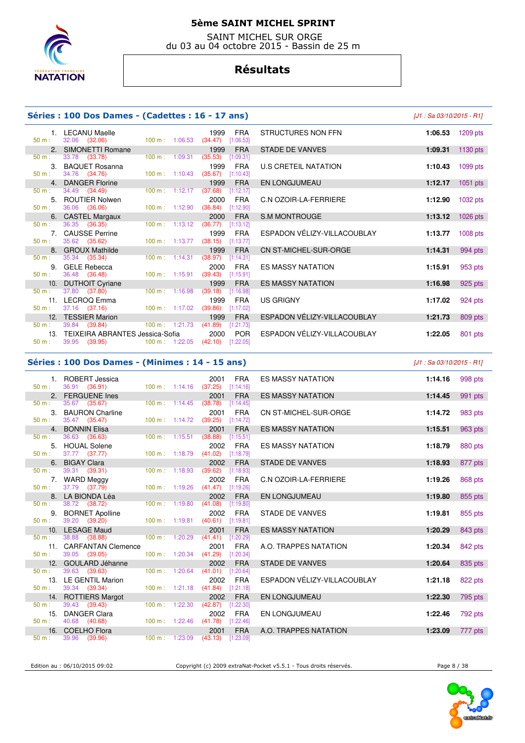

 SAINT MICHEL SUR ORGE du 03 au 04 octobre 2015 - Bassin de 25 m

### **Résultats**

#### **Séries : 100 Dos Dames - (Cadettes : 16 - 17 ans)** [J1 : Sa 03/10/2015 - R1]

| 1.       | <b>LECANU Maelle</b>                |                          |                           | 1999                              | <b>FRA</b> |
|----------|-------------------------------------|--------------------------|---------------------------|-----------------------------------|------------|
| 50 m:    | 32.06 (32.06)                       |                          | $100 \text{ m}$ : 1:06.53 | (34.47)                           | [1:06.53]  |
|          | 2. SIMONETTI Romane                 |                          |                           |                                   | 1999 FRA   |
| 50 m:    | 33.78 (33.78)                       | 100 m: 1:09.31           |                           | $(35.53)$ [1:09.31]               |            |
| 3.       | <b>BAQUET Rosanna</b>               |                          |                           | 1999                              | <b>FRA</b> |
| 50 m:    | 34.76 (34.76)                       |                          | $100 \text{ m}: 1:10.43$  | $(35.67)$ [1:10.43]               |            |
| 4.       | <b>DANGER Florine</b>               |                          |                           |                                   | 1999 FRA   |
| 50 m:    | 34.49 (34.49)                       |                          | $100 \text{ m}: 1:12.17$  | $(37.68)$ [1:12.17]               |            |
| 5.       | <b>ROUTIER Nolwen</b>               |                          |                           | 2000                              | <b>FRA</b> |
| 50 m:    | 36.06 (36.06)                       |                          | $100 \text{ m}$ : 1:12.90 | $(36.84)$ [1:12.90]               |            |
| 6.       | <b>CASTEL Margaux</b>               |                          |                           |                                   | 2000 FRA   |
| 50 m:    | 36.35 (36.35)                       | 100 m:                   | 1:13.12                   | $(36.77)$ [1:13.12]               |            |
| 7.       | <b>CAUSSE Perrine</b>               |                          |                           |                                   | 1999 FRA   |
| 50 m:    | 35.62 (35.62)                       | $100 \text{ m}: 1:13.77$ |                           | (38.15)                           | [1:13.77]  |
|          | 8. GROUX Mathilde                   |                          |                           |                                   | 1999 FRA   |
| 50 m:    | 35.34 (35.34)                       | 100 m:                   | 1:14.31                   | (38.97)                           | [1:14.31]  |
| 9.       | <b>GELE Rebecca</b>                 |                          |                           | 2000                              | <b>FRA</b> |
| 50 m:    | 36.48 (36.48)                       |                          | $100 \text{ m}: 1:15.91$  | $(39.43)$ [1:15.91]               |            |
| 10.      | <b>DUTHOIT Cyriane</b>              |                          |                           |                                   | 1999 FRA   |
| 50 m:    | 37.80 (37.80)                       |                          | $100 \text{ m}: 1:16.98$  | $(39.18)$ [1:16.98]               |            |
| 11.      | LECROQ Emma                         |                          |                           | 1999                              | <b>FRA</b> |
| 50 m:    | 37.16 (37.16)                       |                          | $100 \text{ m}: 1:17.02$  | (39.86)                           | [1:17.02]  |
| 12.      | <b>TESSIER Marion</b>               |                          |                           | 1999                              | <b>FRA</b> |
|          | $50 \text{ m}: 39.84 (39.84)$       |                          |                           | 100 m : 1:21.73 (41.89) [1:21.73] |            |
|          | 13. TEIXEIRA ABRANTES Jessica-Sofia |                          |                           | 2000                              | <b>POR</b> |
| $50 m$ : | 39.95 (39.95) 100 m : 1:22.05       |                          |                           | $(42.10)$ [1:22.05]               |            |
|          |                                     |                          |                           |                                   |            |

### **Séries : 100 Dos Dames - (Minimes : 14 - 15 ans)**

|     | 1. LECANU Maelle<br>32.06 (32.06)                       | $100 \text{ m}$ : 1:06.53 | <b>FRA</b><br>1999<br>(34.47)<br>[1:06.53]                        | STRUCTURES NON FFN           | 1:06.53 | $1209$ pts |
|-----|---------------------------------------------------------|---------------------------|-------------------------------------------------------------------|------------------------------|---------|------------|
| 2.  | SIMONETTI Romane                                        |                           | <b>FRA</b><br>1999                                                | <b>STADE DE VANVES</b>       | 1:09.31 | 1130 pts   |
|     | 33.78 (33.78)                                           | $100 \text{ m}$ : 1:09.31 | [1:09.31]<br>(35.53)                                              |                              |         |            |
| 3.  | <b>BAQUET Rosanna</b><br>34.76 (34.76)                  | 100 m: 1:10.43            | 1999<br>FRA<br>(35.67)<br>[1:10.43]                               | U.S CRETEIL NATATION         | 1:10.43 | $1099$ pts |
|     | <b>DANGER Florine</b>                                   |                           | <b>FRA</b><br>1999                                                |                              |         |            |
| 4.  | 34.49 (34.49)                                           | $100 \text{ m}$ : 1:12.17 | (37.68)<br>[1:12.17]                                              | EN LONGJUMEAU                | 1:12.17 | $1051$ pts |
| 5.  | <b>ROUTIER Nolwen</b>                                   |                           | <b>FRA</b><br>2000                                                | C.N OZOIR-LA-FERRIERE        | 1:12.90 | $1032$ pts |
|     | 36.06 (36.06)                                           | $100 \text{ m}: 1:12.90$  | (36.84)<br>[1:12.90]                                              |                              |         |            |
| 6.  | <b>CASTEL Margaux</b>                                   |                           | 2000<br><b>FRA</b>                                                | <b>S.M MONTROUGE</b>         | 1:13.12 | $1026$ pts |
|     | 36.35 (36.35)                                           | 100 m: 1:13.12            | (36.77)<br>[1:13.12]                                              |                              |         |            |
| 7.  | <b>CAUSSE Perrine</b>                                   |                           | <b>FRA</b><br>1999                                                | ESPADON VÉLIZY-VILLACOUBLAY  | 1:13.77 | $1008$ pts |
|     | 35.62 (35.62)                                           | $100 \text{ m}: 1:13.77$  | (38.15)<br>[1:13.77]                                              |                              |         |            |
| 8.  | <b>GROUX Mathilde</b>                                   |                           | <b>FRA</b><br>1999                                                | <b>CN ST-MICHEL-SUR-ORGE</b> | 1:14.31 | 994 pts    |
|     | 35.34 (35.34)                                           | $100 \text{ m}: 1:14.31$  | (38.97)<br>[1:14.31]                                              |                              |         |            |
| 9.  | <b>GELE Rebecca</b>                                     |                           | FRA<br>2000                                                       | <b>ES MASSY NATATION</b>     | 1:15.91 | 953 pts    |
|     | 36.48 (36.48)                                           | $100 \text{ m}: 1:15.91$  | [1:15.91]<br>(39.43)                                              |                              |         |            |
| 10. | <b>DUTHOIT Cyriane</b>                                  |                           | 1999<br><b>FRA</b>                                                | <b>ES MASSY NATATION</b>     | 1:16.98 | 925 pts    |
|     | 37.80 (37.80)                                           | $100 m$ : 1:16.98         | (39.18)<br>[1:16.98]                                              |                              |         |            |
| 11. | LECROQ Emma                                             |                           | <b>FRA</b><br>1999                                                | US GRIGNY                    | 1:17.02 | 924 pts    |
|     | 37.16 (37.16)                                           | $100 m$ : 1:17.02         | (39.86)<br>[1:17.02]                                              |                              |         |            |
| 12. | <b>TESSIER Marion</b>                                   |                           | <b>FRA</b><br>1999                                                | ESPADON VÉLIZY-VILLACOUBLAY  | 1:21.73 | 809 pts    |
|     | 39.84 (39.84)                                           | 100 m: 1:21.73            | (41.89)<br>[1:21.73]                                              |                              |         |            |
|     | 13. TEIXEIRA ABRANTES Jessica-Sofia<br>$20.05 - 120.05$ |                           | POR<br>2000<br>$(100 - 100)$ $(100 - 0)$ $(100 - 10)$ $(100 - 0)$ | ESPADON VÉLIZY-VILLACOUBLAY  | 1:22.05 | 801 pts    |

| J1 : Sa 03/10/2015 - R1 |  |
|-------------------------|--|
|                         |  |

|                | 1. ROBERT Jessica                    |                | 2001<br><b>FRA</b>                                     | <b>ES MASSY NATATION</b>    | 1:14.16 | 998 pts |
|----------------|--------------------------------------|----------------|--------------------------------------------------------|-----------------------------|---------|---------|
| 50 m:          | 36.91 (36.91)                        |                | 100 m: 1:14.16 (37.25) [1:14.16]                       |                             |         |         |
|                | 2. FERGUENE Ines                     |                | 2001<br><b>FRA</b>                                     | <b>ES MASSY NATATION</b>    | 1:14.45 | 991 pts |
| 50 m:          | 35.67 (35.67)                        | 100 m: 1:14.45 | (38.78)<br>[1:14.45]                                   |                             |         |         |
|                | 3. BAURON Charline                   |                | 2001<br><b>FRA</b>                                     | CN ST-MICHEL-SUR-ORGE       | 1:14.72 | 983 pts |
| 50 m:          | 35.47 (35.47)                        |                | 100 m: 1:14.72 (39.25) [1:14.72]                       |                             |         |         |
|                | 4. BONNIN Elisa<br>36.63 (36.63)     |                | 2001<br><b>FRA</b><br>100 m: 1:15.51 (38.88) [1:15.51] | <b>ES MASSY NATATION</b>    | 1:15.51 | 963 pts |
| $50 m$ :       |                                      |                |                                                        |                             |         |         |
| 5.<br>$50 m$ : | <b>HOUAL Solene</b><br>37.77 (37.77) | 100 m: 1:18.79 | 2002<br><b>FRA</b><br>(41.02)<br>[1:18.79]             | <b>ES MASSY NATATION</b>    | 1:18.79 | 880 pts |
|                | 6. BIGAY Clara                       |                | <b>FRA</b><br>2002                                     |                             |         |         |
| 50 m:          | 39.31 (39.31)                        | 100 m: 1:18.93 | (39.62)<br>[1:18.93]                                   | <b>STADE DE VANVES</b>      | 1:18.93 | 877 pts |
|                | 7. WARD Meggy                        |                | 2002<br><b>FRA</b>                                     | C.N OZOIR-LA-FERRIERE       | 1:19.26 |         |
| $50 m$ :       | 37.79 (37.79)                        |                | 100 m: 1:19.26 (41.47) [1:19.26]                       |                             |         | 868 pts |
|                | 8. LA BIONDA Léa                     |                | 2002<br><b>FRA</b>                                     | EN LONGJUMEAU               | 1:19.80 | 855 pts |
| $50 m$ :       | 38.72 (38.72)                        | 100 m: 1:19.80 | $(41.08)$ [1:19.80]                                    |                             |         |         |
|                | 9. BORNET Apolline                   |                | 2002<br><b>FRA</b>                                     | <b>STADE DE VANVES</b>      | 1:19.81 | 855 pts |
| $50 m$ :       | 39.20 (39.20)                        |                | 100 m: 1:19.81 (40.61) [1:19.81]                       |                             |         |         |
|                | 10. LESAGE Maud                      |                | <b>FRA</b><br>2001                                     | <b>ES MASSY NATATION</b>    | 1:20.29 | 843 pts |
| 50 m:          | 38.88 (38.88)                        | 100 m: 1:20.29 | (41.41)<br>[1:20.29]                                   |                             |         |         |
|                | 11. CARFANTAN Clemence               |                | <b>FRA</b><br>2001                                     | A.O. TRAPPES NATATION       | 1:20.34 | 842 pts |
| 50 m:          | 39.05 (39.05)                        |                | 100 m: 1:20.34 (41.29) [1:20.34]                       |                             |         |         |
|                | 12. GOULARD Jéhanne                  |                | 2002<br><b>FRA</b>                                     | <b>STADE DE VANVES</b>      | 1:20.64 | 835 pts |
| 50 m:          | 39.63 (39.63)                        | 100 m: 1:20.64 | (41.01)<br>[1:20.64]                                   |                             |         |         |
|                | 13. LE GENTIL Marion                 |                | 2002<br><b>FRA</b>                                     | ESPADON VÉLIZY-VILLACOUBLAY | 1:21.18 | 822 pts |
| 50 m:          | 39.34 (39.34)                        |                | 100 m: 1:21.18 (41.84) [1:21.18]                       |                             |         |         |
|                | 14. ROTTIERS Margot                  |                | 2002<br><b>FRA</b>                                     | <b>EN LONGJUMEAU</b>        | 1:22.30 | 795 pts |
| $50 m$ :       | 39.43 (39.43)                        |                | 100 m: 1:22.30 (42.87) [1:22.30]                       |                             |         |         |
|                | 15. DANGER Clara                     |                | <b>FRA</b><br>2002                                     | EN LONGJUMEAU               | 1:22.46 | 792 pts |
| 50 m:          | 40.68 (40.68)                        |                | 100 m: 1:22.46 (41.78) [1:22.46]                       |                             |         |         |
|                | 16. COELHO Flora                     |                | 2001<br><b>FRA</b>                                     | A.O. TRAPPES NATATION       | 1:23.09 | 777 pts |
| 50 m:          | 39.96 (39.96)                        | 100 m: 1:23.09 | $(43.13)$ [1:23.09]                                    |                             |         |         |
|                |                                      |                |                                                        |                             |         |         |

Edition au : 06/10/2015 09:02 Copyright (c) 2009 extraNat-Pocket v5.5.1 - Tous droits réservés. Page 8 / 38

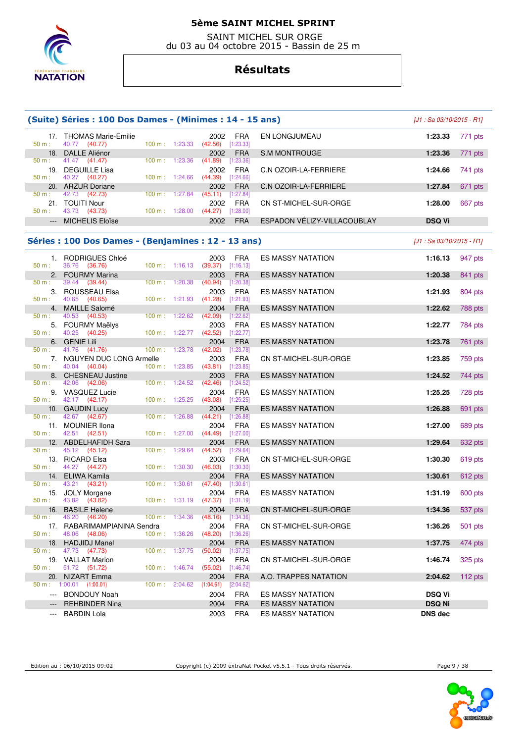

 SAINT MICHEL SUR ORGE du 03 au 04 octobre 2015 - Bassin de 25 m

# **Résultats**

| (Suite) Séries : 100 Dos Dames - (Minimes : 14 - 15 ans) | $[J1: Sa 03/10/2015 - R1]$                                |                                  |         |                                               |                           |                             |                            |           |
|----------------------------------------------------------|-----------------------------------------------------------|----------------------------------|---------|-----------------------------------------------|---------------------------|-----------------------------|----------------------------|-----------|
| 50 m:                                                    | 17. THOMAS Marie-Emilie<br>40.77 (40.77)                  | 100 m: 1:23.33                   |         | 2002<br>(42.56)                               | FRA<br>[1:23.33]          | EN LONGJUMEAU               | 1:23.33                    | 771 pts   |
| 18.                                                      | <b>DALLE Aliénor</b>                                      |                                  |         | 2002                                          | <b>FRA</b>                | S.M MONTROUGE               | 1:23.36                    | 771 pts   |
| 50 m:                                                    | 41.47 (41.47)<br>19. DEGUILLE Lisa                        | 100 m: 1:23.36                   |         | (41.89)<br>2002                               | $[1:23.36]$<br><b>FRA</b> | C.N OZOIR-LA-FERRIERE       | 1:24.66                    | 741 pts   |
| 50 m:                                                    | 40.27 (40.27)<br>20. ARZUR Doriane                        | 100 m: 1:24.66                   |         | $(44.39)$ [1:24.66]<br>2002                   | <b>FRA</b>                | C.N OZOIR-LA-FERRIERE       | 1:27.84                    | 671 pts   |
| $50 m$ :                                                 | 42.73 (42.73)                                             | $100 \text{ m}: 1:27.84$         |         | $(45.11)$ [1:27.84]                           |                           |                             |                            |           |
| 50 m:                                                    | 21. TOUITI Nour<br>43.73 (43.73)                          | 100 m: 1:28.00                   |         | 2002<br>$(44.27)$ [1:28.00]                   | FRA                       | CN ST-MICHEL-SUR-ORGE       | 1:28.00                    | 667 pts   |
| $\cdots$                                                 | <b>MICHELIS Eloïse</b>                                    |                                  |         | 2002                                          | <b>FRA</b>                | ESPADON VÉLIZY-VILLACOUBLAY | <b>DSQ Vi</b>              |           |
|                                                          | Séries : 100 Dos Dames - (Benjamines : 12 - 13 ans)       |                                  |         |                                               |                           |                             | $[J1: Sa 03/10/2015 - R1]$ |           |
| 50 m:                                                    | 1. RODRIGUES Chloé<br>36.76 (36.76)                       | 100 m: 1:16.13                   |         | 2003<br>$(39.37)$ [1:16.13]                   | FRA                       | <b>ES MASSY NATATION</b>    | 1:16.13                    | 947 pts   |
| 2.                                                       | <b>FOURMY Marina</b>                                      |                                  |         | 2003                                          | <b>FRA</b>                | ES MASSY NATATION           | 1:20.38                    | 841 pts   |
| 50 m:<br>3.                                              | 39.44<br>(39.44)<br>ROUSSEAU Elsa                         | 100 m: 1:20.38                   |         | (40.94)<br>2003                               | $[1:20.38]$<br><b>FRA</b> | ES MASSY NATATION           | 1:21.93                    | 804 pts   |
| 50 m:                                                    | 40.65 (40.65)<br>4. MAILLE Salomé                         | 100 m: 1:21.93                   |         | $(41.28)$ [1:21.93]<br>2004                   | <b>FRA</b>                | <b>ES MASSY NATATION</b>    | 1:22.62                    | 788 pts   |
| 50 m:                                                    | 40.53 (40.53)                                             | 100 m: 1:22.62                   |         | (42.09)                                       | [1:22.62]                 |                             |                            |           |
| 50 m:                                                    | 5. FOURMY Maëlys<br>40.25<br>(40.25)                      | 100 m: 1:22.77                   |         | 2003<br>(42.52)                               | FRA<br>$[1:22.77]$        | ES MASSY NATATION           | 1:22.77                    | 784 pts   |
|                                                          | 6. GENIE Lili<br>(41.76)                                  |                                  |         | 2004                                          | <b>FRA</b>                | <b>ES MASSY NATATION</b>    | 1:23.78                    | 761 pts   |
| 50 m :<br>50 m:                                          | 41.76<br>7. NGUYEN DUC LONG Armelle<br>40.04<br>(40.04)   | 100 m: 1:23.78<br>100 m: 1:23.85 |         | (42.02)<br>2003<br>$(43.81)$ [1:23.85]        | [1:23.78]<br><b>FRA</b>   | CN ST-MICHEL-SUR-ORGE       | 1:23.85                    | 759 pts   |
|                                                          | 8. CHESNEAU Justine                                       |                                  |         | 2003                                          | <b>FRA</b>                | <b>ES MASSY NATATION</b>    | 1:24.52                    | 744 pts   |
| $50 m$ :                                                 | 42.06 (42.06)<br>9. VASQUEZ Lucie                         | $100 \text{ m}$ :                | 1:24.52 | (42.46)<br>2004                               | $[1:24.52]$<br><b>FRA</b> | ES MASSY NATATION           | 1:25.25                    | 728 pts   |
| $50 m$ :                                                 | 42.17 (42.17)                                             | 100 m: 1:25.25                   |         | $(43.08)$ [1:25.25]<br>2004                   |                           |                             |                            |           |
| 10.<br>$50 m$ :                                          | <b>GAUDIN Lucy</b><br>42.67 (42.67)                       | 100 m: 1:26.88                   |         | $(44.21)$ [1:26.88]                           | <b>FRA</b>                | <b>ES MASSY NATATION</b>    | 1:26.88                    | 691 pts   |
| 50 m:                                                    | 11. MOUNIER Ilona<br>42.51 (42.51)                        | 100 m: 1:27.00                   |         | 2004<br>$(44.49)$ [1:27.00]                   | <b>FRA</b>                | ES MASSY NATATION           | 1:27.00                    | 689 pts   |
|                                                          | 12. ABDELHAFIDH Sara                                      |                                  |         | 2004                                          | <b>FRA</b>                | <b>ES MASSY NATATION</b>    | 1:29.64                    | 632 pts   |
| 50 m:                                                    | 45.12 (45.12)<br>13. RICARD Elsa                          | 100 m: 1:29.64                   |         | (44.52)<br>2003                               | $[1:29.64]$<br><b>FRA</b> | CN ST-MICHEL-SUR-ORGE       | 1:30.30                    | 619 pts   |
| 50 m:                                                    | 44.27 (44.27)                                             | 100 m: 1:30.30                   |         | (46.03)                                       | [1:30.30]                 |                             |                            |           |
| 14.<br>$50 m$ :                                          | ELIWA Kamila                                              |                                  |         | 2004                                          | <b>FRA</b>                | ES MASSY NATATION           | 1:30.61                    | 612 pts   |
|                                                          | 43.21<br>(43.21)<br>15. JOLY Morgane                      | 100 m: 1:30.61                   |         | $(47.40)$ [1:30.61]<br>2004                   | FRA                       | ES MASSY NATATION           | 1:31.19                    | 600 pts   |
| 50 m:                                                    | 43.82 (43.82)                                             |                                  |         | $100 \text{ m}$ : $1:31.19$ (47.37) [1:31.19] |                           |                             |                            |           |
| 16.<br>50 m:                                             | <b>BASILE Helene</b><br>46.20<br>(46.20)                  | 100 m: 1:34.36                   |         | 2004<br>(48.16)                               | <b>FRA</b><br>[1:34.36]   | CN ST-MICHEL-SUR-ORGE       | 1:34.36                    | 537 pts   |
|                                                          | 17. RABARIMAMPIANINA Sendra                               |                                  |         | 2004                                          | <b>FRA</b>                | CN ST-MICHEL-SUR-ORGE       | 1:36.26                    | 501 pts   |
| 50 m:<br>18.                                             | 48.06 (48.06)<br><b>HADJIDJ Manel</b>                     | $100 m$ : 1:36.26                |         | $(48.20)$ [1:36.26]<br>2004                   | <b>FRA</b>                | <b>ES MASSY NATATION</b>    | 1:37.75                    | 474 pts   |
| 50 m:                                                    | 47.73<br>(47.73)                                          | 100 m: 1:37.75                   |         | (50.02)                                       | $[1:37.75]$               |                             |                            |           |
| 50 m:                                                    | 19. VALLAT Marion<br>51.72 (51.72)                        | $100 m$ : 1:46.74                |         | 2004<br>(55.02)                               | <b>FRA</b><br>$[1:46.74]$ | CN ST-MICHEL-SUR-ORGE       | 1:46.74                    | 325 pts   |
| 20.                                                      | <b>NIZART</b> Emma                                        |                                  |         | 2004                                          | <b>FRA</b>                | A.O. TRAPPES NATATION       | 2:04.62                    | 112 $pts$ |
| $\scriptstyle\cdots$                                     | $50 \text{ m}$ : 1:00.01 (1:00.01)<br><b>BONDOUY Noah</b> | $100 \text{ m}$ :                | 2:04.62 | (1:04.61)<br>2004                             | [2:04.62]<br><b>FRA</b>   | <b>ES MASSY NATATION</b>    | <b>DSQ Vi</b>              |           |
|                                                          | <b>REHBINDER Nina</b>                                     |                                  |         | 2004                                          | <b>FRA</b>                | ES MASSY NATATION           | <b>DSQ Ni</b>              |           |
| $\cdots$                                                 | <b>BARDIN Lola</b>                                        |                                  |         | 2003                                          | <b>FRA</b>                | ES MASSY NATATION           | <b>DNS dec</b>             |           |

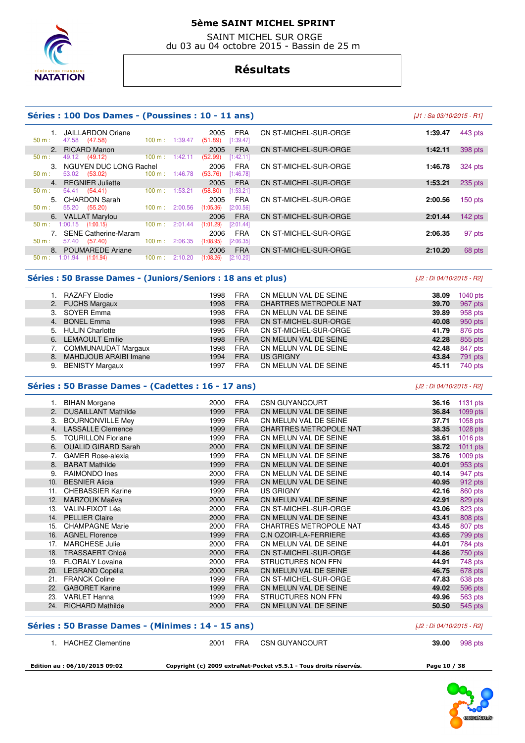

 SAINT MICHEL SUR ORGE du 03 au 04 octobre 2015 - Bassin de 25 m

### **Résultats**

#### **Séries : 100 Dos Dames - (Poussines : 10 - 11 ans)** [J1 : Sa 03/10/2015 - R1]

|                             | <b>JAILLARDON Oriane</b>    |                   |         | 2005      | <b>FRA</b> | CN ST-MICHEL-SUR-ORGE        | 1:39.47 | 443 pts   |
|-----------------------------|-----------------------------|-------------------|---------|-----------|------------|------------------------------|---------|-----------|
| 50 m:                       | 47.58 (47.58)               | $100 \text{ m}$ : | 1:39.47 | (51.89)   | [1:39.47]  |                              |         |           |
| 2.                          | <b>RICARD Manon</b>         |                   |         | 2005      | <b>FRA</b> | CN ST-MICHEL-SUR-ORGE        | 1:42.11 | 398 pts   |
| $50 m$ :                    | 49.12 (49.12)               | 100 m:            | 1:42.11 | (52.99)   | [1:42.11]  |                              |         |           |
| $\mathcal{B}_{\mathcal{A}}$ | NGUYEN DUC LONG Rachel      |                   |         | 2006      | <b>FRA</b> | CN ST-MICHEL-SUR-ORGE        | 1:46.78 | 324 pts   |
| $50 m$ :                    | 53.02 (53.02)               | $100 \text{ m}$ : | 1:46.78 | (53.76)   | [1:46.78]  |                              |         |           |
|                             | 4. REGNIER Juliette         |                   |         | 2005      | <b>FRA</b> | CN ST-MICHEL-SUR-ORGE        | 1:53.21 | 235 pts   |
| $50 m$ :                    | 54.41 (54.41)               | 100 m:            | 1:53.21 | (58.80)   | [1:53.21]  |                              |         |           |
|                             | 5. CHARDON Sarah            |                   |         | 2005      | <b>FRA</b> | CN ST-MICHEL-SUR-ORGE        | 2:00.56 | $150$ pts |
| $50 m$ :                    | 55.20 (55.20)               | $100 \text{ m}$ : | 2:00.56 | (1:05.36) | [2:00.56]  |                              |         |           |
|                             | 6. VALLAT Marylou           |                   |         | 2006      | <b>FRA</b> | <b>CN ST-MICHEL-SUR-ORGE</b> | 2:01.44 | $142$ pts |
| $50 m$ :                    | $1:00.15$ $(1:00.15)$       | $100 \text{ m}$ : | 2:01.44 | (1:01.29) | [2:01.44]  |                              |         |           |
| 7 <sup>1</sup>              | <b>SENE Catherine-Maram</b> |                   |         | 2006      | <b>FRA</b> | CN ST-MICHEL-SUR-ORGE        | 2:06.35 | 97 pts    |
| $50 m$ :                    | 57.40 (57.40)               | $100 \text{ m}$ : | 2:06.35 | (1:08.95) | [2:06.35]  |                              |         |           |
|                             | 8. POUMAREDE Ariane         |                   |         | 2006      | <b>FRA</b> | <b>CN ST-MICHEL-SUR-ORGE</b> | 2:10.20 | 68 pts    |
| $50 m$ :                    | 1:01.94<br>(1:01.94)        | 100 m:            | 2:10.20 | (1:08.26) | [2:10.20]  |                              |         |           |

#### **Séries : 50 Brasse Dames - (Juniors/Seniors : 18 ans et plus)** [J2 : Di 04/10/2015 - R2]

| 1. RAZAFY Elodie         | 1998<br><b>FRA</b> | CN MELUN VAL DE SEINE         | $1040$ pts<br>38.09 |
|--------------------------|--------------------|-------------------------------|---------------------|
| 2. FUCHS Margaux         | 1998<br><b>FRA</b> | <b>CHARTRES METROPOLE NAT</b> | 967 pts<br>39.70    |
| 3. SOYER Emma            | 1998<br><b>FRA</b> | CN MELUN VAL DE SEINE         | 958 pts<br>39.89    |
| 4. BONEL Emma            | 1998<br><b>FRA</b> | CN ST-MICHEL-SUR-ORGE         | 950 pts<br>40.08    |
| 5. HULIN Charlotte       | 1995<br><b>FRA</b> | CN ST-MICHEL-SUR-ORGE         | 876 pts<br>41.79    |
| 6. LEMAOULT Emilie       | 1998<br><b>FRA</b> | CN MELUN VAL DE SEINE         | 855 pts<br>42.28    |
| 7. COMMUNAUDAT Margaux   | 1998<br><b>FRA</b> | CN MELUN VAL DE SEINE         | 847 pts<br>42.48    |
| 8. MAHDJOUB ARAIBI Imane | <b>FRA</b><br>1994 | US GRIGNY                     | 791 pts<br>43.84    |
| 9. BENISTY Margaux       | 1997<br><b>FRA</b> | CN MELUN VAL DE SEINE         | 740 pts<br>45.11    |

#### **Séries : 50 Brasse Dames - (Cadettes : 16 - 17 ans)** [J2 : Di 04/10/2015 - R2]

 1. BIHAN Morgane 2000 FRA CSN GUYANCOURT **36.16** 1131 pts 2. DUSAILLANT Mathilde 1999 FRA CN MELUN VAL DE SEINE **36.84** 1099 pts 3. BOURNONVILLE Mey 1999 FRA CN MELUN VAL DE SEINE **37.71** 1058 pts 4. LASSALLE Clemence 1999 FRA CHARTRES METROPOLE NAT **38.35** 1028 pts 5. TOURILLON Floriane 1999 FRA CN MELUN VAL DE SEINE **38.61** 1016 pts 6. OUALID GIRARD Sarah 2000 FRA CN MELUN VAL DE SEINE **38.72** 1011 pts 7. GAMER Rose-alexia 1999 FRA CN MELUN VAL DE SEINE **38.76** 1009 pts 8. BARAT Mathilde 1999 FRA CN MELUN VAL DE SEINE **40.01** 953 pts 9. RAIMONDO Ines 2000 FRA CN MELUN VAL DE SEINE **40.14** 947 pts 10. BESNIER Alicia 1999 FRA CN MELUN VAL DE SEINE **40.95** 912 pts 11. CHEBASSIER Karine **1999 FRA US GRIGNY 11. CHEBASSIER Karine 42.16**  12. MARZOUK Maëva 2000 FRA CN MELUN VAL DE SEINE **42.91** 829 pts 13. VALIN-FIXOT Léa 2000 FRA CN ST-MICHEL-SUR-ORGE **43.06** 823 pts 14. PELLIER Claire 2000 FRA CN MELUN VAL DE SEINE **43.41** 808 pts 15. CHAMPAGNE Marie 2000 FRA CHARTRES METROPOLE NAT **43.45** 807 pts 16. AGNEL Florence 1999 FRA C.N OZOIR-LA-FERRIERE **43.65** 799 pts 17. MARCHESE Julie 2000 FRA CN MELUN VAL DE SEINE **44.01** 784 pts 18. TRASSAERT Chloé 2000 FRA CN ST-MICHEL-SUR-ORGE **44.86** 750 pts 19. FLORALY Lovaina 2000 FRA STRUCTURES NON FFN **44.91** 748 pts 20. LEGRAND Copélia 2000 FRA CN MELUN VAL DE SEINE **46.75** 678 pts 21. FRANCK Coline 1999 FRA CN ST-MICHEL-SUR-ORGE **47.83** 638 pts 22. GABORET Karine 1999 FRA CN MELUN VAL DE SEINE **49.02** 596 pts 23. VARLET Hanna 1999 FRA STRUCTURES NON FFN **49.96** 563 pts 24. RICHARD Mathilde 2000 FRA CN MELUN VAL DE SEINE **50.50** 545 pts

#### **Séries : 50 Brasse Dames - (Minimes : 14 - 15 ans)** [J2 : Di 04/10/2015 - R2]

| HACHEZ Clementine             | 2001 | <b>FRA</b> | <b>CSN GUYANCOURT</b>                                             | 39.00        | 998 pts |
|-------------------------------|------|------------|-------------------------------------------------------------------|--------------|---------|
| Edition au : 06/10/2015 09:02 |      |            | Copyright (c) 2009 extraNat-Pocket v5.5.1 - Tous droits réservés. | Page 10 / 38 |         |

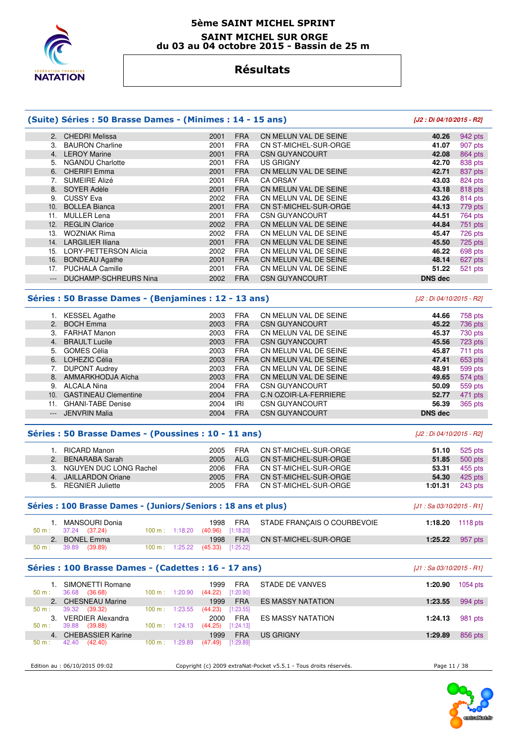

#### **5ème SAINT MICHEL SPRINT SAINT MICHEL SUR ORGE du 03 au 04 octobre 2015 - Bassin de 25 m**

# **Résultats**

### **(Suite) Séries : 50 Brasse Dames - (Minimes : 14 - 15 ans) [J2 : Di 04/10/2015 - R2]**

#### 2. CHEDRI Melissa 2001 FRA CN MELUN VAL DE SEINE **40.26** 942 pts 3. BAURON Charline 2001 FRA CN ST-MICHEL-SUR-ORGE **41.07** 907 pts 4. LEROY Marine 2001 FRA CSN GUYANCOURT **42.08** 864 pts 5. NGANDU Charlotte 2001 FRA US GRIGNY **42.70** 838 pts 6. CHERIFI Emma 2001 FRA CN MELUN VAL DE SEINE 7. SUMEIRE Alizé 2001 FRA CA ORSAY **43.03** 824 pts 8. SOYER Adèle 2001 FRA CN MELUN VAL DE SEINE **43.18** 818 pts 9. CUSSY Eva 2002 FRA CN MELUN VAL DE SEINE **43.26** 814 pts 10. BOLLEA Bianca 2001 FRA CN ST-MICHEL-SUR-ORGE **44.13** 779 pts 11. MULLER Lena 2001 FRA CSN GUYANCOURT **44.51** 764 pts 12. REGLIN Clarice 2002 FRA CN MELUN VAL DE SEINE **44.84** 751 pts 13. WOZNIAK Rima 2002 FRA CN MELUN VAL DE SEINE **45.47** 726 pts 14. LARGILIER Iliana 2001 FRA CN MELUN VAL DE SEINE **45.50** 725 pts 15. LORY-PETTERSON Alicia 2002 FRA CN MELUN VAL DE SEINE **46.22** 698 pts 16. BONDEAU Agathe 2001 FRA CN MELUN VAL DE SEINE **48.14** 627 pts 17. PUCHALA Camille 2001 FRA CN MELUN VAL DE SEINE **51.22** 521 pts --- DUCHAMP-SCHREURS Nina 2002 FRA CSN GUYANCOURT **DNS dec**

#### **Séries : 50 Brasse Dames - (Benjamines : 12 - 13 ans)** [J2 : Di 04/10/2015 - R2]

|                     | <b>KESSEL Agathe</b>        | 2003 | <b>FRA</b> | CN MELUN VAL DE SEINE        | 44.66          | 758 pts   |
|---------------------|-----------------------------|------|------------|------------------------------|----------------|-----------|
| 2.                  | <b>BOCH Emma</b>            | 2003 | <b>FRA</b> | <b>CSN GUYANCOURT</b>        | 45.22          | 736 pts   |
| 3.                  | <b>FARHAT Manon</b>         | 2003 | <b>FRA</b> | CN MELUN VAL DE SEINE        | 45.37          | 730 pts   |
| 4.                  | <b>BRAULT Lucile</b>        | 2003 | <b>FRA</b> | <b>CSN GUYANCOURT</b>        | 45.56          | 723 pts   |
| 5.                  | GOMES Célia                 | 2003 | <b>FRA</b> | CN MELUN VAL DE SEINE        | 45.87          | $711$ pts |
| 6.                  | LOHEZIC Célia               | 2003 | <b>FRA</b> | CN MELUN VAL DE SEINE        | 47.41          | 653 pts   |
| 7.                  | <b>DUPONT Audrey</b>        | 2003 | <b>FRA</b> | CN MELUN VAL DE SEINE        | 48.91          | 599 pts   |
|                     | 8. AMMARKHODJA Aïcha        | 2003 | <b>FRA</b> | CN MELUN VAL DE SEINE        | 49.65          | 574 pts   |
| 9.                  | ALCALA Nina                 | 2004 | <b>FRA</b> | <b>CSN GUYANCOURT</b>        | 50.09          | 559 pts   |
| 10.                 | <b>GASTINEAU Clementine</b> | 2004 | <b>FRA</b> | <b>C.N OZOIR-LA-FERRIERE</b> | 52.77          | 471 pts   |
| 11.                 | <b>GHANI-TABE Denise</b>    | 2004 | IRI        | <b>CSN GUYANCOURT</b>        | 56.39          | 365 pts   |
| $\qquad \qquad - -$ | <b>JENVRIN Malia</b>        | 2004 | <b>FRA</b> | <b>CSN GUYANCOURT</b>        | <b>DNS</b> dec |           |

#### **Séries : 50 Brasse Dames - (Poussines : 10 - 11 ans)** [J2 : Di 04/10/2015 - R2]

| RICARD Manon              | 2005 | FRA        | CN ST-MICHEL-SUR-ORGE | 51.10   | 525 pts   |
|---------------------------|------|------------|-----------------------|---------|-----------|
| 2. BENARABA Sarah         | 2005 | AI G       | CN ST-MICHEL-SUR-ORGE | 51.85   | 500 pts   |
| 3. NGUYEN DUC LONG Rachel | 2006 | FRA        | CN ST-MICHEL-SUR-ORGE | 53.31   | 455 pts   |
| 4. JAILLARDON Oriane      | 2005 | <b>FRA</b> | CN ST-MICHEL-SUR-ORGE | 54.30   | $425$ pts |
| 5. REGNIER Juliette       | 2005 | <b>FRA</b> | CN ST-MICHEL-SUR-ORGE | 1:01.31 | 243 pts   |

#### **Séries : 100 Brasse Dames - (Juniors/Seniors : 18 ans et plus)** [J1 : Sa 03/10/2015 - R1]

| $50 \text{ m}: 37.24 (37.24)$ |               | . MANSOURI Donia | $100 \text{ m}$ : 1:18.20 (40.96) [1:18.20] | 1998 | FRA        | STADE FRANÇAIS O COURBEVOIE  | 1:18.20 $1118 \text{ pts}$ |
|-------------------------------|---------------|------------------|---------------------------------------------|------|------------|------------------------------|----------------------------|
|                               | 2. BONEL Emma |                  |                                             | 1998 | <b>FRA</b> | <b>CN ST-MICHEL-SUR-ORGE</b> | 1:25.22 $957 \text{ pts}$  |
| 50 m:                         | 39.89 (39.89) |                  | $100 \text{ m}: 1:25.22$ (45.33) [1:25.22]  |      |            |                              |                            |

#### **Séries : 100 Brasse Dames - (Cadettes : 16 - 17 ans)** [J1 : Sa 03/10/2015 - R1]

| SIMONETTI Romane<br>36.68<br>(36.68)<br>50 m: | 100 m:<br>1:20.90            | <b>FRA</b><br>1999<br>[1:20.90]<br>(44.22) | STADE DE VANVES          | 1054 pts<br>1:20.90 |
|-----------------------------------------------|------------------------------|--------------------------------------------|--------------------------|---------------------|
| 2. CHESNEAU Marine                            |                              | <b>FRA</b><br>1999                         | <b>ES MASSY NATATION</b> | 994 pts<br>1:23.55  |
| 39.32<br>(39.32)<br>$50 m$ :                  | 1:23.55<br>100 m:            | [1:23.55]<br>(44.23)                       |                          |                     |
| <b>VERDIER Alexandra</b><br>3.                |                              | <b>FRA</b><br>2000                         | <b>ES MASSY NATATION</b> | 981 pts<br>1:24.13  |
| 39.88<br>(39.88)<br>50 m:                     | $100 \text{ m}$ :<br>1:24.13 | [1:24.13]<br>(44.25)                       |                          |                     |
| <b>CHEBASSIER Karine</b><br>4 <sup>1</sup>    |                              | <b>FRA</b><br>1999                         | US GRIGNY                | 856 pts<br>1:29.89  |
| 42.40<br>(42.40)<br>50 m:                     | 1:29.89<br>100 m:            | (47.49)<br>[1:29.89]                       |                          |                     |
|                                               |                              |                                            |                          |                     |

Edition au : 06/10/2015 09:02 Copyright (c) 2009 extraNat-Pocket v5.5.1 - Tous droits réservés. Page 11 / 38

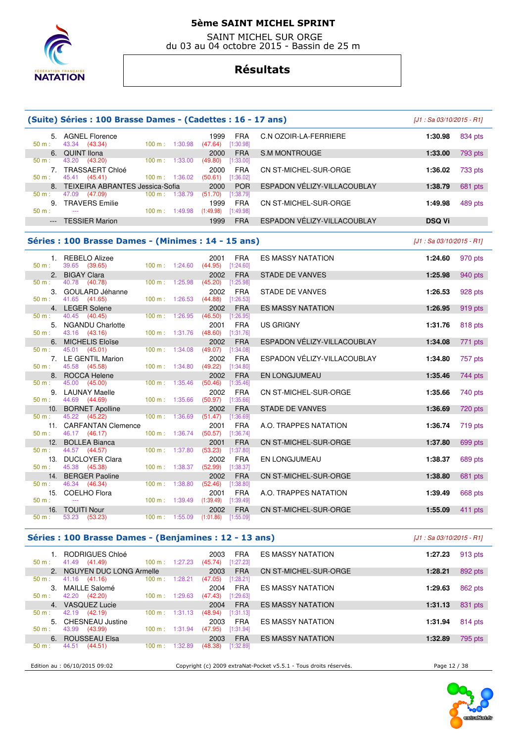

 SAINT MICHEL SUR ORGE du 03 au 04 octobre 2015 - Bassin de 25 m

# **Résultats**

|                 | (Suite) Séries : 100 Brasse Dames - (Cadettes : 16 - 17 ans) |                           |         |                                 |                           |                             | $[J1: Sa 03/10/2015 - R1]$ |           |
|-----------------|--------------------------------------------------------------|---------------------------|---------|---------------------------------|---------------------------|-----------------------------|----------------------------|-----------|
| 50 m:           | 5. AGNEL Florence<br>43.34<br>(43.34)                        | 100 m: 1:30.98            |         | 1999<br>(47.64)                 | <b>FRA</b><br>[1:30.98]   | C.N OZOIR-LA-FERRIERE       | 1:30.98                    | 834 pts   |
| 6.              | <b>QUINT Ilona</b>                                           |                           |         | 2000                            | <b>FRA</b>                | S.M MONTROUGE               | 1:33.00                    | 793 pts   |
| $50 m$ :        | 43.20<br>(43.20)<br>7. TRASSAERT Chloé                       | 100 m: 1:33.00            |         | (49.80)<br>2000                 | [1:33.00]<br><b>FRA</b>   | CN ST-MICHEL-SUR-ORGE       | 1:36.02                    | 733 pts   |
| $50 m$ :        | 45.41<br>(45.41)                                             | 100 m: 1:36.02            |         | (50.61)                         | [1:36.02]                 | ESPADON VÉLIZY-VILLACOUBLAY |                            |           |
| $50 m$ :        | 8. TEIXEIRA ABRANTES Jessica-Sofia<br>47.09<br>(47.09)       | 100 m: 1:38.79            |         | 2000<br>(51.70)                 | <b>POR</b><br>$[1:38.79]$ |                             | 1:38.79                    | 681 pts   |
| $50 m$ :        | 9. TRAVERS Emilie<br>$\sim$                                  | 100 m: 1:49.98            |         | 1999<br>$(1:49.98)$ $[1:49.98]$ | <b>FRA</b>                | CN ST-MICHEL-SUR-ORGE       | 1:49.98                    | 489 pts   |
| $\cdots$        | <b>TESSIER Marion</b>                                        |                           |         | 1999                            | <b>FRA</b>                | ESPADON VÉLIZY-VILLACOUBLAY | <b>DSQ Vi</b>              |           |
|                 | Séries : 100 Brasse Dames - (Minimes : 14 - 15 ans)          |                           |         |                                 |                           |                             | $[J1: Sa 03/10/2015 - R1]$ |           |
|                 | 1. REBELO Alizee                                             |                           |         | 2001                            | <b>FRA</b>                | <b>ES MASSY NATATION</b>    | 1:24.60                    | 970 pts   |
| $50 m$ :        | 39.65<br>(39.65)                                             | 100 m: 1:24.60            |         | $(44.95)$ [1:24.60]             |                           |                             |                            |           |
| 2.<br>50 m:     | <b>BIGAY Clara</b><br>40.78<br>(40.78)                       | 100 m:                    | 1:25.98 | 2002<br>(45.20)                 | <b>FRA</b><br>[1:25.98]   | <b>STADE DE VANVES</b>      | 1:25.98                    | 940 pts   |
| 3.<br>50 m:     | GOULARD Jéhanne<br>41.65 (41.65)                             | 100 m:                    | 1:26.53 | 2002<br>(44.88)                 | <b>FRA</b><br>[1:26.53]   | STADE DE VANVES             | 1:26.53                    | 928 pts   |
| 4.              | <b>LEGER Solene</b>                                          |                           |         | 2002                            | <b>FRA</b>                | <b>ES MASSY NATATION</b>    | 1:26.95                    | 919 pts   |
| 50 m:           | 40.45<br>(40.45)<br>5. NGANDU Charlotte                      | 100 m:                    | 1:26.95 | (46.50)<br>2001                 | [1:26.95]<br><b>FRA</b>   | <b>US GRIGNY</b>            | 1:31.76                    | 818 pts   |
| 50 m:           | 43.16<br>(43.16)                                             | 100 m: 1:31.76            |         | (48.60)                         | [1:31.76]                 |                             |                            |           |
| 6.<br>50 m:     | <b>MICHELIS Eloïse</b><br>45.01<br>(45.01)                   | 100 m:                    | 1:34.08 | 2002<br>(49.07)                 | <b>FRA</b><br>[1:34.08]   | ESPADON VÉLIZY-VILLACOUBLAY | 1:34.08                    | 771 pts   |
| 50 m:           | 7. LE GENTIL Marion<br>45.58 (45.58)                         | 100 m: 1:34.80            |         | 2002<br>(49.22)                 | FRA<br>[1:34.80]          | ESPADON VÉLIZY-VILLACOUBLAY | 1:34.80                    | 757 pts   |
| 8.              | <b>ROCCA Helene</b>                                          |                           |         | 2002                            | <b>FRA</b>                | EN LONGJUMEAU               | 1:35.46                    | 744 pts   |
| 50 m:           | 45.00<br>(45.00)<br>9. LAUNAY Maelle                         | 100 m:                    | 1:35.46 | (50.46)<br>2002                 | [1:35.46]<br><b>FRA</b>   | CN ST-MICHEL-SUR-ORGE       | 1:35.66                    | 740 pts   |
| $50 m$ :        | 44.69<br>(44.69)                                             | $100 \text{ m}$ : 1:35.66 |         | (50.97)                         | [1:35.66]                 |                             |                            |           |
| 10.<br>$50 m$ : | <b>BORNET Apolline</b><br>45.22<br>(45.22)                   | 100 m:                    | 1:36.69 | 2002<br>(51.47)                 | <b>FRA</b><br>[1:36.69]   | <b>STADE DE VANVES</b>      | 1:36.69                    | 720 pts   |
| 50 m:           | 11. CARFANTAN Clemence<br>46.17 (46.17)                      | 100 m:                    | 1:36.74 | 2001<br>(50.57)                 | <b>FRA</b><br>[1:36.74]   | A.O. TRAPPES NATATION       | 1:36.74                    | 719 pts   |
| 12.             | <b>BOLLEA Bianca</b>                                         |                           |         | 2001                            | <b>FRA</b>                | CN ST-MICHEL-SUR-ORGE       | 1:37.80                    | 699 pts   |
| 50 m:<br>13.    | 44.57 (44.57)<br><b>DUCLOYER Clara</b>                       | $100 \text{ m}$ :         | 1:37.80 | (53.23)<br>2002                 | [1:37.80]<br><b>FRA</b>   | EN LONGJUMEAU               | 1:38.37                    | 689 pts   |
| $50 m$ :        | 45.38<br>(45.38)                                             | 100 m:                    | 1:38.37 | (52.99)                         | [1:38.37]                 |                             |                            |           |
| 14.<br>50 m:    | <b>BERGER Paoline</b><br>46.34 (46.34)                       | 100 m: 1:38.80            |         | 2002<br>(52.46)                 | <b>FRA</b><br>[1:38.80]   | CN ST-MICHEL-SUR-ORGE       | 1:38.80                    | 681 pts   |
| 15.             | <b>COELHO Flora</b>                                          |                           |         | 2001                            | <b>FRA</b>                | A.O. TRAPPES NATATION       | 1:39.49                    | 668 pts   |
| $50 m$ :        | 16. TOUITI Nour                                              | 100 m: 1:39.49            |         | $(1:39.49)$ $[1:39.49]$<br>2002 | <b>FRA</b>                | CN ST-MICHEL-SUR-ORGE       | 1:55.09                    | $411$ pts |
| 50 m:           | 53.23<br>(53.23)                                             | 100 m: 1:55.09            |         | (1:01.86)                       | [1:55.09]                 |                             |                            |           |
|                 | Séries : 100 Brasse Dames - (Benjamines : 12 - 13 ans)       |                           |         |                                 |                           |                             | $[J1: Sa 03/10/2015 - R1]$ |           |
|                 | 1. RODRIGUES Chloé                                           |                           |         | 2003                            | <b>FRA</b>                | ES MASSY NATATION           | 1:27.23                    | 913 pts   |

| $50 m$ : | RODRIGUES Chloé<br>(41.49)<br>41.49 | 100 m: 1:27.23               | 2003<br><b>FRA</b><br>[1:27.23]<br>(45.74) | <b>ES MASSY NATATION</b> | 1:27.23 | 913 pts |
|----------|-------------------------------------|------------------------------|--------------------------------------------|--------------------------|---------|---------|
|          | 2. NGUYEN DUC LONG Armelle          |                              | <b>FRA</b><br>2003                         | CN ST-MICHEL-SUR-ORGE    | 1:28.21 | 892 pts |
| 50 m:    | 41.16 (41.16)                       | 100 m:<br>1:28.21            | [1:28.21]<br>(47.05)                       |                          |         |         |
|          | MAILLE Salomé                       |                              | <b>FRA</b><br>2004                         | <b>ES MASSY NATATION</b> | 1:29.63 | 862 pts |
| $50 m$ : | 42.20<br>(42.20)                    | 100 m:<br>1:29.63            | (47.43)<br>[1:29.63]                       |                          |         |         |
|          | 4. VASQUEZ Lucie                    |                              | <b>FRA</b><br>2004                         | <b>ES MASSY NATATION</b> | 1:31.13 | 831 pts |
| $50 m$ : | 42.19 (42.19)                       | 100 m :<br>1:31.13           | [1:31.13]<br>(48.94)                       |                          |         |         |
|          | 5. CHESNEAU Justine                 |                              | <b>FRA</b><br>2003                         | <b>ES MASSY NATATION</b> | 1:31.94 | 814 pts |
| 50 m:    | 43.99<br>(43.99)                    | 1:31.94<br>100 m :           | [1:31.94]<br>(47.95)                       |                          |         |         |
| 6.       | ROUSSEAU Elsa                       |                              | <b>FRA</b><br>2003                         | <b>ES MASSY NATATION</b> | 1:32.89 | 795 pts |
| $50 m$ : | 44.51<br>(44.51)                    | 1:32.89<br>$100 \text{ m}$ : | 1:32.89<br>(48.38)                         |                          |         |         |
|          |                                     |                              |                                            |                          |         |         |

Edition au : 06/10/2015 09:02 Copyright (c) 2009 extraNat-Pocket v5.5.1 - Tous droits réservés. Page 12 / 38

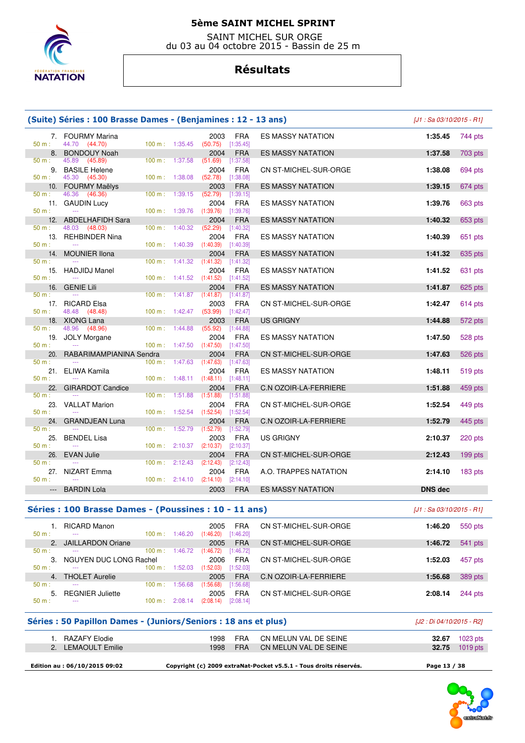

 SAINT MICHEL SUR ORGE du 03 au 04 octobre 2015 - Bassin de 25 m

# **Résultats**

|                 | (Suite) Séries : 100 Brasse Dames - (Benjamines : 12 - 13 ans)  |                           |         |                                               |                           |                                                                   | $J1 : Sa$ 03/10/2015 - R11 |                                                |
|-----------------|-----------------------------------------------------------------|---------------------------|---------|-----------------------------------------------|---------------------------|-------------------------------------------------------------------|----------------------------|------------------------------------------------|
| $50 m$ :        | 7. FOURMY Marina<br>44.70 (44.70)                               | 100 m: 1:35.45            |         | 2003<br>(50.75)                               | <b>FRA</b><br>[1:35.45]   | <b>ES MASSY NATATION</b>                                          | 1:35.45                    | 744 pts                                        |
| 8.              | <b>BONDOUY Noah</b>                                             |                           |         | 2004                                          | <b>FRA</b>                | <b>ES MASSY NATATION</b>                                          | 1:37.58                    | 703 pts                                        |
| 50 m:<br>9.     | 45.89<br>(45.89)<br><b>BASILE Helene</b>                        | $100 \text{ m}$ :         | 1:37.58 | (51.69)<br>2004                               | [1:37.58]<br><b>FRA</b>   | CN ST-MICHEL-SUR-ORGE                                             | 1:38.08                    | 694 pts                                        |
| 50 m:           | 45.30<br>(45.30)                                                | 100 m:                    | 1:38.08 | (52.78)                                       | [1:38.08]                 |                                                                   |                            |                                                |
| 10.<br>$50 m$ : | <b>FOURMY Maëlys</b><br>46.36<br>(46.36)                        | 100 m:                    | 1:39.15 | 2003<br>(52.79)                               | <b>FRA</b><br>[1:39.15]   | <b>ES MASSY NATATION</b>                                          | 1:39.15                    | $674$ pts                                      |
| 11.             | <b>GAUDIN Lucy</b>                                              |                           |         | 2004                                          | <b>FRA</b>                | <b>ES MASSY NATATION</b>                                          | 1:39.76                    | 663 pts                                        |
| $50 m$ :<br>12. | $\sim$<br><b>ABDELHAFIDH Sara</b>                               | 100 m:                    | 1:39.76 | (1:39.76)<br>2004                             | $[1:39.76]$<br><b>FRA</b> | <b>ES MASSY NATATION</b>                                          | 1:40.32                    | 653 pts                                        |
| 50 m:           | 48.03 (48.03)                                                   | 100 m:                    | 1:40.32 | (52.29)                                       | $[1:40.32]$               |                                                                   |                            |                                                |
| 13.<br>$50 m$ : | REHBINDER Nina<br>$\sim$                                        | $100 \text{ m}: 1:40.39$  |         | 2004<br>(1:40.39)                             | <b>FRA</b><br>[1:40.39]   | <b>ES MASSY NATATION</b>                                          | 1:40.39                    | 651 pts                                        |
| 14.<br>$50 m$ : | <b>MOUNIER Ilona</b>                                            | $100 \text{ m}: 1:41.32$  |         | 2004<br>(1:41.32)                             | <b>FRA</b><br>[1:41.32]   | <b>ES MASSY NATATION</b>                                          | 1:41.32                    | 635 pts                                        |
| 15.             | <b>HADJIDJ Manel</b>                                            |                           |         | 2004                                          | <b>FRA</b>                | <b>ES MASSY NATATION</b>                                          | 1:41.52                    | 631 pts                                        |
| $50 m$ :<br>16. | <b>GENIE Lili</b>                                               | 100 m: 1:41.52            |         | (1:41.52)<br>2004                             | [1:41.52]<br><b>FRA</b>   | <b>ES MASSY NATATION</b>                                          | 1:41.87                    | $625$ pts                                      |
| 50 m:           | $\sim$                                                          | 100 m:                    | 1:41.87 | (1:41.87)                                     | [1:41.87]                 |                                                                   |                            |                                                |
| 17.<br>$50 m$ : | <b>RICARD Elsa</b><br>48.48<br>(48.48)                          | $100 m$ : 1:42.47         |         | 2003<br>(53.99)                               | <b>FRA</b><br>[1:42.47]   | CN ST-MICHEL-SUR-ORGE                                             | 1:42.47                    | $614$ pts                                      |
| 18.             | <b>XIONG Lana</b>                                               |                           |         | 2003                                          | <b>FRA</b>                | <b>US GRIGNY</b>                                                  | 1:44.88                    | 572 pts                                        |
| 50 m:<br>19.    | 48.96<br>(48.96)<br><b>JOLY Morgane</b>                         | 100 m:                    | 1:44.88 | (55.92)<br>2004                               | [1:44.88]<br><b>FRA</b>   | <b>ES MASSY NATATION</b>                                          | 1:47.50                    | 528 pts                                        |
| $50 m$ :        |                                                                 | $100 m$ : 1:47.50         |         | (1:47.50)                                     | [1:47.50]                 |                                                                   |                            |                                                |
| 20.<br>$50 m$ : | RABARIMAMPIANINA Sendra                                         | 100 m: 1:47.63            |         | 2004<br>(1:47.63)                             | <b>FRA</b><br>[1:47.63]   | CN ST-MICHEL-SUR-ORGE                                             | 1:47.63                    | 526 pts                                        |
| 21.<br>$50 m$ : | ELIWA Kamila                                                    | 100 m:                    | 1:48.11 | 2004                                          | <b>FRA</b>                | <b>ES MASSY NATATION</b>                                          | 1:48.11                    | 519 pts                                        |
| 22.             | <b>GIRARDOT Candice</b>                                         |                           |         | (1:48.11)<br>2004                             | [1:48.11]<br><b>FRA</b>   | <b>C.N OZOIR-LA-FERRIERE</b>                                      | 1:51.88                    | 459 pts                                        |
| 50 m:<br>23.    | <b>VALLAT Marion</b>                                            | 100 m:                    | 1:51.88 | (1:51.88)<br>2004                             | [1:51.88]<br><b>FRA</b>   | CN ST-MICHEL-SUR-ORGE                                             | 1:52.54                    | 449 pts                                        |
| $50 m$ :<br>24. | <b>GRANDJEAN Luna</b>                                           | 100 m:                    | 1:52.54 | (1:52.54)<br>2004                             | [1:52.54]<br><b>FRA</b>   | <b>C.N OZOIR-LA-FERRIERE</b>                                      | 1:52.79                    | 445 pts                                        |
| 50 m:<br>25.    | <b>BENDEL Lisa</b>                                              | 100 m:                    | 1:52.79 | (1:52.79)<br>2003                             | [1:52.79]<br><b>FRA</b>   | US GRIGNY                                                         | 2:10.37                    | $220$ pts                                      |
| $50 m$ :        |                                                                 | 100 m: 2:10.37            |         | (2:10.37)                                     | [2:10.37]                 |                                                                   |                            |                                                |
| 26.<br>50 m:    | <b>EVAN Julie</b>                                               | 100 m:                    | 2:12.43 | 2004<br>(2:12.43)                             | <b>FRA</b><br>[2:12.43]   | CN ST-MICHEL-SUR-ORGE                                             | 2:12.43                    | 199 pts                                        |
| 27.<br>$50 m$ : | NIZART Emma                                                     | $100 \text{ m}$ : 2:14.10 |         | 2004<br>(2:14.10)                             | <b>FRA</b><br>[2:14.10]   | A.O. TRAPPES NATATION                                             | 2:14.10                    | $183$ pts                                      |
| $\cdots$        | <b>BARDIN Lola</b>                                              |                           |         | 2003                                          | <b>FRA</b>                | <b>ES MASSY NATATION</b>                                          | <b>DNS dec</b>             |                                                |
|                 | Séries : 100 Brasse Dames - (Poussines : 10 - 11 ans)           |                           |         |                                               |                           |                                                                   | [J1 : Sa 03/10/2015 - R1]  |                                                |
|                 | 1. RICARD Manon                                                 |                           |         | 2005                                          | <b>FRA</b>                | CN ST-MICHEL-SUR-ORGE                                             | 1:46.20                    | 550 pts                                        |
| 50 m:<br>2.     | <b>JAILLARDON Oriane</b>                                        | 100 m: 1:46.20            |         | $(1:46.20)$ $[1:46.20]$<br>2005               | <b>FRA</b>                | CN ST-MICHEL-SUR-ORGE                                             | 1:46.72                    | 541 pts                                        |
| 50 m:           | NGUYEN DUC LONG Rachel                                          | $100 \text{ m}: 1:46.72$  |         | $(1:46.72)$ $[1:46.72]$                       |                           |                                                                   |                            |                                                |
| 3.<br>50 m:     |                                                                 | 100 m: 1:52.03            |         | 2006<br>(1:52.03)                             | <b>FRA</b><br>[1:52.03]   | CN ST-MICHEL-SUR-ORGE                                             | 1:52.03                    | 457 pts                                        |
| 4.<br>50 m:     | <b>THOLET Aurelie</b>                                           | 100 m: 1:56.68            |         | 2005<br>(1:56.68)                             | <b>FRA</b><br>[1:56.68]   | C.N OZOIR-LA-FERRIERE                                             | 1:56.68                    | 389 pts                                        |
| 5.<br>50 m:     | <b>REGNIER Juliette</b>                                         |                           |         | 2005<br>100 m : $2:08.14$ (2:08.14) [2:08.14] | <b>FRA</b>                | CN ST-MICHEL-SUR-ORGE                                             | 2:08.14                    | 244 pts                                        |
|                 | Séries : 50 Papillon Dames - (Juniors/Seniors : 18 ans et plus) |                           |         |                                               |                           |                                                                   | [J2 : Di 04/10/2015 - R2]  |                                                |
|                 |                                                                 |                           |         |                                               |                           |                                                                   |                            |                                                |
|                 | 1. RAZAFY Elodie<br>2. LEMAOULT Emilie                          |                           |         | 1998<br>1998                                  | <b>FRA</b><br><b>FRA</b>  | CN MELUN VAL DE SEINE<br>CN MELUN VAL DE SEINE                    |                            | <b>32.67</b> 1023 pts<br><b>32.75</b> 1019 pts |
|                 |                                                                 |                           |         |                                               |                           |                                                                   |                            |                                                |
|                 | Edition au: 06/10/2015 09:02                                    |                           |         |                                               |                           | Copyright (c) 2009 extraNat-Pocket v5.5.1 - Tous droits réservés. | Page 13 / 38               |                                                |

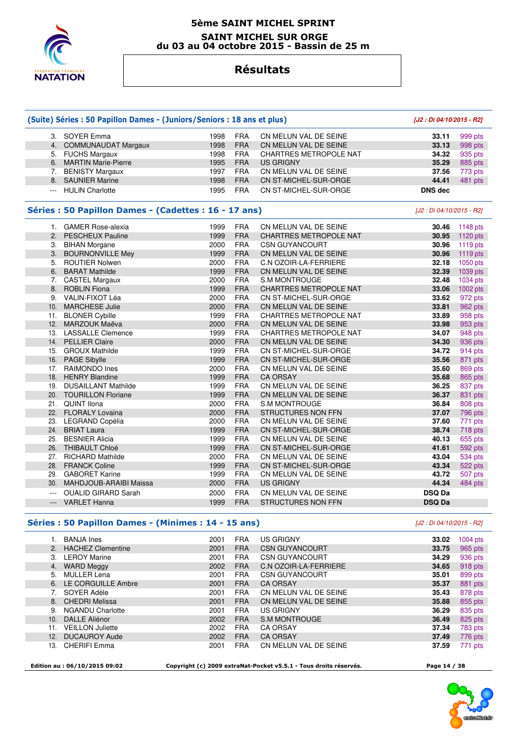

### **5ème SAINT MICHEL SPRINT SAINT MICHEL SUR ORGE du 03 au 04 octobre 2015 - Bassin de 25 m**

### **Résultats**

|                | (Suite) Séries : 50 Papillon Dames - (Juniors/Seniors : 18 ans et plus) |      | [J2 : Di 04/10/2015 - R2] |                               |                           |            |
|----------------|-------------------------------------------------------------------------|------|---------------------------|-------------------------------|---------------------------|------------|
|                | 3. SOYER Emma                                                           | 1998 | <b>FRA</b>                | CN MELUN VAL DE SEINE         | 33.11                     | 999 pts    |
|                | 4. COMMUNAUDAT Margaux                                                  | 1998 | <b>FRA</b>                | CN MELUN VAL DE SEINE         | 33.13                     | 998 pts    |
|                | 5. FUCHS Margaux                                                        | 1998 | <b>FRA</b>                | <b>CHARTRES METROPOLE NAT</b> | 34.32                     | 935 pts    |
|                | 6. MARTIN Marie-Pierre                                                  | 1995 | <b>FRA</b>                | <b>US GRIGNY</b>              | 35.29                     | 885 pts    |
| 7.             | <b>BENISTY Margaux</b>                                                  | 1997 | <b>FRA</b>                | CN MELUN VAL DE SEINE         | 37.56                     | 773 pts    |
| 8.             | <b>SAUNIER Marine</b>                                                   | 1998 | <b>FRA</b>                | CN ST-MICHEL-SUR-ORGE         | 44.41                     | 481 pts    |
| ---            | <b>HULIN Charlotte</b>                                                  | 1995 | <b>FRA</b>                | CN ST-MICHEL-SUR-ORGE         | <b>DNS</b> dec            |            |
|                | Séries : 50 Papillon Dames - (Cadettes : 16 - 17 ans)                   |      |                           |                               | [J2 : Di 04/10/2015 - R2] |            |
|                | 1. GAMER Rose-alexia                                                    | 1999 | <b>FRA</b>                | CN MELUN VAL DE SEINE         | 30.46                     | 1148 pts   |
|                | 2. PESCHEUX Pauline                                                     | 1999 | <b>FRA</b>                | <b>CHARTRES METROPOLE NAT</b> | 30.95                     | $1120$ pts |
|                | 3. BIHAN Morgane                                                        | 2000 | <b>FRA</b>                | <b>CSN GUYANCOURT</b>         | 30.96                     | $1119$ pts |
|                | 3. BOURNONVILLE Mey                                                     | 1999 | <b>FRA</b>                | CN MELUN VAL DE SEINE         | 30.96                     | $1119$ pts |
|                | 5. ROUTIER Nolwen                                                       | 2000 | <b>FRA</b>                | C.N OZOIR-LA-FERRIERE         | 32.18                     | $1050$ pts |
|                | 6. BARAT Mathilde                                                       | 1999 | <b>FRA</b>                | CN MELUN VAL DE SEINE         | 32.39                     | 1039 pts   |
|                | 7. CASTEL Margaux                                                       | 2000 | <b>FRA</b>                | <b>S.M MONTROUGE</b>          | 32.48                     | 1034 pts   |
|                | 8. ROBLIN Fiona                                                         | 1999 | <b>FRA</b>                | <b>CHARTRES METROPOLE NAT</b> | 33.06                     | 1002 pts   |
|                | 9. VALIN-FIXOT Léa                                                      | 2000 | <b>FRA</b>                | CN ST-MICHEL-SUR-ORGE         | 33.62                     | 972 pts    |
| 10.            | <b>MARCHESE Julie</b>                                                   | 2000 | <b>FRA</b>                | CN MELUN VAL DE SEINE         | 33.81                     | 962 pts    |
| 11.            | <b>BLONER Cybille</b>                                                   | 1999 | <b>FRA</b>                | <b>CHARTRES METROPOLE NAT</b> | 33.89                     | 958 pts    |
| 12.            | MARZOUK Maëva                                                           | 2000 | <b>FRA</b>                | CN MELUN VAL DE SEINE         | 33.98                     | 953 pts    |
|                | 13. LASSALLE Clemence                                                   | 1999 | <b>FRA</b>                | <b>CHARTRES METROPOLE NAT</b> | 34.07                     | 948 pts    |
|                | 14. PELLIER Claire                                                      | 2000 | <b>FRA</b>                | CN MELUN VAL DE SEINE         | 34.30                     | 936 pts    |
|                | 15. GROUX Mathilde                                                      | 1999 | <b>FRA</b>                | CN ST-MICHEL-SUR-ORGE         | 34.72                     | 914 pts    |
|                | 16. PAGE Sibylle                                                        | 1999 | <b>FRA</b>                | CN ST-MICHEL-SUR-ORGE         | 35.56                     | 871 pts    |
|                | 17. RAIMONDO Ines                                                       | 2000 | <b>FRA</b>                | CN MELUN VAL DE SEINE         | 35.60                     | 869 pts    |
|                | 18. HENRY Blandine                                                      | 1999 | <b>FRA</b>                | <b>CA ORSAY</b>               | 35.68                     | 865 pts    |
|                | 19. DUSAILLANT Mathilde                                                 | 1999 | <b>FRA</b>                | CN MELUN VAL DE SEINE         | 36.25                     | 837 pts    |
|                | 20. TOURILLON Floriane                                                  | 1999 | <b>FRA</b>                | CN MELUN VAL DE SEINE         | 36.37                     | 831 pts    |
|                | 21. QUINT Ilona                                                         | 2000 | <b>FRA</b>                | <b>S.M MONTROUGE</b>          | 36.84                     | 808 pts    |
|                | 22. FLORALY Lovaina                                                     | 2000 | <b>FRA</b>                | <b>STRUCTURES NON FFN</b>     | 37.07                     | 796 pts    |
|                | 23. LEGRAND Copélia                                                     | 2000 | <b>FRA</b>                | CN MELUN VAL DE SEINE         | 37.60                     | 771 pts    |
|                | 24. BRIAT Laura                                                         | 1999 | <b>FRA</b>                | CN ST-MICHEL-SUR-ORGE         | 38.74                     | 718 pts    |
| 25.            | <b>BESNIER Alicia</b>                                                   | 1999 | <b>FRA</b>                | CN MELUN VAL DE SEINE         | 40.13                     | 655 pts    |
|                | 26. THIBAULT Chloé                                                      | 1999 | <b>FRA</b>                | CN ST-MICHEL-SUR-ORGE         | 41.61                     | 592 pts    |
|                | 27. RICHARD Mathilde                                                    | 2000 | <b>FRA</b>                | CN MELUN VAL DE SEINE         | 43.04                     | 534 pts    |
|                | 28. FRANCK Coline                                                       | 1999 | <b>FRA</b>                | CN ST-MICHEL-SUR-ORGE         | 43.34                     | 522 pts    |
|                | 29. GABORET Karine                                                      | 1999 | <b>FRA</b>                | CN MELUN VAL DE SEINE         | 43.72                     | 507 pts    |
| 30.            | <b>MAHDJOUB-ARAIBI Maissa</b>                                           | 2000 | <b>FRA</b>                | <b>US GRIGNY</b>              | 44.34                     | 484 pts    |
| $\overline{a}$ | <b>OUALID GIRARD Sarah</b>                                              | 2000 | <b>FRA</b>                | CN MELUN VAL DE SEINE         | <b>DSQ Da</b>             |            |
|                | --- VARLET Hanna                                                        | 1999 | <b>FRA</b>                | <b>STRUCTURES NON FFN</b>     | <b>DSQ Da</b>             |            |
|                |                                                                         |      |                           |                               |                           |            |

### **Séries : 50 Papillon Dames - (Minimes : 14 - 15 ans)** [J2 : Di 04/10/2015 - R2]

|     | <b>BANJA</b> Ines       | 2001 | <b>FRA</b> | <b>US GRIGNY</b>             | 33.02 | $1004$ pts |
|-----|-------------------------|------|------------|------------------------------|-------|------------|
|     | 2. HACHEZ Clementine    | 2001 | <b>FRA</b> | <b>CSN GUYANCOURT</b>        | 33.75 | 965 pts    |
| 3.  | <b>LEROY Marine</b>     | 2001 | <b>FRA</b> | <b>CSN GUYANCOURT</b>        | 34.29 | 936 pts    |
|     | 4. WARD Meggy           | 2002 | <b>FRA</b> | <b>C.N OZOIR-LA-FERRIERE</b> | 34.65 | 918 pts    |
|     | 5. MULLER Lena          | 2001 | <b>FRA</b> | <b>CSN GUYANCOURT</b>        | 35.01 | 899 pts    |
| 6.  | LE CORGUILLE Ambre      | 2001 | <b>FRA</b> | <b>CA ORSAY</b>              | 35.37 | 881 pts    |
|     | SOYER Adèle             | 2001 | <b>FRA</b> | CN MELUN VAL DE SEINE        | 35.43 | 878 pts    |
|     | 8. CHEDRI Melissa       | 2001 | <b>FRA</b> | CN MELUN VAL DE SEINE        | 35.88 | 855 pts    |
| 9.  | <b>NGANDU Charlotte</b> | 2001 | <b>FRA</b> | <b>US GRIGNY</b>             | 36.29 | 835 pts    |
| 10. | DALLE Aliénor           | 2002 | <b>FRA</b> | <b>S.M MONTROUGE</b>         | 36.49 | 825 pts    |
| 11. | <b>VEILLON Juliette</b> | 2002 | <b>FRA</b> | <b>CA ORSAY</b>              | 37.34 | 783 pts    |
| 12. | <b>DUCAUROY Aude</b>    | 2002 | <b>FRA</b> | <b>CA ORSAY</b>              | 37.49 | 776 pts    |
| 13. | <b>CHERIFI Emma</b>     | 2001 | <b>FRA</b> | CN MELUN VAL DE SEINE        | 37.59 | 771 pts    |
|     |                         |      |            |                              |       |            |

 **Edition au : 06/10/2015 09:02 Copyright (c) 2009 extraNat-Pocket v5.5.1 - Tous droits réservés. Page 14 / 38** 

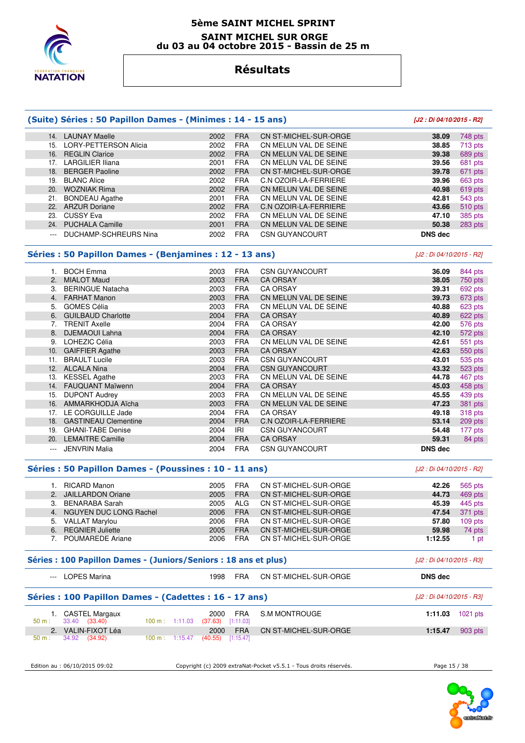

#### **5ème SAINT MICHEL SPRINT SAINT MICHEL SUR ORGE du 03 au 04 octobre 2015 - Bassin de 25 m**

# **Résultats**

### **(Suite) Séries : 50 Papillon Dames - (Minimes : 14 - 15 ans) [J2 : Di 04/10/2015 - R2]**

#### 14. LAUNAY Maelle 2002 FRA CN ST-MICHEL-SUR-ORGE **38.09** 748 pts 15. LORY-PETTERSON Alicia 2002 FRA CN MELUN VAL DE SEINE **38.85** 713 pts 16. REGLIN Clarice 2002 FRA CN MELUN VAL DE SEINE **39.38** 689 pts 17. LARGILIER Iliana 2001 FRA CN MELUN VAL DE SEINE **39.56** 681 pts 18. BERGER Paoline 2002 FRA CN ST-MICHEL-SUR-ORGE **39.78** 671 pts 19. BLANC Alice 2002 FRA C.N OZOIR-LA-FERRIERE **39.96** 663 pts 20. WOZNIAK Rima 2002 FRA CN MELUN VAL DE SEINE **40.98** 619 pts 21. BONDEAU Agathe 2001 FRA CN MELUN VAL DE SEINE **42.81** 543 pts 22. ARZUR Doriane 2002 FRA C.N OZOIR-LA-FERRIERE **43.66** 510 pts 23. CUSSY Eva 2002 FRA CN MELUN VAL DE SEINE **47.10** 385 pts 24. PUCHALA Camille 2001 FRA CN MELUN VAL DE SEINE **50.38** 283 pts --- DUCHAMP-SCHREURS Nina 2002 FRA CSN GUYANCOURT **DNS dec**

### **Séries : 50 Papillon Dames - (Benjamines : 12 - 13 ans)** [J2 : Di 04/10/2015 - R2]

 1. BOCH Emma 2003 FRA CSN GUYANCOURT **36.09** 844 pts 2. MIALOT Maud 2003 FRA CA ORSAY **38.05** 750 pts 3. BERINGUE Natacha 2003 FRA CA ORSAY **39.31** 692 pts 4. FARHAT Manon 2003 FRA CN MELUN VAL DE SEINE **39.73** 673 pts 5. GOMES Célia 2003 FRA CN MELUN VAL DE SEINE **40.88** 623 pts 6. GUILBAUD Charlotte 2004 FRA CA ORSAY **40.89** 622 pts 7. TRENIT Axelle 2004 FRA CA ORSAY **42.00** 576 pts 8. DJEMAOUI Lahna 2004 FRA CA ORSAY **42.10** 572 pts 9. LOHEZIC Célia 2003 FRA CN MELUN VAL DE SEINE **42.61** 551 pts 10. GAIFFIER Agathe 2003 FRA CA ORSAY **42.63** 550 pts 11. BRAULT Lucile 2003 FRA CSN GUYANCOURT **43.01** 535 pts 12. ALCALA Nina 2004 FRA CSN GUYANCOURT **43.32** 523 pts 2003 FRA CN MELUN VAL DE SEINE **44.78** 467 pts 14. FAUQUANT Maïwenn 2004 FRA CA ORSAY **45.03** 458 pts 15. DUPONT Audrey 2003 FRA CN MELUN VAL DE SEINE **45.55** 439 pts 16. AMMARKHODJA Aïcha 2003 FRA CN MELUN VAL DE SEINE **47.23** 381 pts 17. LE CORGUILLE Jade 2004 FRA CA ORSAY **49.18** 318 pts 18. GASTINEAU Clementine 2004 FRA C.N OZOIR-LA-FERRIERE 53.14 19. GHANI-TABE Denise 2004 IRI CSN GUYANCOURT **54.48** 177 pts 20. LEMAITRE Camille --- JENVRIN Malia 2004 FRA CSN GUYANCOURT **DNS dec** 

#### **Séries : 50 Papillon Dames - (Poussines : 10 - 11 ans)** [J2 : Di 04/10/2015 - R2]

|  | 1. RICARD Manon           | 2005 | <b>FRA</b> | CN ST-MICHEL-SUR-ORGE | 42.26   | 565 pts   |
|--|---------------------------|------|------------|-----------------------|---------|-----------|
|  | 2. JAILLARDON Oriane      | 2005 | <b>FRA</b> | CN ST-MICHEL-SUR-ORGE | 44.73   | 469 pts   |
|  | 3. BENARABA Sarah         | 2005 | ALG.       | CN ST-MICHEL-SUR-ORGE | 45.39   | 445 pts   |
|  | 4. NGUYEN DUC LONG Rachel | 2006 | <b>FRA</b> | CN ST-MICHEL-SUR-ORGE | 47.54   | 371 pts   |
|  | 5. VALLAT Marylou         | 2006 | <b>FRA</b> | CN ST-MICHEL-SUR-ORGE | 57.80   | $109$ pts |
|  | 6. REGNIER Juliette       | 2005 | <b>FRA</b> | CN ST-MICHEL-SUR-ORGE | 59.98   | 74 pts    |
|  | 7. POUMAREDE Ariane       | 2006 | <b>FRA</b> | CN ST-MICHEL-SUR-ORGE | 1:12.55 | 1 pt      |
|  |                           |      |            |                       |         |           |

### **Séries : 100 Papillon Dames - (Juniors/Seniors : 18 ans et plus)** [J2 : Di 04/10/2015 - R3]

|       | <b>LOPES Marina</b> | 998   | FRA | CN ST-MICHEL-SUR-ORGE | <b>DNS</b> dec |
|-------|---------------------|-------|-----|-----------------------|----------------|
| $---$ | ______              | - - - |     |                       |                |

### **Séries : 100 Papillon Dames - (Cadettes : 16 - 17 ans)** [J2 : Di 04/10/2015 - R3]

| 1. CASTEL Margaux<br>50 m : 33.40 (33.40) |                                     | 2000<br>FRA<br>$100 \text{ m}: 1:11.03$ (37.63) [1:11.03] | S.M MONTROUGE         |         | 1:11.03 $1021 \text{ pts}$ |
|-------------------------------------------|-------------------------------------|-----------------------------------------------------------|-----------------------|---------|----------------------------|
| 2. VALIN-FIXOT Léa                        |                                     | <b>FRA</b><br>2000                                        | CN ST-MICHEL-SUR-ORGE | 1:15.47 | 903 pts                    |
| $50 \text{ m}: 34.92 (34.92)$             | 100 m : $1:15.47$ (40.55) [1:15.47] |                                                           |                       |         |                            |

Edition au : 06/10/2015 09:02 Copyright (c) 2009 extraNat-Pocket v5.5.1 - Tous droits réservés. Page 15 / 38

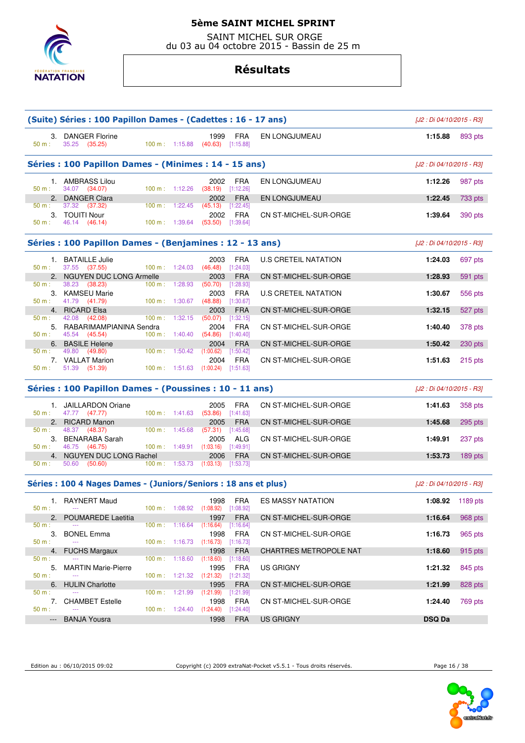

 SAINT MICHEL SUR ORGE du 03 au 04 octobre 2015 - Bassin de 25 m

### **Résultats**

|                         | (Suite) Séries : 100 Papillon Dames - (Cadettes : 16 - 17 ans)  |                |                                            |                                                          |                         |                               | [J2 : Di 04/10/2015 - R3] |         |  |
|-------------------------|-----------------------------------------------------------------|----------------|--------------------------------------------|----------------------------------------------------------|-------------------------|-------------------------------|---------------------------|---------|--|
| 50 m:                   | 3. DANGER Florine<br>35.25 (35.25)                              |                |                                            | 1999<br>100 m: $1:15.88$ (40.63) [1:15.88]               | FRA                     | EN LONGJUMEAU                 | 1:15.88                   | 893 pts |  |
|                         | Séries : 100 Papillon Dames - (Minimes : 14 - 15 ans)           |                |                                            |                                                          |                         |                               | [J2 : Di 04/10/2015 - R3] |         |  |
| 50 m :                  | 1. AMBRASS Lilou<br>34.07 (34.07)                               |                | 100 m: 1:12.26                             | 2002<br>$(38.19)$ [1:12.26]                              | <b>FRA</b>              | EN LONGJUMEAU                 | 1:12.26                   | 987 pts |  |
| 50 m:                   | 2. DANGER Clara<br>37.32 (37.32)                                |                | $100 \text{ m}: 1:22.45$                   | 2002<br>$(45.13)$ [1:22.45]                              | <b>FRA</b>              | EN LONGJUMEAU                 | 1:22.45                   | 733 pts |  |
| $50 m$ :                | 3. TOUITI Nour<br>46.14 (46.14)                                 |                |                                            | 2002<br>100 m: 1:39.64 (53.50) [1:39.64]                 | <b>FRA</b>              | CN ST-MICHEL-SUR-ORGE         | 1:39.64                   | 390 pts |  |
|                         | Séries : 100 Papillon Dames - (Benjamines : 12 - 13 ans)        |                |                                            |                                                          |                         |                               | [J2 : Di 04/10/2015 - R3] |         |  |
|                         | 1. BATAILLE Julie                                               |                |                                            | 2003                                                     | <b>FRA</b>              | <b>U.S CRETEIL NATATION</b>   | 1:24.03                   | 697 pts |  |
| 50 m:                   | 37.55 (37.55)<br>2. NGUYEN DUC LONG Armelle                     |                |                                            | 100 m : $1:24.03$ (46.48) [1:24.03]<br>2003              | <b>FRA</b>              | CN ST-MICHEL-SUR-ORGE         | 1:28.93                   | 591 pts |  |
| 50 m:                   | 38.23 (38.23)<br>3. KAMSEU Marie                                | 100 m: 1:28.93 |                                            | $(50.70)$ [1:28.93]<br>2003                              | <b>FRA</b>              | U.S CRETEIL NATATION          | 1:30.67                   | 556 pts |  |
| 50 m:                   | 41.79 (41.79)<br>4. RICARD Elsa                                 |                | $100 \text{ m}: 1:30.67$                   | $(48.88)$ [1:30.67]<br>2003                              | <b>FRA</b>              | CN ST-MICHEL-SUR-ORGE         | 1:32.15                   | 527 pts |  |
| 50 m:                   | 42.08 (42.08)<br>5. RABARIMAMPIANINA Sendra                     |                | $100 \text{ m}: 1:32.15$                   | $(50.07)$ [1:32.15]<br>2004                              | <b>FRA</b>              | CN ST-MICHEL-SUR-ORGE         | 1:40.40                   | 378 pts |  |
| 50 m:                   | 45.54 (45.54)                                                   |                |                                            | 100 m: 1:40.40 $(54.86)$ [1:40.40]                       |                         |                               |                           |         |  |
| 50 m:                   | 6. BASILE Helene<br>49.80 (49.80)                               |                | $100 \text{ m}: 1:50.42 \quad (1:00.62)$   | 2004                                                     | <b>FRA</b><br>[1:50.42] | CN ST-MICHEL-SUR-ORGE         | 1:50.42                   | 230 pts |  |
| $50 m$ :                | 7. VALLAT Marion<br>51.39 (51.39)                               |                |                                            | 2004<br>100 m: 1:51.63 (1:00.24) [1:51.63]               | <b>FRA</b>              | CN ST-MICHEL-SUR-ORGE         | 1:51.63                   | 215 pts |  |
|                         | Séries : 100 Papillon Dames - (Poussines : 10 - 11 ans)         |                |                                            |                                                          |                         |                               | [J2 : Di 04/10/2015 - R3] |         |  |
| 50 m:                   | 1. JAILLARDON Oriane<br>47.77 (47.77)                           |                |                                            | 2005<br>100 m: 1:41.63 (53.86) [1:41.63]                 | <b>FRA</b>              | CN ST-MICHEL-SUR-ORGE         | 1:41.63                   | 358 pts |  |
|                         | 2. RICARD Manon<br>48.37 (48.37)                                |                |                                            |                                                          |                         |                               |                           |         |  |
| 50 m:                   |                                                                 |                |                                            | 2005                                                     | <b>FRA</b>              | CN ST-MICHEL-SUR-ORGE         | 1:45.68                   | 295 pts |  |
|                         | 3. BENARABA Sarah                                               | 100 m: 1:45.68 |                                            | $(57.31)$ [1:45.68]<br>2005                              | ALG                     | CN ST-MICHEL-SUR-ORGE         | 1:49.91                   | 237 pts |  |
| 50 m:<br>50 m:          | 46.75 (46.75)<br>4. NGUYEN DUC LONG Rachel<br>50.60 (50.60)     |                |                                            | $100 \text{ m}: 1:49.91$ $(1:03.16)$ $[1:49.91]$<br>2006 | <b>FRA</b>              | CN ST-MICHEL-SUR-ORGE         | 1:53.73                   | 189 pts |  |
|                         |                                                                 |                |                                            | 100 m: 1:53.73 (1:03.13) [1:53.73]                       |                         |                               |                           |         |  |
|                         | Séries : 100 4 Nages Dames - (Juniors/Seniors : 18 ans et plus) |                |                                            |                                                          |                         |                               | [J2 : Di 04/10/2015 - R3] |         |  |
| 50 m:                   | 1. RAYNERT Maud                                                 |                |                                            | 1998<br>100 m: 1:08.92 (1:08.92) [1:08.92]               | FRA                     | <b>ES MASSY NATATION</b>      | 1:08.92 1189 pts          |         |  |
| 50 m:                   | 2. POUMAREDE Laetitia                                           |                | $100 \text{ m}: 1:16.64$                   | 1997<br>(1:16.64)                                        | <b>FRA</b><br>[1:16.64] | CN ST-MICHEL-SUR-ORGE         | 1:16.64                   | 968 pts |  |
| 3.<br>50 m:             | <b>BONEL Emma</b>                                               |                | $100 \text{ m}: 1:16.73$                   | 1998<br>$(1:16.73)$ $[1:16.73]$                          | <b>FRA</b>              | CN ST-MICHEL-SUR-ORGE         | 1:16.73                   | 965 pts |  |
| 4.<br>50 m:             | <b>FUCHS Margaux</b>                                            | 100 m:         | 1:18.60                                    | 1998<br>(1:18.60)                                        | <b>FRA</b><br>[1:18.60] | <b>CHARTRES METROPOLE NAT</b> | 1:18.60                   | 915 pts |  |
| 5.<br>$50 m$ :          | <b>MARTIN Marie-Pierre</b>                                      |                | 100 m: 1:21.32                             | 1995                                                     | <b>FRA</b>              | US GRIGNY                     | 1:21.32                   | 845 pts |  |
| 6.                      | <b>HULIN Charlotte</b>                                          |                |                                            | (1:21.32)<br>1995                                        | [1:21.32]<br><b>FRA</b> | CN ST-MICHEL-SUR-ORGE         | 1:21.99                   | 828 pts |  |
| 50 m:<br>7.<br>$50 m$ : | <b>CHAMBET Estelle</b>                                          |                | $100 \text{ m}: 1:21.99$<br>100 m: 1:24.40 | (1:21.99)<br>1998<br>$(1:24.40)$ $[1:24.40]$             | [1:21.99]<br><b>FRA</b> | CN ST-MICHEL-SUR-ORGE         | 1:24.40                   | 769 pts |  |

Edition au : 06/10/2015 09:02 Copyright (c) 2009 extraNat-Pocket v5.5.1 - Tous droits réservés. Page 16 / 38



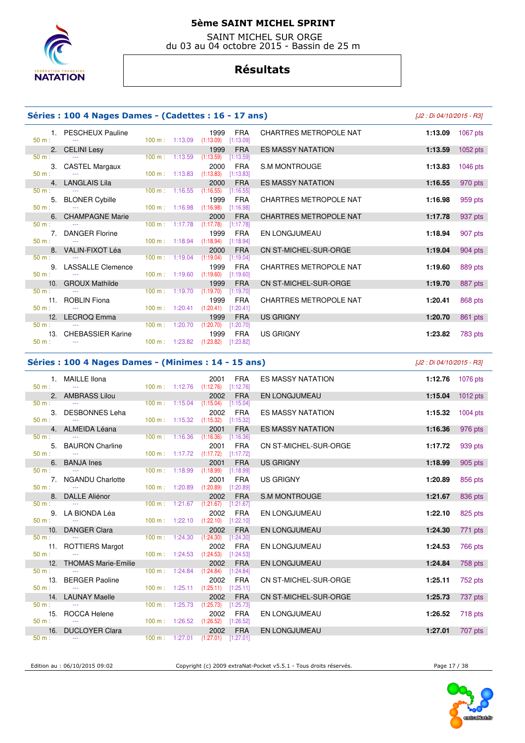

 SAINT MICHEL SUR ORGE du 03 au 04 octobre 2015 - Bassin de 25 m

### **Résultats**

 $(1:13.09)$ 

 $(1:19.60)$ 

100 m : 1:23.82 (1:23.82) [1:23.82]

 $1:16.98$ 

 $(1:16.55)$  [1:16.55]

#### **Séries : 100 4 Nages Dames - (Cadettes : 16 - 17 ans)** [J2 : Di 04/10/2015 - R3]

50 m : --- 100 m : 1:13.59 (1:13.59) [1:13.59]

50 m : --- 100 m : 1:13.83 (1:13.83) [1:13.83]

50 m : --- --- 100 m : 1:17.78 (1:17.78) [1:17.78]

50 m : --- 100 m : 1:18.94 (1:18.94) [1:18.94]

50 m : --- 100 m : 1:19.04 (1:19.04) [1:19.04]

50 m : --- 100 m : 1:19.70 (1:19.70) [1:19.70]

50 m : --- 100 m : 1:20.41 (1:20.41) [1:20.41]

50 m : --- 100 m : 1:20.70 (1:20.70) [1:20.70]

 1. PESCHEUX Pauline 1999 FRA CHARTRES METROPOLE NAT **1:13.09** 1067 pts 2. CELINI Lesy 1999 FRA ES MASSY NATATION **1:13.59** 1052 pts 3. CASTEL Margaux 2000 FRA S.M MONTROUGE **1:13.83** 1046 pts 4. LANGLAIS Lila 2000 FRA ES MASSY NATATION **1:16.55** 970 pts 5. BLONER Cybille 1999 FRA CHARTRES METROPOLE NAT **1:16.98** 959 pts 6. CHAMPAGNE Marie 2000 FRA CHARTRES METROPOLE NAT **1:17.78** 937 pts 7. DANGER Florine 1999 FRA EN LONGJUMEAU **1:18.94** 907 pts 8. VALIN-FIXOT Léa 2000 FRA CN ST-MICHEL-SUR-ORGE **1:19.04** 904 pts 9. LASSALLE Clemence 1999 FRA CHARTRES METROPOLE NAT **1:19.60** 889 pts 10. GROUX Mathilde 1999 FRA CN ST-MICHEL-SUR-ORGE **1:19.70** 887 pts 11. ROBLIN Fiona 1909 **FRA** CHARTRES METROPOLE NAT **1:20.41 1:20.41 1:20.41 1:20.41 1:20.41 1:20.41 1:20.41 1:20.41 1:20.41 1:20.41 1:20.41 1:20.41 1:20.41 1:20.41 1:20.41 1:20.41 1:20.41**

|  | Séries : 100 4 Nages Dames - (Minimes : 14 - 15 ans) |
|--|------------------------------------------------------|
|--|------------------------------------------------------|

**Séries : 100 4 Nages Dames - (Minimes : 14 - 15 ans)** [J2 : Di 04/10/2015 - R3]

| $50 m$ :                     | 1. MAILLE Ilona<br><b>State State</b>                                              | 100 m: 1:12.76 (1:12.76) [1:12.76]                                           | 2001                                                                             | <b>FRA</b>                           | <b>ES MASSY NATATION</b> | 1:12.76 1076 pts |                            |
|------------------------------|------------------------------------------------------------------------------------|------------------------------------------------------------------------------|----------------------------------------------------------------------------------|--------------------------------------|--------------------------|------------------|----------------------------|
|                              | 2. AMBRASS Lilou                                                                   |                                                                              | 2002                                                                             | <b>FRA</b>                           | EN LONGJUMEAU            |                  | 1:15.04 $1012 \text{ pts}$ |
| 50 m:<br>$50 m$ :            | the company of the company of the<br>3. DESBONNES Leha<br><b>Contract Contract</b> | $100 \text{ m}: 1:15.04$ $(1:15.04)$<br>$100 \text{ m}: 1:15.32$ $(1:15.32)$ | 2002                                                                             | [1:15.04]<br><b>FRA</b><br>[1:15.32] | <b>ES MASSY NATATION</b> | 1:15.32 1004 pts |                            |
|                              | 4. ALMEIDA Léana<br>$50 \text{ m}$ : $-$                                           |                                                                              | 2001<br>100 m: 1:16.36 (1:16.36) [1:16.36]                                       | <b>FRA</b>                           | <b>ES MASSY NATATION</b> | 1:16.36          | 976 pts                    |
| 50 m:                        | 5. BAURON Charline<br>the company of the company of the                            | $100 \text{ m}: 1:17.72$ $(1:17.72)$                                         | 2001                                                                             | <b>FRA</b><br>[1:17.72]              | CN ST-MICHEL-SUR-ORGE    | 1:17.72          | 939 pts                    |
|                              | 6. BANJA Ines                                                                      |                                                                              | 2001                                                                             | <b>FRA</b>                           | <b>US GRIGNY</b>         | 1:18.99          | 905 pts                    |
| $50 m$ :                     | <b>Contract Contract</b><br>7. NGANDU Charlotte<br>$50 \text{ m}$ : $-$            | $100 \text{ m}: 1:18.99$ $(1:18.99)$                                         | 2001<br>100 m: 1:20.89 (1:20.89) [1:20.89]                                       | [1:18.99]<br><b>FRA</b>              | <b>US GRIGNY</b>         | 1:20.89          | 856 pts                    |
|                              | 8. DALLE Aliénor                                                                   |                                                                              | 2002                                                                             | <b>FRA</b>                           | S.M MONTROUGE            | 1:21.67          | 836 pts                    |
| $50 m$ :<br>$50 m$ :         | 9. LA BIONDA Léa<br>the company of the company of the                              |                                                                              | 100 m: 1:21.67 (1:21.67) [1:21.67]<br>2002<br>100 m: 1:22.10 (1:22.10) [1:22.10] | FRA                                  | EN LONGJUMEAU            | 1:22.10          | 825 pts                    |
|                              | 10. DANGER Clara                                                                   |                                                                              | 2002                                                                             | <b>FRA</b>                           | EN LONGJUMEAU            | 1:24.30          | 771 pts                    |
| 50 m:<br>$50 m$ :            | the company of the company of the company<br>11. ROTTIERS Margot                   |                                                                              | 100 m: 1:24.30 (1:24.30) [1:24.30]<br>2002<br>100 m: 1:24.53 (1:24.53) [1:24.53] | FRA                                  | <b>EN LONGJUMEAU</b>     | 1:24.53          | 766 pts                    |
|                              | 12. THOMAS Marie-Emilie                                                            |                                                                              | 2002                                                                             | <b>FRA</b>                           | EN LONGJUMEAU            | 1:24.84          | 758 pts                    |
| $50 m$ :<br>$50 \text{ m}$ : | 13. BERGER Paoline<br><b>State State</b>                                           | $100 \text{ m}: 1:24.84$ $(1:24.84)$                                         | 2002<br>100 m: 1:25.11 (1:25.11) [1:25.11]                                       | [1:24.84]<br><b>FRA</b>              | CN ST-MICHEL-SUR-ORGE    | 1:25.11          | 752 pts                    |
|                              | 14. LAUNAY Maelle                                                                  |                                                                              | 2002                                                                             | <b>FRA</b>                           | CN ST-MICHEL-SUR-ORGE    | 1:25.73          | 737 pts                    |
| 50 m:                        | $50 \text{ m}$ : $-$<br>15. ROCCA Helene<br>the company of the company of the      | 100 m: 1:26.52 (1:26.52) [1:26.52]                                           | 100 m: 1:25.73 (1:25.73) [1:25.73]<br>2002                                       | FRA                                  | EN LONGJUMEAU            | 1:26.52          | 718 pts                    |
| 50 m:                        | 16. DUCLOYER Clara<br><b>State State</b>                                           |                                                                              | 2002<br>$100 \text{ m}: 1:27.01$ $(1:27.01)$ $[1:27.01]$                         | <b>FRA</b>                           | EN LONGJUMEAU            | 1:27.01          | 707 pts                    |

12. LECROQ Emma 1999 FRA US GRIGNY **1:20.70** 861 pts

13. CHEBASSIER Karine 1999 FRA US GRIGNY 13. CHEBASSIER Karine 100 m: 1:23.82 (1:23.82) [1:23.82] **1:23.82 1:23.82 1:23.82 1:23.82 1:23.82 1:23.82 1:23.82 1:23.82 1:23.82 1:23.82 1:23.82 1:23.82 1:2** 

Edition au : 06/10/2015 09:02 Copyright (c) 2009 extraNat-Pocket v5.5.1 - Tous droits réservés. Page 17 / 38

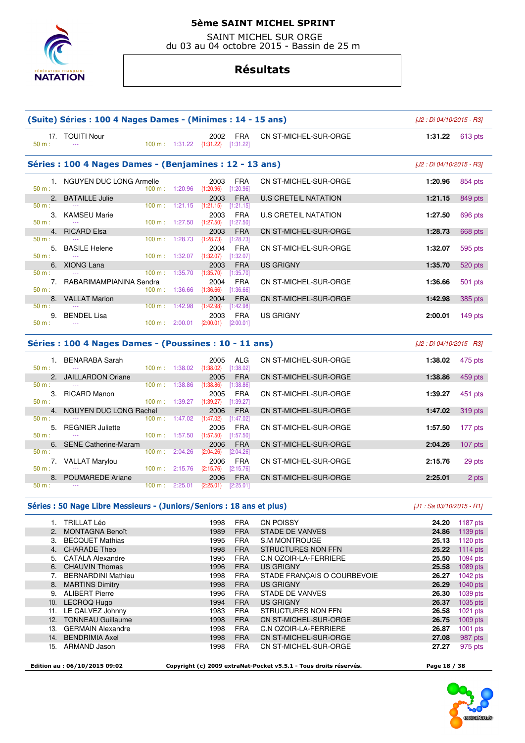

 SAINT MICHEL SUR ORGE du 03 au 04 octobre 2015 - Bassin de 25 m

### **Résultats**

|                         | (Suite) Séries : 100 4 Nages Dames - (Minimes : 14 - 15 ans) |                                                                  |                                            |                                        |                             |         | [J2 : Di 04/10/2015 - R3] |  |  |  |  |
|-------------------------|--------------------------------------------------------------|------------------------------------------------------------------|--------------------------------------------|----------------------------------------|-----------------------------|---------|---------------------------|--|--|--|--|
| $50 m$ :                | 17. TOUITI Nour                                              |                                                                  | 2002<br>100 m: 1:31.22 (1:31.22) [1:31.22] | <b>FRA</b>                             | CN ST-MICHEL-SUR-ORGE       | 1:31.22 | 613 pts                   |  |  |  |  |
|                         | Séries : 100 4 Nages Dames - (Benjamines : 12 - 13 ans)      |                                                                  |                                            |                                        |                             |         |                           |  |  |  |  |
| 50 m:                   | 1. NGUYEN DUC LONG Armelle<br>$\sim$ $\sim$                  |                                                                  | 2003<br>100 m: 1:20.96 (1:20.96) [1:20.96] | <b>FRA</b>                             | CN ST-MICHEL-SUR-ORGE       | 1:20.96 | 854 pts                   |  |  |  |  |
|                         | 2. BATAILLE Julie                                            |                                                                  | 2003                                       | <b>FRA</b>                             | U.S CRETEIL NATATION        | 1:21.15 | 849 pts                   |  |  |  |  |
| $50 m$ :<br>50 m:       | $\sim$ $\sim$<br>3. KAMSEU Marie<br>$\sim$ $\sim$            | $100 \text{ m}: 1:21.15$ $(1:21.15)$<br>100 m: 1:27.50           | 2003<br>$(1:27.50)$ $[1:27.50]$            | [1:21.15]<br><b>FRA</b>                | <b>U.S CRETEIL NATATION</b> | 1:27.50 | 696 pts                   |  |  |  |  |
|                         | 4. RICARD Elsa                                               |                                                                  | 2003                                       | <b>FRA</b>                             | CN ST-MICHEL-SUR-ORGE       | 1:28.73 | 668 pts                   |  |  |  |  |
| $50 m$ :<br>5.<br>50 m: | <b>BASILE Helene</b>                                         | 100 m: 1:28.73<br>$100 \text{ m}: 1:32.07$ $(1:32.07)$           | (1:28.73)<br>2004                          | [1:28.73]<br><b>FRA</b><br>$[1:32.07]$ | CN ST-MICHEL-SUR-ORGE       | 1:32.07 | 595 pts                   |  |  |  |  |
|                         | 6. XIONG Lana                                                |                                                                  | 2003                                       | <b>FRA</b>                             | US GRIGNY                   | 1:35.70 | 520 pts                   |  |  |  |  |
| $50 m$ :<br>$50 m$ :    | RABARIMAMPIANINA Sendra                                      | $100 \text{ m}: 1:35.70$ $(1:35.70)$<br>$100 \text{ m}: 1:36.66$ | 2004<br>(1:36.66)                          | [1:35.70]<br><b>FRA</b><br>[1:36.66]   | CN ST-MICHEL-SUR-ORGE       | 1:36.66 | 501 pts                   |  |  |  |  |
|                         | 8. VALLAT Marion                                             |                                                                  | 2004                                       | <b>FRA</b>                             | CN ST-MICHEL-SUR-ORGE       | 1:42.98 | 385 pts                   |  |  |  |  |
| $50 m$ :<br>$50 m$ :    | 9. BENDEL Lisa                                               | $100 \text{ m}$ : 1:42.98<br>$100 \text{ m}: 2:00.01$ (2:00.01)  | (1:42.98)<br>2003                          | [1:42.98]<br><b>FRA</b><br>[2:00.01]   | <b>US GRIGNY</b>            | 2:00.01 | 149 $pts$                 |  |  |  |  |
|                         |                                                              |                                                                  |                                            |                                        |                             |         |                           |  |  |  |  |

# **Séries : 100 4 Nages Dames - (Poussines : 10 - 11 ans)** [J2 : Di 04/10/2015 - R3]

| $50 m$ :          | BENARABA Sarah<br>$- - -$     | 100 m:  | 1:38.02 | 2005<br>(1:38.02) | ALG.<br>[1:38.02] | CN ST-MICHEL-SUR-ORGE        | 1:38.02 | 475 pts   |
|-------------------|-------------------------------|---------|---------|-------------------|-------------------|------------------------------|---------|-----------|
| $\mathcal{P}_{1}$ | <b>JAILLARDON Oriane</b>      |         |         | 2005              | <b>FRA</b>        | CN ST-MICHEL-SUR-ORGE        | 1:38.86 | 459 pts   |
| $50 m$ :          | $- - -$                       | 100 m:  | 1:38.86 | (1:38.86)         | [1:38.86]         |                              |         |           |
| 3.                | <b>RICARD Manon</b>           |         |         | 2005              | <b>FRA</b>        | CN ST-MICHEL-SUR-ORGE        | 1:39.27 | 451 pts   |
| $50 m$ :          | $- - -$                       | 100 m:  | :39.27  | (1:39.27)         | [1:39.27]         |                              |         |           |
| 4 <sup>2</sup>    | <b>NGUYEN DUC LONG Rachel</b> |         |         | 2006              | <b>FRA</b>        | <b>CN ST-MICHEL-SUR-ORGE</b> | 1:47.02 | 319 pts   |
| $50 m$ :          | ---                           | 100 m : | 1:47.02 | (1:47.02)         | (1:47.02]         |                              |         |           |
| 5.                | <b>REGNIER Juliette</b>       |         |         | 2005              | <b>FRA</b>        | CN ST-MICHEL-SUR-ORGE        | 1:57.50 | 177 pts   |
| $50 m$ :          | $- - -$                       | 100 m:  | 1:57.50 | (1:57.50)         | [1:57.50]         |                              |         |           |
| 6.                | <b>SENE Catherine-Maram</b>   |         |         | 2006              | <b>FRA</b>        | CN ST-MICHEL-SUR-ORGE        | 2:04.26 | $107$ pts |
| $50 m$ :          | $- - -$                       | 100 m:  | 2:04.26 | (2:04.26)         | [2:04.26]         |                              |         |           |
|                   | <b>VALLAT Marylou</b>         |         |         | 2006              | <b>FRA</b>        | CN ST-MICHEL-SUR-ORGE        | 2:15.76 | 29 pts    |
| $50 m$ :          | $- - -$                       | 100 m:  | 2:15.76 | (2:15.76)         | [2:15.76]         |                              |         |           |
| 8.                | <b>POUMAREDE Ariane</b>       |         |         | 2006              | <b>FRA</b>        | CN ST-MICHEL-SUR-ORGE        | 2:25.01 | 2 pts     |
| $50 m$ :          | $- - -$                       | 100 m:  | 2:25.01 | (2:25.01)         | [2:25.01]         |                              |         |           |

#### **Séries : 50 Nage Libre Messieurs - (Juniors/Seniors : 18 ans et plus)** [J1 : Sa 03/10/2015 - R1]

|     | <b>TRILLAT Léo</b>        | 1998 | <b>FRA</b> | <b>CN POISSY</b>            | 24.20 | 1187 $pts$ |
|-----|---------------------------|------|------------|-----------------------------|-------|------------|
| 2.  | <b>MONTAGNA Benoît</b>    | 1989 | <b>FRA</b> | <b>STADE DE VANVES</b>      | 24.86 | 1139 pts   |
| 3.  | <b>BECQUET Mathias</b>    | 1995 | <b>FRA</b> | <b>S.M MONTROUGE</b>        | 25.13 | $1120$ pts |
| 4.  | <b>CHARADE Theo</b>       | 1998 | <b>FRA</b> | <b>STRUCTURES NON FFN</b>   | 25.22 | 1114 $pts$ |
|     | 5. CATALA Alexandre       | 1995 | <b>FRA</b> | C.N OZOIR-LA-FERRIERE       | 25.50 | 1094 pts   |
|     | 6. CHAUVIN Thomas         | 1996 | <b>FRA</b> | <b>US GRIGNY</b>            | 25.58 | 1089 pts   |
|     | <b>BERNARDINI Mathieu</b> | 1998 | FRA        | STADE FRANÇAIS O COURBEVOIE | 26.27 | 1042 $pts$ |
| 8.  | <b>MARTINS Dimitry</b>    | 1998 | <b>FRA</b> | <b>US GRIGNY</b>            | 26.29 | 1040 pts   |
| 9.  | <b>ALIBERT Pierre</b>     | 1996 | <b>FRA</b> | <b>STADE DE VANVES</b>      | 26.30 | 1039 pts   |
| 10. | LECROQ Hugo               | 1994 | <b>FRA</b> | <b>US GRIGNY</b>            | 26.37 | 1035 pts   |
| 11. | LE CALVEZ Johnny          | 1983 | <b>FRA</b> | STRUCTURES NON FFN          | 26.58 | $1021$ pts |
| 12. | <b>TONNEAU Guillaume</b>  | 1998 | <b>FRA</b> | CN ST-MICHEL-SUR-ORGE       | 26.75 | $1009$ pts |
| 13. | <b>GERMAIN Alexandre</b>  | 1998 | <b>FRA</b> | C.N OZOIR-LA-FERRIERE       | 26.87 | $1001$ pts |
| 14. | <b>BENDRIMIA Axel</b>     | 1998 | <b>FRA</b> | CN ST-MICHEL-SUR-ORGE       | 27.08 | 987 pts    |
| 15. | ARMAND Jason              | 1998 | <b>FRA</b> | CN ST-MICHEL-SUR-ORGE       | 27.27 | 975 pts    |
|     |                           |      |            |                             |       |            |

 **Edition au : 06/10/2015 09:02 Copyright (c) 2009 extraNat-Pocket v5.5.1 - Tous droits réservés. Page 18 / 38** 

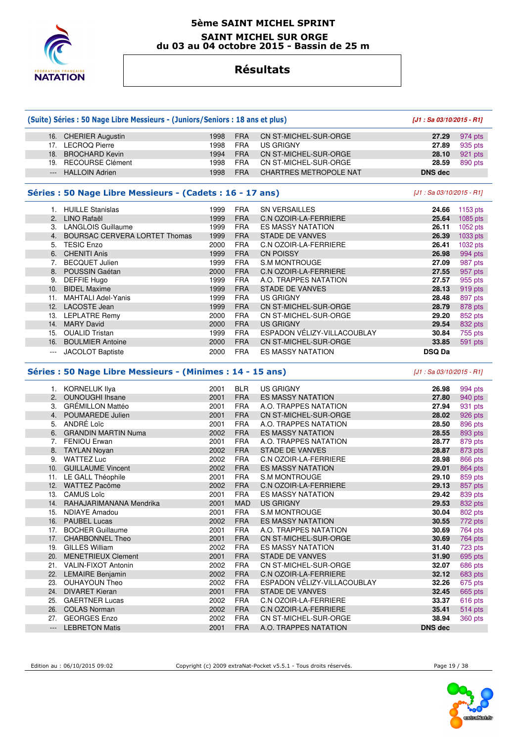

#### **5ème SAINT MICHEL SPRINT SAINT MICHEL SUR ORGE du 03 au 04 octobre 2015 - Bassin de 25 m**

# **Résultats**

# **(Suite) Séries : 50 Nage Libre Messieurs - (Juniors/Seniors : 18 ans et plus) [J1 : Sa 03/10/2015 - R1]**

| 16. CHERIER Augustin | 1998  | <b>FRA</b> | CN ST-MICHEL-SUR-ORGE   |                | 27.29 974 pts        |
|----------------------|-------|------------|-------------------------|----------------|----------------------|
| 17. LECROQ Pierre    | 1998. | <b>FRA</b> | US GRIGNY               | 27.89          | 935 pts              |
| 18. BROCHARD Kevin   | 1994  | <b>FRA</b> | ○ CN ST-MICHEL-SUR-ORGE |                | <b>28.10</b> 921 pts |
| 19. RECOURSE Clément | 1998  | <b>FRA</b> | CN ST-MICHEL-SUR-ORGE   | 28.59          | 890 pts              |
| --- HALLOIN Adrien   | 1998  | <b>FRA</b> | CHARTRES METROPOLE NAT  | <b>DNS</b> dec |                      |
|                      |       |            |                         |                |                      |

### **Séries : 50 Nage Libre Messieurs - (Cadets : 16 - 17 ans)** [J1 : Sa 03/10/2015 - R1]

|                | <b>HUILLE Stanislas</b>              | 1999 | <b>FRA</b> | <b>SN VERSAILLES</b>         | 24.66         | 1153 pts |
|----------------|--------------------------------------|------|------------|------------------------------|---------------|----------|
| 2 <sub>1</sub> | LINO Rafaël                          | 1999 | <b>FRA</b> | C.N OZOIR-LA-FERRIERE        | 25.64         | 1085 pts |
| 3.             | <b>LANGLOIS Guillaume</b>            | 1999 | <b>FRA</b> | <b>ES MASSY NATATION</b>     | 26.11         | 1052 pts |
| 4.             | <b>BOURSAC CERVERA LORTET Thomas</b> | 1999 | <b>FRA</b> | <b>STADE DE VANVES</b>       | 26.39         | 1033 pts |
| 5.             | <b>TESIC Enzo</b>                    | 2000 | <b>FRA</b> | <b>C.N OZOIR-LA-FERRIERE</b> | 26.41         | 1032 pts |
| 6.             | <b>CHENITI Anis</b>                  | 1999 | <b>FRA</b> | <b>CN POISSY</b>             | 26.98         | 994 pts  |
|                | <b>BECQUET Julien</b>                | 1999 | <b>FRA</b> | <b>S.M MONTROUGE</b>         | 27.09         | 987 pts  |
| 8.             | POUSSIN Gaétan                       | 2000 | <b>FRA</b> | <b>C.N OZOIR-LA-FERRIERE</b> | 27.55         | 957 pts  |
| 9.             | DEFFIE Hugo                          | 1999 | <b>FRA</b> | A.O. TRAPPES NATATION        | 27.57         | 955 pts  |
| 10.            | <b>BIDEL Maxime</b>                  | 1999 | <b>FRA</b> | STADE DE VANVES              | 28.13         | 919 pts  |
| 11.            | <b>MAHTALI Adel-Yanis</b>            | 1999 | <b>FRA</b> | <b>US GRIGNY</b>             | 28.48         | 897 pts  |
| 12.            | <b>LACOSTE Jean</b>                  | 1999 | <b>FRA</b> | CN ST-MICHEL-SUR-ORGE        | 28.79         | 878 pts  |
| 13.            | <b>LEPLATRE Remy</b>                 | 2000 | <b>FRA</b> | CN ST-MICHEL-SUR-ORGE        | 29.20         | 852 pts  |
| 14.            | <b>MARY David</b>                    | 2000 | <b>FRA</b> | <b>US GRIGNY</b>             | 29.54         | 832 pts  |
| 15.            | <b>OUALID Tristan</b>                | 1999 | <b>FRA</b> | ESPADON VÉLIZY-VILLACOUBLAY  | 30.84         | 755 pts  |
| 16.            | <b>BOULMIER Antoine</b>              | 2000 | <b>FRA</b> | CN ST-MICHEL-SUR-ORGE        | 33.85         | 591 pts  |
| $---$          | <b>JACOLOT Baptiste</b>              | 2000 | <b>FRA</b> | <b>ES MASSY NATATION</b>     | <b>DSQ Da</b> |          |

### **Séries : 50 Nage Libre Messieurs - (Minimes : 14 - 15 ans)** [J1 : Sa 03/10/2015 - R1]

 1. KORNELUK Ilya 2001 BLR US GRIGNY **26.98** 994 pts 2. OUNOUGHI Ihsane 2001 FRA ES MASSY NATATION **27.80** 940 pts 3. GRÉMILLON Mattéo 2001 FRA A.O. TRAPPES NATATION **27.94** 931 pts 4. POUMAREDE Julien 2001 FRA CN ST-MICHEL-SUR-ORGE **28.02** 926 pts 5. ANDRÉ Loïc 2001 FRA A.O. TRAPPES NATATION **28.50** 896 pts 6. GRANDIN MARTIN Numa 2002 FRA ES MASSY NATATION **28.55** 893 pts 7. FENIOU Erwan 2001 FRA A.O. TRAPPES NATATION **28.77** 879 pts 8. TAYLAN Noyan 2002 FRA STADE DE VANVES **28.87** 873 pts 9. WATTEZ Luc 2002 FRA C.N OZOIR-LA-FERRIERE **28.98** 866 pts 10. GUILLAUME Vincent 2002 FRA ES MASSY NATATION **29.01** 864 pts 11. LE GALL Théophile 2001 FRA S.M MONTROUGE **29.10** 859 pts 12. WATTEZ Pacôme 2002 FRA C.N OZOIR-LA-FERRIERE **29.13** 857 pts 13. CAMUS Loïc 2001 FRA ES MASSY NATATION **29.42** 839 pts 14. RAHAJARIMANANA Mendrika 2001 MAD US GRIGNY **29.53 29.53**  15. NDIAYE Amadou 2001 FRA S.M MONTROUGE **30.04** 802 pts 16. PAUBEL Lucas 2002 FRA ES MASSY NATATION **30.55** 772 pts 17. BOCHER Guillaume 2001 FRA A.O. TRAPPES NATATION **30.69** 764 pts 17. CHARBONNEL Theo 2001 FRA CN ST-MICHEL-SUR-ORGE **30.69** 764 pts 19. GILLES William 2002 FRA ES MASSY NATATION **31.40** 723 pts 20. MENETRIEUX Clement 2001 FRA STADE DE VANVES **31.90** 695 pts 21. VALIN-FIXOT Antonin 2002 FRA CN ST-MICHEL-SUR-ORGE **32.07** 686 pts 22. LEMAIRE Benjamin 2002 FRA C.N OZOIR-LA-FERRIERE **32.12** 683 pts 23. OUHAYOUN Theo 2002 FRA ESPADON VÉLIZY-VILLACOUBLAY **32.26** 675 pts 24. DIVARET Kieran 2001 FRA STADE DE VANVES **32.45** 665 pts 25. GAERTNER Lucas 2002 FRA C.N OZOIR-LA-FERRIERE **33.37** 616 pts 26. COLAS Norman 2002 FRA C.N OZOIR-LA-FERRIERE **35.41** 514 pts 27. GEORGES Enzo 2002 FRA CN ST-MICHEL-SUR-ORGE **38.94** 360 pts --- LEBRETON Matis 2001 FRA A.O. TRAPPES NATATION **DNS dec** 

Edition au : 06/10/2015 09:02 Copyright (c) 2009 extraNat-Pocket v5.5.1 - Tous droits réservés. Page 19 / 38

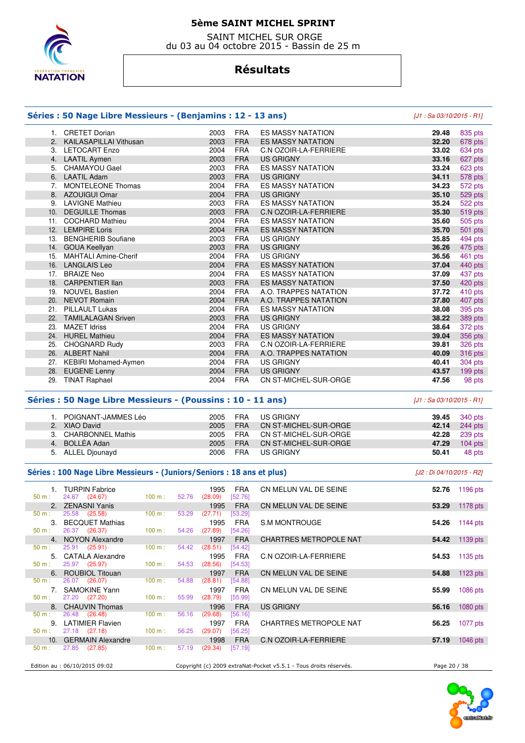

 SAINT MICHEL SUR ORGE du 03 au 04 octobre 2015 - Bassin de 25 m

# **Résultats**

#### **Séries : 50 Nage Libre Messieurs - (Benjamins : 12 - 13 ans)** [J1 : Sa 03/10/2015 - R1]

|     | 1. CRETET Dorian            | 2003 | <b>FRA</b> | <b>ES MASSY NATATION</b>     | 29.48 | 835 pts |
|-----|-----------------------------|------|------------|------------------------------|-------|---------|
| 2.  | KAILASAPILLAI Vithusan      | 2003 | <b>FRA</b> | <b>ES MASSY NATATION</b>     | 32.20 | 678 pts |
| 3.  | <b>LETOCART Enzo</b>        | 2004 | <b>FRA</b> | C.N OZOIR-LA-FERRIERE        | 33.02 | 634 pts |
| 4.  | <b>LAATIL Aymen</b>         | 2003 | <b>FRA</b> | <b>US GRIGNY</b>             | 33.16 | 627 pts |
| 5.  | <b>CHAMAYOU Gael</b>        | 2003 | <b>FRA</b> | <b>ES MASSY NATATION</b>     | 33.24 | 623 pts |
| 6.  | <b>LAATIL Adam</b>          | 2003 | <b>FRA</b> | <b>US GRIGNY</b>             | 34.11 | 578 pts |
| 7.  | <b>MONTELEONE Thomas</b>    | 2004 | <b>FRA</b> | <b>ES MASSY NATATION</b>     | 34.23 | 572 pts |
|     | 8. AZOUIGUI Omar            | 2004 | <b>FRA</b> | <b>US GRIGNY</b>             | 35.10 | 529 pts |
| 9.  | <b>LAVIGNE Mathieu</b>      | 2003 | <b>FRA</b> | <b>ES MASSY NATATION</b>     | 35.24 | 522 pts |
| 10. | <b>DEGUILLE Thomas</b>      | 2003 | <b>FRA</b> | <b>C.N OZOIR-LA-FERRIERE</b> | 35.30 | 519 pts |
|     | 11. COCHARD Mathieu         | 2004 | <b>FRA</b> | <b>ES MASSY NATATION</b>     | 35.60 | 505 pts |
| 12. | <b>LEMPIRE Loris</b>        | 2004 | <b>FRA</b> | <b>ES MASSY NATATION</b>     | 35.70 | 501 pts |
| 13. | <b>BENGHERIB Soufiane</b>   | 2003 | <b>FRA</b> | <b>US GRIGNY</b>             | 35.85 | 494 pts |
|     | 14. GOUA Keellyan           | 2003 | <b>FRA</b> | <b>US GRIGNY</b>             | 36.26 | 475 pts |
| 15. | <b>MAHTALI Amine-Cherif</b> | 2004 | <b>FRA</b> | US GRIGNY                    | 36.56 | 461 pts |
| 16. | <b>LANGLAIS Leo</b>         | 2004 | <b>FRA</b> | <b>ES MASSY NATATION</b>     | 37.04 | 440 pts |
| 17. | <b>BRAIZE Neo</b>           | 2004 | <b>FRA</b> | <b>ES MASSY NATATION</b>     | 37.09 | 437 pts |
|     | 18. CARPENTIER IIan         | 2003 | <b>FRA</b> | <b>ES MASSY NATATION</b>     | 37.50 | 420 pts |
| 19. | <b>NOUVEL Bastien</b>       | 2004 | <b>FRA</b> | A.O. TRAPPES NATATION        | 37.72 | 410 pts |
|     | 20. NEVOT Romain            | 2004 | <b>FRA</b> | A.O. TRAPPES NATATION        | 37.80 | 407 pts |
| 21. | <b>PILLAULT Lukas</b>       | 2004 | <b>FRA</b> | <b>ES MASSY NATATION</b>     | 38.08 | 395 pts |
| 22. | <b>TAMILALAGAN Sriven</b>   | 2003 | <b>FRA</b> | US GRIGNY                    | 38.22 | 389 pts |
| 23. | <b>MAZET Idriss</b>         | 2004 | <b>FRA</b> | US GRIGNY                    | 38.64 | 372 pts |
|     | 24. HUREL Mathieu           | 2004 | <b>FRA</b> | ES MASSY NATATION            | 39.04 | 356 pts |
| 25. | CHOGNARD Rudy               | 2003 | <b>FRA</b> | C.N OZOIR-LA-FERRIERE        | 39.81 | 326 pts |
|     | 26. ALBERT Nahil            | 2004 | <b>FRA</b> | A.O. TRAPPES NATATION        | 40.09 | 316 pts |
| 27. | KEBIRI Mohamed-Aymen        | 2004 | <b>FRA</b> | <b>US GRIGNY</b>             | 40.41 | 304 pts |
| 28. | <b>EUGENE Lenny</b>         | 2004 | <b>FRA</b> | <b>US GRIGNY</b>             | 43.57 | 199 pts |
| 29. | <b>TINAT Raphael</b>        | 2004 | <b>FRA</b> | CN ST-MICHEL-SUR-ORGE        | 47.56 | 98 pts  |

### **Séries : 50 Nage Libre Messieurs - (Poussins : 10 - 11 ans)** [J1 : Sa 03/10/2015 - R1]

| 1. POIGNANT-JAMMES Léo | 2005 | FRA        | US GRIGNY             |       | <b>39.45</b> 340 pts |
|------------------------|------|------------|-----------------------|-------|----------------------|
| 2. XIAO David          | 2005 | <b>FRA</b> | CN ST-MICHEL-SUR-ORGE |       | 42.14 244 pts        |
| 3. CHARBONNEL Mathis   | 2005 | FRA        | CN ST-MICHEL-SUR-ORGE |       | 42.28 239 pts        |
| 4. BOLLÉA Adan         | 2005 | <b>FRA</b> | CN ST-MICHEL-SUR-ORGE | 47.29 | $104$ pts            |
| 5. ALLEL Diounayd      | 2006 | <b>FRA</b> | US GRIGNY             | 50.41 | 48 pts               |

#### Séries : 100 Nage Libre Messieurs - (Juniors/Seniors : 18 ans et plus) *[J2 : Di 04/10/2015 - R2]*

| 50 m: | 1. TURPIN Fabrice<br>24.67 (24.67) | 100 m:            | 52.76 | 1995<br>(28.09) | FRA<br>[52.76] | CN MELUN VAL DE SEINE                                             |              | <b>52.76</b> 1196 pts |
|-------|------------------------------------|-------------------|-------|-----------------|----------------|-------------------------------------------------------------------|--------------|-----------------------|
|       | 2. ZENASNI Yanis                   |                   |       | 1995            | <b>FRA</b>     | CN MELUN VAL DE SEINE                                             | 53.29        | 1178 pts              |
| 50 m: | 25.58 (25.58)                      | 100 m:            | 53.29 | (27.71)         | [53.29]        |                                                                   |              |                       |
|       | 3. BECQUET Mathias                 |                   |       | 1995            | <b>FRA</b>     | <b>S.M MONTROUGE</b>                                              | 54.26        | 1144 pts              |
| 50 m: | 26.37 (26.37)                      | 100 m:            | 54.26 | (27.89)         | [54.26]        |                                                                   |              |                       |
|       | 4. NOYON Alexandre                 |                   |       | 1997            | <b>FRA</b>     | <b>CHARTRES METROPOLE NAT</b>                                     | 54.42        | 1139 pts              |
| 50 m: | 25.91 (25.91)                      | $100 m$ :         | 54.42 | (28.51)         | [54.42]        |                                                                   |              |                       |
|       | 5. CATALA Alexandre                |                   |       | 1995            | <b>FRA</b>     | C.N OZOIR-LA-FERRIERE                                             |              | 54.53 1135 pts        |
| 50 m: | 25.97 (25.97)                      | $100 \text{ m}$ : | 54.53 | (28.56)         | [54.53]        |                                                                   |              |                       |
|       | 6. ROUBIOL Titouan                 |                   |       | 1997            | <b>FRA</b>     | CN MELUN VAL DE SEINE                                             | 54.88        | $1123$ pts            |
| 50 m: | 26.07 (26.07)                      | 100 m :           | 54.88 | (28.81)         | [54.88]        |                                                                   |              |                       |
|       | 7. SAMOKINE Yann                   |                   |       | 1997            | <b>FRA</b>     | CN MELUN VAL DE SEINE                                             | 55.99        | 1086 $pts$            |
| 50 m: | 27.20 (27.20)                      | 100 m:            | 55.99 | (28.79)         | [55.99]        |                                                                   |              |                       |
|       | 8. CHAUVIN Thomas                  |                   |       | 1996            | <b>FRA</b>     | US GRIGNY                                                         | 56.16        | $1080$ pts            |
| 50 m: | 26.48 (26.48)                      | $100 \text{ m}$ : | 56.16 | (29.68)         | [56.16]        |                                                                   |              |                       |
|       | 9. LATIMIER Flavien                |                   |       | 1997            | <b>FRA</b>     | CHARTRES METROPOLE NAT                                            | 56.25        | 1077 pts              |
| 50 m: | 27.18 (27.18)                      | 100 m:            | 56.25 | (29.07)         | [56.25]        |                                                                   |              |                       |
|       | 10. GERMAIN Alexandre              |                   |       | 1998            | <b>FRA</b>     | C.N OZOIR-LA-FERRIERE                                             | 57.19        | $1046$ pts            |
| 50 m: | 27.85 (27.85)                      | $100 \text{ m}$ : | 57.19 | (29.34)         | [57.19]        |                                                                   |              |                       |
|       |                                    |                   |       |                 |                |                                                                   |              |                       |
|       | Edition au : 06/10/2015 09:02      |                   |       |                 |                | Copyright (c) 2009 extraNat-Pocket v5.5.1 - Tous droits réservés. | Page 20 / 38 |                       |

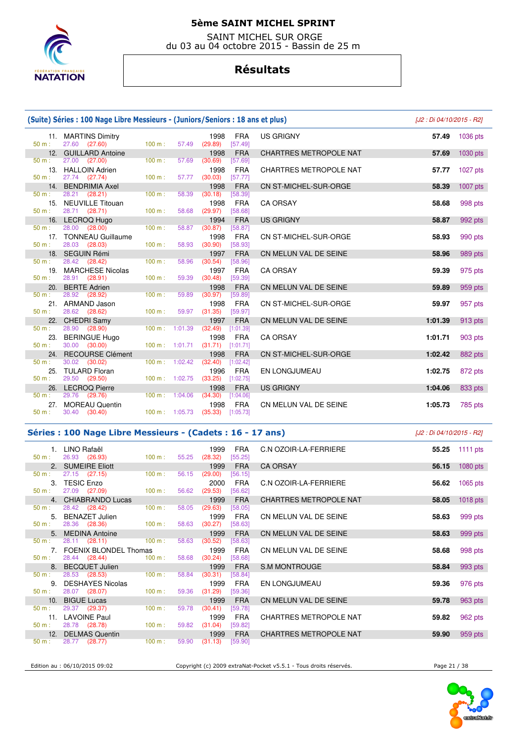

 SAINT MICHEL SUR ORGE du 03 au 04 octobre 2015 - Bassin de 25 m

### **Résultats**

|                 | (Suite) Séries : 100 Nage Libre Messieurs - (Juniors/Seniors : 18 ans et plus) |                   |         |                                            |                               | [J2 : Di 04/10/2015 - R2] |            |
|-----------------|--------------------------------------------------------------------------------|-------------------|---------|--------------------------------------------|-------------------------------|---------------------------|------------|
| 11.<br>$50 m$ : | <b>MARTINS Dimitry</b><br>27.60 (27.60)                                        | 100 m:            | 57.49   | 1998<br><b>FRA</b><br>(29.89)<br>[57.49]   | <b>US GRIGNY</b>              | 57.49                     | 1036 pts   |
| 12.             | <b>GUILLARD Antoine</b>                                                        |                   |         | 1998<br><b>FRA</b>                         | <b>CHARTRES METROPOLE NAT</b> | 57.69                     | 1030 pts   |
| $50 m$ :        | 27.00 (27.00)                                                                  | 100 m:            | 57.69   | (30.69)<br>[57.69]                         |                               |                           |            |
| 13.             | <b>HALLOIN Adrien</b>                                                          |                   |         | <b>FRA</b><br>1998                         | <b>CHARTRES METROPOLE NAT</b> | 57.77                     | 1027 pts   |
| $50 m$ :        | 27.74 (27.74)                                                                  | 100 m:            | 57.77   | (30.03)<br>[57.77]                         |                               |                           |            |
| 14.<br>$50 m$ : | <b>BENDRIMIA Axel</b><br>28.21<br>(28.21)                                      | 100 m:            | 58.39   | 1998<br><b>FRA</b><br>(30.18)<br>[58.39]   | CN ST-MICHEL-SUR-ORGE         | 58.39                     | $1007$ pts |
| 15.             | <b>NEUVILLE Titouan</b>                                                        |                   |         | <b>FRA</b><br>1998                         | <b>CA ORSAY</b>               | 58.68                     | 998 pts    |
| 50 m:           | 28.71 (28.71)                                                                  | 100 m:            | 58.68   | [58.68]<br>(29.97)                         |                               |                           |            |
|                 | 16. LECROQ Hugo                                                                |                   |         | 1994<br><b>FRA</b>                         | <b>US GRIGNY</b>              | 58.87                     | 992 pts    |
| $50 m$ :        | 28.00<br>(28.00)                                                               | 100 m:            | 58.87   | (30.87)<br>[58.87]                         |                               |                           |            |
|                 | 17. TONNEAU Guillaume                                                          |                   |         | 1998<br><b>FRA</b>                         | CN ST-MICHEL-SUR-ORGE         | 58.93                     | 990 pts    |
| $50 m$ :        | 28.03<br>(28.03)                                                               | 100 m:            | 58.93   | (30.90)<br>[58.93]                         |                               |                           |            |
| 18.             | <b>SEGUIN Rémi</b>                                                             |                   |         | <b>FRA</b><br>1997                         | CN MELUN VAL DE SEINE         | 58.96                     | 989 pts    |
| $50 m$ :        | 28.42 (28.42)                                                                  | 100 m:            | 58.96   | (30.54)<br>[58.96]                         |                               |                           |            |
| 19.<br>50 m:    | <b>MARCHESE Nicolas</b><br>28.91 (28.91)                                       | 100 m:            | 59.39   | <b>FRA</b><br>1997<br>(30.48)<br>[59.39]   | <b>CA ORSAY</b>               | 59.39                     | 975 pts    |
| 20.             | <b>BERTE Adrien</b>                                                            |                   |         | <b>FRA</b><br>1998                         | CN MELUN VAL DE SEINE         | 59.89                     | 959 pts    |
| $50 m$ :        | 28.92 (28.92)                                                                  | 100 m:            | 59.89   | (30.97)<br>[59.89]                         |                               |                           |            |
| 21.             | ARMAND Jason                                                                   |                   |         | 1998<br><b>FRA</b>                         | CN ST-MICHEL-SUR-ORGE         | 59.97                     | 957 pts    |
| 50 m:           | 28.62 (28.62)                                                                  | 100 m:            | 59.97   | (31.35)<br>[59.97]                         |                               |                           |            |
| 22.             | <b>CHEDRI Samy</b>                                                             |                   |         | 1997<br><b>FRA</b>                         | CN MELUN VAL DE SEINE         | 1:01.39                   | 913 pts    |
| 50 m:           | 28.90<br>(28.90)                                                               | 100 m:            | 1:01.39 | (32.49)<br>[1:01.39]                       |                               |                           |            |
| 23.             | <b>BERINGUE Hugo</b>                                                           |                   |         | 1998<br><b>FRA</b>                         | <b>CA ORSAY</b>               | 1:01.71                   | 903 pts    |
| 50 m:           | 30.00<br>(30.00)                                                               | $100 m$ : 1:01.71 |         | (31.71)<br>[1:01.71]                       |                               |                           |            |
| 24.<br>50 m:    | <b>RECOURSE Clément</b><br>30.02 (30.02)                                       | 100 m:            | 1:02.42 | <b>FRA</b><br>1998<br>(32.40)<br>[1:02.42] | CN ST-MICHEL-SUR-ORGE         | 1:02.42                   | 882 pts    |
| 25.             | <b>TULARD Floran</b>                                                           |                   |         | <b>FRA</b><br>1996                         | <b>EN LONGJUMEAU</b>          | 1:02.75                   | 872 pts    |
| $50 m$ :        | 29.50 (29.50)                                                                  | $100 m$ : 1:02.75 |         | (33.25)<br>[1:02.75]                       |                               |                           |            |
| 26.             | <b>LECROQ Pierre</b>                                                           |                   |         | <b>FRA</b><br>1998                         | <b>US GRIGNY</b>              | 1:04.06                   | 833 pts    |
| 50 m:           | 29.76 (29.76)                                                                  | 100 m:            | 1:04.06 | (34.30)<br>[1:04.06]                       |                               |                           |            |
| 27.             | <b>MOREAU Quentin</b>                                                          |                   |         | <b>FRA</b><br>1998                         | CN MELUN VAL DE SEINE         | 1:05.73                   | 785 pts    |
| $50 m$ :        | 30.40 (30.40)                                                                  | 100 m: 1:05.73    |         | (35.33)<br>[1:05.73]                       |                               |                           |            |

#### **Séries : 100 Nage Libre Messieurs - (Cadets : 16 - 17 ans)** [J2 : Di 04/10/2015 - R2]

 1. LINO Rafaël 1999 FRA C.N OZOIR-LA-FERRIERE **55.25** 1111 pts 26.93 (26.93) 2. SUMEIRE Eliott 1999 FRA CA ORSAY **56.15** 1080 pts 50 m : 27.15 (27.15) 100 m : 56.15 (29.00) [56.15] 3. TESIC Enzo 2000 FRA C.N OZOIR-LA-FERRIERE **56.62** 1065 pts 27.09 (27.09) 4. CHIABRANDO Lucas 1999 FRA CHARTRES METROPOLE NAT **58.05** 1018 pts 50 m : 28.42 (28.42) 100 m : 58.05 (29.63) [58.05] 5. BENAZET Julien 1999 FRA CN MELUN VAL DE SEINE **58.63** 999 pts 28.36 (28.36) 5. MEDINA Antoine 1999 FRA CN MELUN VAL DE SEINE **58.63** 999 pts  $28.11$   $(28.11)$ 7. FOENIX BLONDEL Thomas 1999 FRA CN MELUN VAL DE SEINE 58.68 998 pts<br>  $\frac{50 \text{ m}}{28.44}$  (28.44)  $\frac{(28.44)}{(28.44)}$   $\frac{100 \text{ m}}{58.68}$  (30.24)  $\frac{58.68}{(30.24)}$   $\frac{58.68}{(30.24)}$ 28.44 (28.44) 8. BECQUET Julien 1999 FRA S.M MONTROUGE 58.84 **58.84** 993 pts 58.84 **58.84** 993 pts 50 m : 28.53 (28.53) 100 m : 58.84 (30.31) [58.84] 9. DESHAYES Nicolas 1999 FRA EN LONGJUMEAU **59.36** 976 pts 28.07 (28.07) 10. BIGUE Lucas 1999 FRA CN MELUN VAL DE SEINE **59.78** 963 pts 50 m : 29.37 (29.37) 100 m : 59.78 (30.41) [59.78 11. LAVOINE Paul 1999 FRA CHARTRES METROPOLE NAT **59.82** 962 pts 50 m : 28.78 (28.78) 100 m : 59.82 (31.04) [59.82] 12. DELMAS Quentin 1999 FRA CHARTRES METROPOLE NAT **59.90** 959 pts 50 m : 28.77 (28.77) 100 m : 59.90 (31.13) [59.90]

Edition au : 06/10/2015 09:02 Copyright (c) 2009 extraNat-Pocket v5.5.1 - Tous droits réservés. Page 21 / 38

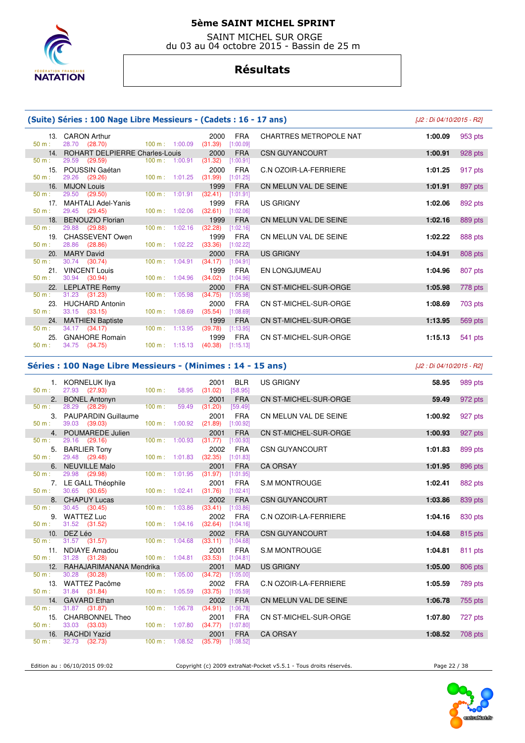

 SAINT MICHEL SUR ORGE du 03 au 04 octobre 2015 - Bassin de 25 m

# **Résultats**

|                 | (Suite) Séries : 100 Nage Libre Messieurs - (Cadets : 16 - 17 ans) |                                  |                                            |                               |                    |  |  |  |  |  |
|-----------------|--------------------------------------------------------------------|----------------------------------|--------------------------------------------|-------------------------------|--------------------|--|--|--|--|--|
| $50 m$ :        | 13. CARON Arthur<br>28.70 (28.70)                                  | $100 \text{ m}$ : 1:00.09        | <b>FRA</b><br>2000<br>(31.39)<br>[1:00.09] | <b>CHARTRES METROPOLE NAT</b> | 1:00.09<br>953 pts |  |  |  |  |  |
|                 | 14. ROHART DELPIERRE Charles-Louis                                 |                                  | <b>FRA</b><br>2000                         | <b>CSN GUYANCOURT</b>         | 928 pts<br>1:00.91 |  |  |  |  |  |
| 50 m:           | 29.59 (29.59)                                                      | 100 m: 1:00.91                   | (31.32)<br>[1:00.91]                       |                               |                    |  |  |  |  |  |
| $50 m$ :        | 15. POUSSIN Gaétan<br>29.26 (29.26)                                | $100 m$ : 1:01.25                | <b>FRA</b><br>2000<br>(31.99)<br>[1:01.25] | C.N OZOIR-LA-FERRIERE         | 1:01.25<br>917 pts |  |  |  |  |  |
|                 | 16. MIJON Louis                                                    |                                  | <b>FRA</b><br>1999                         | CN MELUN VAL DE SEINE         | 1:01.91<br>897 pts |  |  |  |  |  |
| $50 m$ :        | 29.50 (29.50)                                                      | $100 \text{ m}$ : 1:01.91        | (32.41)<br>[1:01.91]                       |                               |                    |  |  |  |  |  |
| 17 <sub>1</sub> | <b>MAHTALI Adel-Yanis</b>                                          |                                  | <b>FRA</b><br>1999                         | US GRIGNY                     | 1:02.06<br>892 pts |  |  |  |  |  |
| $50 m$ :        | 29.45 (29.45)                                                      | 100 m: 1:02.06                   | $(32.61)$ [1:02.06]                        |                               |                    |  |  |  |  |  |
| 18 <sub>1</sub> | BENOUZIO Florian                                                   |                                  | 1999<br><b>FRA</b>                         | CN MELUN VAL DE SEINE         | 1:02.16<br>889 pts |  |  |  |  |  |
| $50 m$ :        | 29.88 (29.88)                                                      | 100 m: 1:02.16                   | (32.28)<br>[1:02.16]                       |                               |                    |  |  |  |  |  |
|                 | 19. CHASSEVENT Owen                                                |                                  | 1999<br><b>FRA</b>                         | CN MELUN VAL DE SEINE         | 1:02.22<br>888 pts |  |  |  |  |  |
| $50 m$ :        | 28.86 (28.86)                                                      | $100 \text{ m}$ : $1:02.22$      | (33.36)<br>[1:02.22]                       |                               |                    |  |  |  |  |  |
|                 | 20. MARY David                                                     |                                  | <b>FRA</b><br>2000                         | <b>US GRIGNY</b>              | 1:04.91<br>808 pts |  |  |  |  |  |
| $50 m$ :        | 30.74 (30.74)                                                      | 100 m: 1:04.91                   | (34.17)<br>[1:04.91]                       |                               |                    |  |  |  |  |  |
|                 | 21. VINCENT Louis                                                  |                                  | 1999<br>FRA                                | EN LONGJUMEAU                 | 1:04.96<br>807 pts |  |  |  |  |  |
| $50 m$ :        | 30.94 (30.94)                                                      | 100 m: 1:04.96                   | (34.02)<br>[1:04.96]                       |                               |                    |  |  |  |  |  |
|                 | 22. LEPLATRE Remy                                                  |                                  | <b>FRA</b><br>2000                         | <b>CN ST-MICHEL-SUR-ORGE</b>  | 778 pts<br>1:05.98 |  |  |  |  |  |
| $50 m$ :        | 31.23 (31.23)                                                      | 100 m: 1:05.98                   | (34.75)<br>[1:05.98]                       |                               |                    |  |  |  |  |  |
| 23.             | <b>HUCHARD Antonin</b>                                             | $100 \text{ m}$ : 1:08.69        | 2000<br><b>FRA</b>                         | CN ST-MICHEL-SUR-ORGE         | 1:08.69<br>703 pts |  |  |  |  |  |
| 50 m:           | $33.15$ $(33.15)$                                                  |                                  | (35.54)<br>[1:08.69]                       |                               |                    |  |  |  |  |  |
| $50 m$ :        | 24. MATHIEN Baptiste<br>34.17 (34.17)                              | $100 \text{ m}$ : 1:13.95        | <b>FRA</b><br>1999<br>(39.78)<br>[1:13.95] | <b>CN ST-MICHEL-SUR-ORGE</b>  | 1:13.95<br>569 pts |  |  |  |  |  |
| 25.             | <b>GNAHORE Romain</b>                                              |                                  | <b>FRA</b><br>1999                         | CN ST-MICHEL-SUR-ORGE         |                    |  |  |  |  |  |
| $50 m$ :        | 34.75 (34.75)                                                      | $100 \text{ m}: 1:15.13$ (40.38) | [1:15.13]                                  |                               | 1:15.13<br>541 pts |  |  |  |  |  |
|                 |                                                                    |                                  |                                            |                               |                    |  |  |  |  |  |

#### **Séries : 100 Nage Libre Messieurs - (Minimes : 14 - 15 ans)** [J2 : Di 04/10/2015 - R2]

| 50 m:    | 1. KORNELUK Ilya<br>27.93 (27.93)     | 100 m:                           | 2001<br><b>BLR</b><br>58.95 (31.02)<br>[58.95] | <b>US GRIGNY</b>             | 58.95   | 989 pts |
|----------|---------------------------------------|----------------------------------|------------------------------------------------|------------------------------|---------|---------|
|          | 2. BONEL Antonyn                      |                                  | 2001<br><b>FRA</b>                             | <b>CN ST-MICHEL-SUR-ORGE</b> | 59.49   | 972 pts |
| 50 m:    | 28.29 (28.29)                         | 100 m:<br>59.49                  | (31.20)<br>[59.49]                             |                              |         |         |
|          | 3. PAUPARDIN Guillaume                |                                  | 2001<br><b>FRA</b>                             | CN MELUN VAL DE SEINE        | 1:00.92 | 927 pts |
| 50 m:    | 39.03 (39.03)                         | 100 m: 1:00.92                   | (21.89)<br>[1:00.92]                           |                              |         |         |
|          | 4. POUMAREDE Julien                   |                                  | 2001<br><b>FRA</b>                             | CN ST-MICHEL-SUR-ORGE        | 1:00.93 | 927 pts |
| $50 m$ : | 29.16 (29.16)                         | 100 m: 1:00.93                   | (31.77)<br>[1:00.93]                           |                              |         |         |
|          | 5. BARLIER Tony                       |                                  | 2002<br><b>FRA</b>                             | <b>CSN GUYANCOURT</b>        | 1:01.83 | 899 pts |
| 50 m:    | 29.48 (29.48)                         | $100 \text{ m}: 1:01.83$ (32.35) | [1:01.83]                                      |                              |         |         |
|          | 6. NEUVILLE Malo                      |                                  | 2001<br><b>FRA</b>                             | <b>CA ORSAY</b>              | 1:01.95 | 896 pts |
| $50 m$ : | 29.98 (29.98)                         | 100 m: 1:01.95                   | (31.97)<br>[1:01.95]                           |                              |         |         |
|          | 7. LE GALL Théophile                  |                                  | <b>FRA</b><br>2001                             | <b>S.M MONTROUGE</b>         | 1:02.41 | 882 pts |
| 50 m:    | 30.65 (30.65)                         | $100 \text{ m}: 1:02.41$ (31.76) | [1:02.41]                                      |                              |         |         |
|          | 8. CHAPUY Lucas                       |                                  | 2002<br><b>FRA</b>                             | <b>CSN GUYANCOURT</b>        | 1:03.86 | 839 pts |
| 50 m:    | 30.45 (30.45)                         | 100 m: 1:03.86                   | (33.41)<br>[1:03.86]                           |                              |         |         |
|          | 9. WATTEZ Luc                         |                                  | 2002<br><b>FRA</b>                             | C.N OZOIR-LA-FERRIERE        | 1:04.16 | 830 pts |
| 50 m:    | 31.52 (31.52)                         | $100 \text{ m}: 1:04.16$ (32.64) | [1:04.16]                                      |                              |         |         |
|          | 10. DEZ Léo                           |                                  | 2002<br><b>FRA</b>                             | <b>CSN GUYANCOURT</b>        | 1:04.68 | 815 pts |
| $50 m$ : | 31.57 (31.57)                         | 100 m: 1:04.68                   | (33.11)<br>[1:04.68]                           |                              |         |         |
|          | 11. NDIAYE Amadou                     |                                  | <b>FRA</b><br>2001                             | <b>S.M MONTROUGE</b>         | 1:04.81 | 811 pts |
| $50 m$ : | 31.28 (31.28)                         | $100 \text{ m}: 1:04.81$ (33.53) | [1:04.81]                                      |                              |         |         |
|          | 12. RAHAJARIMANANA Mendrika           |                                  | 2001<br><b>MAD</b>                             | <b>US GRIGNY</b>             | 1:05.00 | 806 pts |
| $50 m$ : | 30.28 (30.28)                         | 100 m: 1:05.00                   | (34.72)<br>[1:05.00]                           |                              |         |         |
| 50 m:    | 13. WATTEZ Pacôme<br>31.84 (31.84)    | 100 m: 1:05.59                   | <b>FRA</b><br>2002<br>(33.75)<br>[1:05.59]     | C.N OZOIR-LA-FERRIERE        | 1:05.59 | 789 pts |
|          |                                       |                                  |                                                |                              |         |         |
| $50 m$ : | 14. GAVARD Ethan<br>$31.87$ $(31.87)$ | 100 m: 1:06.78                   | 2002<br><b>FRA</b><br>(34.91)<br>[1:06.78]     | CN MELUN VAL DE SEINE        | 1:06.78 | 755 pts |
|          |                                       |                                  | 2001<br><b>FRA</b>                             |                              |         |         |
| $50 m$ : | 15. CHARBONNEL Theo<br>33.03 (33.03)  | $100 \text{ m}: 1:07.80$ (34.77) | [1:07.80]                                      | CN ST-MICHEL-SUR-ORGE        | 1:07.80 | 727 pts |
|          | 16. RACHDI Yazid                      |                                  | 2001<br><b>FRA</b>                             | <b>CA ORSAY</b>              | 1:08.52 | 708 pts |
| 50 m:    | 32.73 (32.73)                         | 100 m: 1:08.52                   | (35.79)<br>[1:08.52]                           |                              |         |         |
|          |                                       |                                  |                                                |                              |         |         |

Edition au : 06/10/2015 09:02 Copyright (c) 2009 extraNat-Pocket v5.5.1 - Tous droits réservés. Page 22 / 38

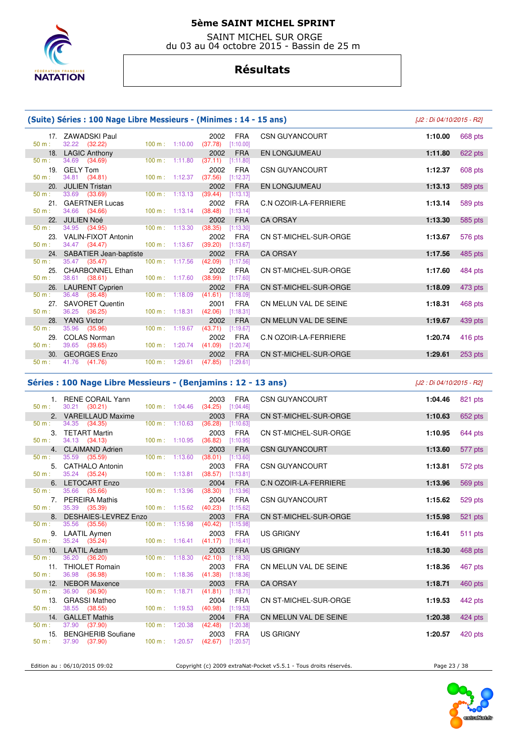

 SAINT MICHEL SUR ORGE du 03 au 04 octobre 2015 - Bassin de 25 m

# **Résultats**

|          | (Suite) Séries : 100 Nage Libre Messieurs - (Minimes : 14 - 15 ans) |                           |                                            |                              | [J2 : Di 04/10/2015 - R2] |
|----------|---------------------------------------------------------------------|---------------------------|--------------------------------------------|------------------------------|---------------------------|
| $50 m$ : | 17. ZAWADSKI Paul<br>32.22 (32.22)                                  | 100 m: 1:10.00            | <b>FRA</b><br>2002<br>(37.78)<br>[1:10.00] | <b>CSN GUYANCOURT</b>        | 1:10.00<br>668 pts        |
|          | 18. LAGIC Anthony                                                   |                           | <b>FRA</b><br>2002                         | EN LONGJUMEAU                | 1:11.80<br>622 pts        |
| 50 m:    | 34.69 (34.69)                                                       | $100 \text{ m}$ : 1:11.80 | (37.11)<br>[1:11.80]                       |                              |                           |
|          | 19. GELY Tom                                                        |                           | 2002<br><b>FRA</b>                         | <b>CSN GUYANCOURT</b>        | 1:12.37<br>608 pts        |
| 50 m:    | 34.81 (34.81)                                                       | 100 m: 1:12.37            | (37.56)<br>[1:12.37]                       |                              |                           |
| 20.      | <b>JULIEN Tristan</b>                                               |                           | <b>FRA</b><br>2002                         | <b>EN LONGJUMEAU</b>         | 589 pts<br>1:13.13        |
| 50 m:    | 33.69 (33.69)                                                       | 100 m: 1:13.13            | (39.44)<br>[1:13.13]                       |                              |                           |
| 21.      | <b>GAERTNER Lucas</b>                                               |                           | 2002<br><b>FRA</b>                         | C.N OZOIR-LA-FERRIERE        | 589 pts<br>1:13.14        |
| 50 m:    | 34.66 (34.66)                                                       | 100 m: 1:13.14            | (38.48)<br>[1:13.14]                       |                              |                           |
| 22.      | <b>JULIEN Noé</b>                                                   |                           | 2002<br><b>FRA</b>                         | <b>CA ORSAY</b>              | 1:13.30<br>585 pts        |
| 50 m:    | 34.95 (34.95)                                                       | 100 m: 1:13.30            | (38.35)<br>[1:13.30]                       |                              |                           |
| 23.      | <b>VALIN-FIXOT Antonin</b>                                          |                           | <b>FRA</b><br>2002                         | CN ST-MICHEL-SUR-ORGE        | 1:13.67<br>576 pts        |
| $50 m$ : | 34.47 (34.47)                                                       | 100 m: 1:13.67            | (39.20)<br>[1:13.67]                       |                              |                           |
| 24.      | SABATIER Jean-baptiste                                              |                           | 2002<br><b>FRA</b>                         | <b>CA ORSAY</b>              | 1:17.56<br>485 pts        |
| 50 m:    | 35.47 (35.47)                                                       | 100 m: 1:17.56            | (42.09)<br>[1:17.56]                       |                              |                           |
| 25.      | <b>CHARBONNEL Ethan</b>                                             |                           | <b>FRA</b><br>2002                         | CN ST-MICHEL-SUR-ORGE        | 1:17.60<br>484 pts        |
| $50 m$ : | 38.61 (38.61)                                                       | 100 m: 1:17.60            | (38.99)<br>[1:17.60]                       |                              |                           |
|          | 26. LAURENT Cyprien                                                 |                           | 2002<br><b>FRA</b>                         | <b>CN ST-MICHEL-SUR-ORGE</b> | 1:18.09<br>473 pts        |
| $50 m$ : | 36.48 (36.48)                                                       | 100 m: 1:18.09            | (41.61)<br>[1:18.09]                       |                              |                           |
| 27.      | <b>SAVORET Quentin</b>                                              |                           | <b>FRA</b><br>2001                         | CN MELUN VAL DE SEINE        | 1:18.31<br>468 pts        |
| $50 m$ : | 36.25 (36.25)                                                       | 100 m: 1:18.31            | (42.06)<br>[1:18.31]                       |                              |                           |
| 28.      | <b>YANG Victor</b>                                                  |                           | 2002<br><b>FRA</b>                         | CN MELUN VAL DE SEINE        | 1:19.67<br>439 pts        |
| 50 m:    | 35.96 (35.96)                                                       | 100 m: 1:19.67            | (43.71)<br>[1:19.67]                       |                              |                           |
|          | 29. COLAS Norman                                                    |                           | <b>FRA</b><br>2002                         | C.N OZOIR-LA-FERRIERE        | 1:20.74<br>416 pts        |
| 50 m:    | 39.65 (39.65)                                                       | 100 m: 1:20.74            | (41.09)<br>[1:20.74]                       |                              |                           |
|          | 30. GEORGES Enzo                                                    |                           | <b>FRA</b><br>2002                         | <b>CN ST-MICHEL-SUR-ORGE</b> | 1:29.61<br>253 pts        |
| 50 m:    | 41.76 (41.76)                                                       | 100 m: 1:29.61            | (47.85)<br>[1:29.61]                       |                              |                           |

#### **Séries : 100 Nage Libre Messieurs - (Benjamins : 12 - 13 ans)** [J2 : Di 04/10/2015 - R2]

| 50 m:    | 1. RENE CORAIL Yann<br>$30.21$ $(30.21)$                |                                  | 2003<br><b>FRA</b><br>100 m: 1:04.46 (34.25) [1:04.46] | <b>CSN GUYANCOURT</b>        | 1:04.46 | 821 pts   |
|----------|---------------------------------------------------------|----------------------------------|--------------------------------------------------------|------------------------------|---------|-----------|
|          | 2. VAREILLAUD Maxime                                    |                                  | 2003<br><b>FRA</b>                                     | <b>CN ST-MICHEL-SUR-ORGE</b> | 1:10.63 | 652 pts   |
| 50 m:    | 34.35 (34.35)                                           |                                  | 100 m: 1:10.63 (36.28) [1:10.63]                       |                              |         |           |
|          | 3. TETART Martin                                        |                                  | 2003<br><b>FRA</b>                                     | CN ST-MICHEL-SUR-ORGE        | 1:10.95 | 644 pts   |
| 50 m:    | 34.13 (34.13)                                           | $100 \text{ m}: 1:10.95$ (36.82) | [1:10.95]                                              |                              |         |           |
|          | 4. CLAIMAND Adrien                                      |                                  | 2003<br><b>FRA</b>                                     | <b>CSN GUYANCOURT</b>        | 1:13.60 | 577 pts   |
| 50 m:    | 35.59 (35.59)                                           |                                  | 100 m: 1:13.60 (38.01) [1:13.60]                       |                              |         |           |
|          | 5. CATHALO Antonin                                      |                                  | 2003<br>FRA                                            | <b>CSN GUYANCOURT</b>        | 1:13.81 | 572 pts   |
|          | $50 \text{ m}: 35.24 (35.24)$                           |                                  | 100 m: 1:13.81 (38.57) [1:13.81]                       |                              |         |           |
|          | 6. LETOCART Enzo                                        |                                  | 2004<br><b>FRA</b>                                     | <b>C.N OZOIR-LA-FERRIERE</b> | 1:13.96 | 569 pts   |
| 50 m:    | 35.66 (35.66)                                           | 100 m: 1:13.96                   | (38.30)<br>[1:13.96]                                   |                              |         |           |
|          | 7. PEREIRA Mathis                                       |                                  | 2004<br><b>FRA</b>                                     | <b>CSN GUYANCOURT</b>        | 1:15.62 | 529 pts   |
| 50 m:    | 35.39 ( <b>35.39</b> )                                  |                                  | 100 m: 1:15.62 (40.23) [1:15.62]                       |                              |         |           |
| 50 m:    | 8. DESHAIES-LEVREZ Enzo                                 | 100 m: 1:15.98                   | 2003<br><b>FRA</b>                                     | CN ST-MICHEL-SUR-ORGE        | 1:15.98 | 521 pts   |
|          | 35.56 (35.56)                                           |                                  | (40.42)<br>[1:15.98]<br><b>FRA</b>                     | <b>US GRIGNY</b>             |         |           |
| $50 m$ : | 9. LAATIL Aymen<br>35.24 (35.24) 100 m: 1:16.41 (41.17) |                                  | 2003<br>[1:16.41]                                      |                              | 1:16.41 | 511 pts   |
|          | 10. LAATIL Adam                                         |                                  | 2003<br><b>FRA</b>                                     | <b>US GRIGNY</b>             | 1:18.30 | 468 pts   |
| 50 m:    | 36.20 (36.20)                                           |                                  | $100 \text{ m}$ : 1:18.30 (42.10) [1:18.30]            |                              |         |           |
|          | 11. THIOLET Romain                                      |                                  | 2003<br><b>FRA</b>                                     | CN MELUN VAL DE SEINE        | 1:18.36 | 467 pts   |
| $50 m$ : | 36.98 (36.98)                                           |                                  | 100 m: 1:18.36 (41.38) [1:18.36]                       |                              |         |           |
|          | 12. NEBOR Maxence                                       |                                  | <b>FRA</b><br>2003                                     | <b>CA ORSAY</b>              | 1:18.71 | 460 pts   |
| 50 m:    | 36.90 (36.90)                                           | $100 \text{ m}: 1:18.71$ (41.81) | [1:18.71]                                              |                              |         |           |
|          | 13. GRASSI Matheo                                       |                                  | 2004<br><b>FRA</b>                                     | CN ST-MICHEL-SUR-ORGE        | 1:19.53 | 442 pts   |
| 50 m:    | 38.55 (38.55)                                           |                                  | 100 m: 1:19.53 (40.98) [1:19.53]                       |                              |         |           |
|          | 14. GALLET Mathis                                       |                                  | 2004<br><b>FRA</b>                                     | CN MELUN VAL DE SEINE        | 1:20.38 | $424$ pts |
| 50 m:    | 37.90 (37.90)                                           | $100 \text{ m}: 1:20.38$ (42.48) | [1:20.38]                                              |                              |         |           |
|          | 15. BENGHERIB Soufiane                                  |                                  | <b>FRA</b><br>2003                                     | <b>US GRIGNY</b>             | 1:20.57 | 420 pts   |
| 50 m:    | 37.90 (37.90)                                           |                                  | $100 \text{ m}: 1:20.57$ (42.67) [1:20.57]             |                              |         |           |
|          |                                                         |                                  |                                                        |                              |         |           |

Edition au : 06/10/2015 09:02 Copyright (c) 2009 extraNat-Pocket v5.5.1 - Tous droits réservés. Page 23 / 38

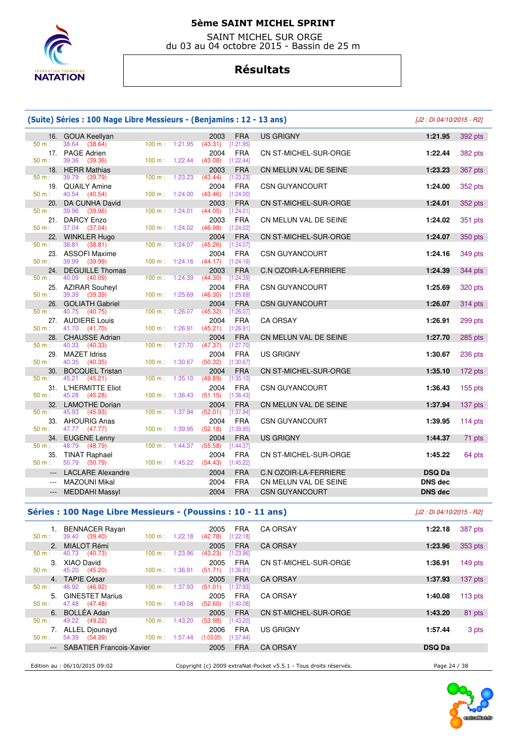

 SAINT MICHEL SUR ORGE du 03 au 04 octobre 2015 - Bassin de 25 m

# **Résultats**

|                 | (Suite) Séries : 100 Nage Libre Messieurs - (Benjamins : 12 - 13 ans)<br>[J2 : Di 04/10/2015 - R2] |                      |                                |                         |                              |                |           |
|-----------------|----------------------------------------------------------------------------------------------------|----------------------|--------------------------------|-------------------------|------------------------------|----------------|-----------|
|                 | 16. GOUA Keellyan                                                                                  |                      | 2003                           | <b>FRA</b>              | <b>US GRIGNY</b>             | 1:21.95        | 392 pts   |
| 50 m:           | (38.64)<br>38.64                                                                                   | 100 m: 1:21.95       | $(43.31)$ [1:21.95]            |                         |                              |                |           |
|                 | 17. PAGE Adrien                                                                                    |                      | 2004                           | <b>FRA</b>              | CN ST-MICHEL-SUR-ORGE        | 1:22.44        | 382 pts   |
| $50 m$ :        | 39.36<br>(39.36)                                                                                   | $100 m$ : 1:22.44    | $(43.08)$ [1:22.44]            |                         |                              |                |           |
| 18.<br>$50 m$ : | <b>HERR Mathias</b><br>39.79<br>(39.79)                                                            | 100 m: 1:23.23       | 2003<br>(43.44)                | <b>FRA</b><br>[1:23.23] | CN MELUN VAL DE SEINE        | 1:23.23        | 367 pts   |
| 19.             | <b>QUAILY Amine</b>                                                                                |                      | 2004                           | <b>FRA</b>              | <b>CSN GUYANCOURT</b>        | 1:24.00        | 352 pts   |
| $50 m$ :        | 40.54<br>(40.54)                                                                                   | 100 m: 1:24.00       | (43.46)                        | [1:24.00]               |                              |                |           |
| 20.             | DA CUNHA David                                                                                     |                      | 2003                           | <b>FRA</b>              | CN ST-MICHEL-SUR-ORGE        | 1:24.01        | 352 pts   |
| $50 m$ :        | 39.96<br>(39.96)                                                                                   | 100 m:               | 1:24.01<br>(44.05)             | [1:24.01]               |                              |                |           |
|                 | 21. DARCY Enzo                                                                                     |                      | 2003                           | <b>FRA</b>              | CN MELUN VAL DE SEINE        | 1:24.02        | 351 pts   |
| 50 m:           | 37.04 (37.04)                                                                                      | 100 m:               | 1:24.02<br>(46.98)             | [1:24.02]               |                              |                |           |
| 50 m:           | 22. WINKLER Hugo<br>38.81<br>(38.81)                                                               | 100 m: 1:24.07       | 2004<br>(45.26)                | <b>FRA</b><br>[1:24.07] | CN ST-MICHEL-SUR-ORGE        | 1:24.07        | 350 pts   |
|                 | 23. ASSOFI Maxime                                                                                  |                      | 2004                           | <b>FRA</b>              | CSN GUYANCOURT               | 1:24.16        | 349 pts   |
| $50 m$ :        | 39.99<br>(39.99)                                                                                   | 100 m: 1:24.16       | $(44.17)$ [1:24.16]            |                         |                              |                |           |
| 24.             | <b>DEGUILLE Thomas</b>                                                                             |                      | 2003                           | <b>FRA</b>              | C.N OZOIR-LA-FERRIERE        | 1:24.39        | 344 pts   |
| 50 m:           | 40.09<br>(40.09)                                                                                   | 100 m:               | 1:24.39<br>(44.30)             | [1:24.39]               |                              |                |           |
| 25.             | <b>AZIRAR Souheyl</b>                                                                              |                      | 2004                           | <b>FRA</b>              | <b>CSN GUYANCOURT</b>        | 1:25.69        | 320 pts   |
| 50 m:           | 39.39<br>(39.39)                                                                                   | 100 m: 1:25.69       | (46.30)                        | [1:25.69]               |                              |                |           |
| 50 m:           | 26. GOLIATH Gabriel<br>40.75 (40.75)                                                               | 100 m:               | 2004<br>1:26.07<br>(45.32)     | <b>FRA</b><br>[1:26.07] | <b>CSN GUYANCOURT</b>        | 1:26.07        | 314 pts   |
|                 | 27. AUDIERE Louis                                                                                  |                      | 2004                           | <b>FRA</b>              | <b>CA ORSAY</b>              | 1:26.91        | 299 pts   |
| $50 m$ :        | 41.70 (41.70)                                                                                      | 1:26.91<br>$100 m$ : | $(45.21)$ [1:26.91]            |                         |                              |                |           |
|                 | 28. CHAUSSE Adrian                                                                                 |                      | 2004                           | <b>FRA</b>              | CN MELUN VAL DE SEINE        | 1:27.70        | 285 pts   |
| 50 m:           | 40.33 (40.33)                                                                                      | 100 m:               | 1:27.70<br>$(47.37)$ [1:27.70] |                         |                              |                |           |
| $50 m$ :        | 29. MAZET Idriss<br>40.35                                                                          |                      | 2004                           | <b>FRA</b>              | <b>US GRIGNY</b>             | 1:30.67        | 236 pts   |
| 30.             | (40.35)<br><b>BOCQUEL Tristan</b>                                                                  | 100 m: 1:30.67       | (50.32)<br>2004                | [1:30.67]<br><b>FRA</b> | CN ST-MICHEL-SUR-ORGE        | 1:35.10        | 172 pts   |
| $50 m$ :        | 45.21<br>(45.21)                                                                                   | 100 m:               | 1:35.10<br>(49.89)             | [1:35.10]               |                              |                |           |
|                 | 31. L'HERMITTE Eliot                                                                               |                      | 2004                           | <b>FRA</b>              | CSN GUYANCOURT               | 1:36.43        | $155$ pts |
| 50 m:           | 45.28<br>(45.28)                                                                                   | 100 m:               | 1:36.43<br>(51.15)             | [1:36.43]               |                              |                |           |
|                 | 32. LAMOTHE Dorian                                                                                 |                      | 2004                           | <b>FRA</b>              | CN MELUN VAL DE SEINE        | 1:37.94        | 137 pts   |
| 50 m:           | 45.93<br>(45.93)                                                                                   | 100 m:               | 1:37.94<br>(52.01)             | [1:37.94]               |                              |                |           |
| $50 m$ :        | 33. AHOURIG Anas<br>47.77 (47.77)                                                                  | 100 m:               | 2004<br>1:39.95<br>(52.18)     | <b>FRA</b><br>[1:39.95] | <b>CSN GUYANCOURT</b>        | 1:39.95        | $114$ pts |
| 34.             | <b>EUGENE Lenny</b>                                                                                |                      | 2004                           | <b>FRA</b>              | <b>US GRIGNY</b>             | 1:44.37        | 71 pts    |
| $50 m$ :        | 48.79<br>(48.79)                                                                                   | $100 m$ :            | 1:44.37<br>(55.58)             | [1:44.37]               |                              |                |           |
| 35.             | <b>TINAT Raphael</b>                                                                               |                      | 2004                           | <b>FRA</b>              | CN ST-MICHEL-SUR-ORGE        | 1:45.22        | 64 pts    |
| $50 m$ :        | 50.79<br>(50.79)                                                                                   | 100 m: 1:45.22       | (54.43)                        | [1:45.22]               |                              |                |           |
|                 | <b>LACLARE Alexandre</b>                                                                           |                      | 2004                           | <b>FRA</b>              | <b>C.N OZOIR-LA-FERRIERE</b> | <b>DSQ Da</b>  |           |
| $\cdots$        | <b>MAZOUNI Mikal</b>                                                                               |                      | 2004                           | <b>FRA</b>              | CN MELUN VAL DE SEINE        | <b>DNS</b> dec |           |
| ---             | <b>MEDDAHI Massyl</b>                                                                              |                      | 2004                           | <b>FRA</b>              | <b>CSN GUYANCOURT</b>        | <b>DNS dec</b> |           |
|                 |                                                                                                    |                      |                                |                         |                              |                |           |

### **Séries : 100 Nage Libre Messieurs - (Poussins : 10 - 11 ans)** [J2 : Di 04/10/2015 - R2]

| $50 m$ :       | <b>BENNACER Rayan</b><br>(39.40)<br>39.40 | 1:22.18<br>$100 \text{ m}$ : | <b>FRA</b><br>2005<br>[1:22.18]<br>(42.78) | <b>CA ORSAY</b>                                                   | 1:22.18       | 387 pts   |
|----------------|-------------------------------------------|------------------------------|--------------------------------------------|-------------------------------------------------------------------|---------------|-----------|
| 2.             | MIALOT Rémi                               |                              | <b>FRA</b><br>2005                         | <b>CA ORSAY</b>                                                   | 1:23.96       | 353 pts   |
| $50 m$ :       | 40.73 (40.73)                             | 1:23.96<br>100 m :           | (43.23)<br>[1:23.96]                       |                                                                   |               |           |
| 3.<br>$50 m$ : | XIAO David<br>45.20 (45.20)               | 1:36.91<br>$100 \text{ m}$ : | <b>FRA</b><br>2005<br>[1:36.91]<br>(51.71) | CN ST-MICHEL-SUR-ORGE                                             | 1:36.91       | 149 pts   |
| 4 <sup>1</sup> | <b>TAPIE César</b>                        |                              | <b>FRA</b><br>2005                         | <b>CA ORSAY</b>                                                   | 1:37.93       | $137$ pts |
| $50 m$ :       | 46.92 (46.92)                             | 1:37.93<br>100 m :           | (51.01)<br>[1:37.93]                       |                                                                   |               |           |
| 5.             | <b>GINESTET Marius</b>                    |                              | <b>FRA</b><br>2005                         | <b>CA ORSAY</b>                                                   | 1:40.08       | $113$ pts |
| $50 m$ :       | 47.48 (47.48)                             | $100 \text{ m}$ :<br>1:40.08 | (52.60)<br>[1:40.08]                       |                                                                   |               |           |
| $50 m$ :       | 6. BOLLÉA Adan<br>49.22 (49.22)           | 1:43.20<br>$100 \text{ m}$ : | <b>FRA</b><br>2005<br>(53.98)<br>[1:43.20] | CN ST-MICHEL-SUR-ORGE                                             | 1:43.20       | 81 pts    |
|                | <b>ALLEL Diounayd</b>                     |                              | <b>FRA</b><br>2006                         | <b>US GRIGNY</b>                                                  | 1:57.44       | 3 pts     |
| $50 m$ :       | (54.39)<br>54.39                          | $100 \text{ m}$ :<br>1:57.44 | (1:03.05)<br>[1:57.44]                     |                                                                   |               |           |
|                | --- SABATIER Francois-Xavier              |                              | <b>FRA</b><br>2005                         | <b>CA ORSAY</b>                                                   | <b>DSQ Da</b> |           |
|                |                                           |                              |                                            |                                                                   |               |           |
|                | Edition au : 06/10/2015 09:02             |                              |                                            | Copyright (c) 2009 extraNat-Pocket v5.5.1 - Tous droits réservés. | Page 24 / 38  |           |

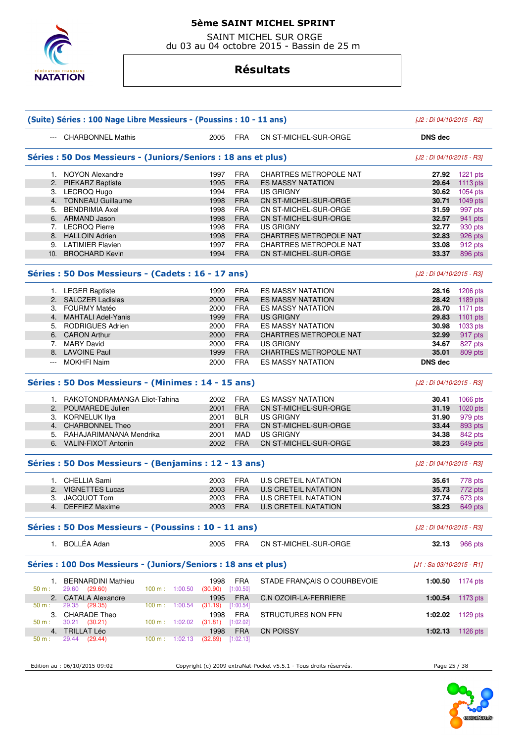

 SAINT MICHEL SUR ORGE du 03 au 04 octobre 2015 - Bassin de 25 m

### **Résultats**

|          | (Suite) Séries : 100 Nage Libre Messieurs - (Poussins : 10 - 11 ans) |                             |                         |                                                                   | [J2 : Di 04/10/2015 - R2]  |            |
|----------|----------------------------------------------------------------------|-----------------------------|-------------------------|-------------------------------------------------------------------|----------------------------|------------|
|          | --- CHARBONNEL Mathis                                                | 2005                        | <b>FRA</b>              | CN ST-MICHEL-SUR-ORGE                                             | <b>DNS</b> dec             |            |
|          | Séries : 50 Dos Messieurs - (Juniors/Seniors : 18 ans et plus)       |                             |                         |                                                                   | [J2 : Di 04/10/2015 - R3]  |            |
|          | 1. NOYON Alexandre                                                   | 1997                        | <b>FRA</b>              | <b>CHARTRES METROPOLE NAT</b>                                     | 27.92                      | $1221$ pts |
|          | 2. PIEKARZ Baptiste                                                  | 1995                        | <b>FRA</b>              | <b>ES MASSY NATATION</b>                                          | 29.64                      | $1113$ pts |
|          | 3. LECROQ Hugo                                                       | 1994                        | <b>FRA</b>              | <b>US GRIGNY</b>                                                  | 30.62                      | 1054 pts   |
|          | 4. TONNEAU Guillaume                                                 | 1998                        | <b>FRA</b>              | CN ST-MICHEL-SUR-ORGE                                             | 30.71                      | $1049$ pts |
|          | 5. BENDRIMIA Axel                                                    | 1998                        | <b>FRA</b>              | CN ST-MICHEL-SUR-ORGE                                             | 31.59                      | 997 pts    |
|          | 6. ARMAND Jason                                                      | 1998                        | <b>FRA</b>              | CN ST-MICHEL-SUR-ORGE                                             | 32.57                      | 941 pts    |
|          | 7. LECROQ Pierre                                                     | 1998                        | <b>FRA</b>              | US GRIGNY                                                         | 32.77                      | 930 pts    |
|          | 8. HALLOIN Adrien                                                    | 1998                        | <b>FRA</b>              | <b>CHARTRES METROPOLE NAT</b>                                     | 32.83                      | 926 pts    |
|          | 9. LATIMIER Flavien                                                  | 1997                        | <b>FRA</b>              | <b>CHARTRES METROPOLE NAT</b>                                     | 33.08                      | 912 pts    |
|          | 10. BROCHARD Kevin                                                   | 1994                        | <b>FRA</b>              | CN ST-MICHEL-SUR-ORGE                                             | 33.37                      | 896 pts    |
|          | Séries : 50 Dos Messieurs - (Cadets : 16 - 17 ans)                   |                             |                         |                                                                   | [J2 : Di 04/10/2015 - R3]  |            |
|          | 1. LEGER Baptiste                                                    | 1999                        | <b>FRA</b>              | <b>ES MASSY NATATION</b>                                          | 28.16                      | 1206 pts   |
|          | 2. SALCZER Ladislas                                                  | 2000                        | <b>FRA</b>              | <b>ES MASSY NATATION</b>                                          | 28.42                      | 1189 pts   |
|          | 3. FOURMY Matéo                                                      | 2000                        | <b>FRA</b>              | <b>ES MASSY NATATION</b>                                          | 28.70                      | 1171 pts   |
|          | 4. MAHTALI Adel-Yanis                                                | 1999                        | <b>FRA</b>              | <b>US GRIGNY</b>                                                  | 29.83                      | 1101 $pts$ |
|          | 5. RODRIGUES Adrien                                                  | 2000                        | <b>FRA</b>              | <b>ES MASSY NATATION</b>                                          | 30.98                      |            |
|          |                                                                      |                             |                         |                                                                   |                            | 1033 pts   |
|          | 6. CARON Arthur                                                      | 2000                        | <b>FRA</b>              | <b>CHARTRES METROPOLE NAT</b>                                     | 32.99                      | 917 pts    |
|          | 7. MARY David                                                        | 2000                        | <b>FRA</b>              | <b>US GRIGNY</b>                                                  | 34.67                      | 827 pts    |
|          | 8. LAVOINE Paul                                                      | 1999                        | <b>FRA</b>              | <b>CHARTRES METROPOLE NAT</b>                                     | 35.01                      | 809 pts    |
| $\sim$   | <b>MOKHFI Naim</b>                                                   | 2000                        | <b>FRA</b>              | <b>ES MASSY NATATION</b>                                          | <b>DNS</b> dec             |            |
|          | Séries : 50 Dos Messieurs - (Minimes : 14 - 15 ans)                  |                             |                         |                                                                   | [J2 : Di 04/10/2015 - R3]  |            |
|          | 1. RAKOTONDRAMANGA Eliot-Tahina                                      | 2002                        | <b>FRA</b>              | <b>ES MASSY NATATION</b>                                          | 30.41                      | 1066 pts   |
|          | 2. POUMAREDE Julien                                                  | 2001                        | <b>FRA</b>              | CN ST-MICHEL-SUR-ORGE                                             | 31.19                      | $1020$ pts |
|          | 3. KORNELUK Ilya                                                     | 2001                        | <b>BLR</b>              | <b>US GRIGNY</b>                                                  | 31.90                      | 979 pts    |
|          | 4. CHARBONNEL Theo                                                   | 2001                        | <b>FRA</b>              | CN ST-MICHEL-SUR-ORGE                                             | 33.44                      | 893 pts    |
|          | 5. RAHAJARIMANANA Mendrika                                           | 2001                        | <b>MAD</b>              | <b>US GRIGNY</b>                                                  | 34.38                      | 842 pts    |
|          | 6. VALIN-FIXOT Antonin                                               | 2002                        | <b>FRA</b>              | CN ST-MICHEL-SUR-ORGE                                             | 38.23                      | 649 pts    |
|          | Séries : 50 Dos Messieurs - (Benjamins : 12 - 13 ans)                |                             |                         |                                                                   | [J2 : Di 04/10/2015 - R3]  |            |
|          | 1. CHELLIA Sami                                                      | 2003                        | <b>FRA</b>              | <b>U.S CRETEIL NATATION</b>                                       | 35.61                      | 778 pts    |
|          | 2. VIGNETTES Lucas                                                   | 2003                        | <b>FRA</b>              | <b>U.S CRETEIL NATATION</b>                                       | 35.73                      | 772 pts    |
|          | 3. JACQUOT Tom                                                       | 2003                        | <b>FRA</b>              | <b>U.S CRETEIL NATATION</b>                                       | 37.74                      | 673 pts    |
|          | 4. DEFFIEZ Maxime                                                    | 2003                        | <b>FRA</b>              | <b>U.S CRETEIL NATATION</b>                                       | 38.23                      | 649 pts    |
|          | Séries : 50 Dos Messieurs - (Poussins : 10 - 11 ans)                 |                             |                         |                                                                   | [J2 : Di 04/10/2015 - R3]  |            |
|          | 1. BOLLÉA Adan                                                       | 2005                        | FRA                     | CN ST-MICHEL-SUR-ORGE                                             | 32.13                      | 966 pts    |
|          | Séries : 100 Dos Messieurs - (Juniors/Seniors : 18 ans et plus)      |                             |                         |                                                                   | $[J1: Sa 03/10/2015 - R1]$ |            |
| $50 m$ : | 1. BERNARDINI Mathieu<br>29.60 (29.60)<br>100 m: 1:00.50             | 1998<br>(30.90)             | <b>FRA</b><br>[1:00.50] | STADE FRANCAIS O COURBEVOIE                                       | 1:00.50                    | 1174 pts   |
| $50 m$ : | 2. CATALA Alexandre<br>29.35<br>(29.35)<br>100 m: 1:00.54            | 1995                        | <b>FRA</b>              | <b>C.N OZOIR-LA-FERRIERE</b>                                      | 1:00.54                    | 1173 $pts$ |
| 50 m:    | 3. CHARADE Theo<br>$30.21$ $(30.21)$<br>100 m: 1:02.02               | (31.19)<br>1998             | [1:00.54]<br>FRA        | STRUCTURES NON FFN                                                | 1:02.02                    | 1129 pts   |
|          | 4. TRILLAT Léo                                                       | $(31.81)$ [1:02.02]<br>1998 | <b>FRA</b>              | <b>CN POISSY</b>                                                  | 1:02.13                    | 1126 pts   |
| 50 m:    | 29.44 (29.44)<br>100 m:<br>1:02.13                                   | (32.69)                     | [1:02.13]               |                                                                   |                            |            |
|          |                                                                      |                             |                         |                                                                   |                            |            |
|          | Edition au : 06/10/2015 09:02                                        |                             |                         | Copyright (c) 2009 extraNat-Pocket v5.5.1 - Tous droits réservés. | Page 25 / 38               |            |

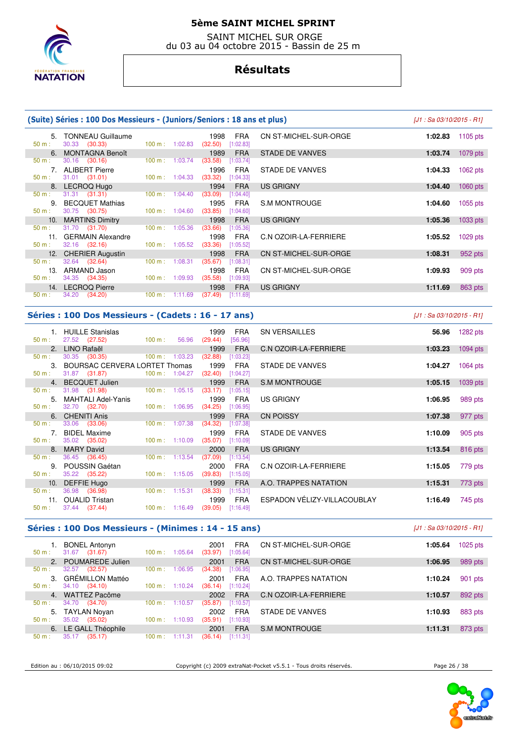

 SAINT MICHEL SUR ORGE du 03 au 04 octobre 2015 - Bassin de 25 m

### **Résultats**

#### **(Suite) Séries : 100 Dos Messieurs - (Juniors/Seniors : 18 ans et plus)** [J1 : Sa 03/10/2015 - R1] 5. TONNEAU Guillaume 1998 FRA CN ST-MICHEL-SUR-ORGE **1:02.83** 1105 pts 30.33 (30.33) 6. MONTAGNA Benoît 1989 FRA STADE DE VANVES **1:03.74** 1079 pts  $(30.16)$ 7. ALIBERT Pierre 1996 FRA STADE DE VANVES **1:04.33** 1062 pts<br>
50 m : 31.01 (31.01) 100 m : 1:04.33 (33.32) [1:04.33]  $31.01$   $(31.01)$ 8. LECROQ Hugo 1994 FRA US GRIGNY 1:04.40 1060 pts 1:04.40 1060 pts 1:04.40 1060 pts 1:04.40 1060 pts 1:04.40 **1:04.40** 1060 pts 1:04.40 **1:04.40** 1060 pts 1:04.40 **1:04.40** 1060 pts 1:04.40 **1:04.40** 1060 pts 1:04.40 **1:0** 50 m : 31.31 (31.31) 100 m : 1:04.40 (33.09) [1:04.40] 9. BECQUET Mathias 1995 FRA S.M MONTROUGE **1:04.60** 1055 pts  $100 m : 1:04.60$  10. MARTINS Dimitry 1998 FRA US GRIGNY **1:05.36** 1033 pts 31.70 (31.70) 100 m : 1:05.36 (33.66) [1:05.36 11. GERMAIN Alexandre 1998 FRA C.N OZOIR-LA-FERRIERE **1:05.52** 1029 pts  $100 m : 1:05.52$  12. CHERIER Augustin 1998 FRA CN ST-MICHEL-SUR-ORGE **1:08.31** 952 pts 50 m : 32.64 (32.64) 100 m : 1:08.31 (35.67) [1:08.31] 13. ARMAND Jason 1998 FRA CN ST-MICHEL-SUR-ORGE **1:09.93** 909 pts 34.35 (34.35) 14. LECROQ Pierre 1998 FRA US GRIGNY **1:11.69** 863 pts  $(37.49)$   $[1:11.69]$

#### **Séries : 100 Dos Messieurs - (Cadets : 16 - 17 ans)** [J1 : Sa 03/10/2015 - R1]

| 50 m: | 1. HUILLE Stanislas<br>27.52 (27.52)<br>$100 \text{ m}$ : | 56.96                            | <b>FRA</b><br>1999<br>(29.44)<br>[56.96] | <b>SN VERSAILLES</b>        | 56.96   | 1282 pts   |
|-------|-----------------------------------------------------------|----------------------------------|------------------------------------------|-----------------------------|---------|------------|
|       | 2. LINO Rafaël                                            |                                  | 1999<br><b>FRA</b>                       | C.N OZOIR-LA-FERRIERE       | 1:03.23 | 1094 pts   |
| 50 m: | 30.35 (30.35) 100 m : 1:03.23                             |                                  | (32.88)<br>[1:03.23]                     |                             |         |            |
|       | 3. BOURSAC CERVERA LORTET Thomas                          |                                  | 1999<br><b>FRA</b>                       | STADE DE VANVES             | 1:04.27 | $1064$ pts |
| 50 m: | 31.87 (31.87)                                             | 100 m: 1:04.27                   | (32.40)<br>[1:04.27]                     |                             |         |            |
|       | 4. BECQUET Julien                                         |                                  | 1999<br><b>FRA</b>                       | S.M MONTROUGE               | 1:05.15 | $1039$ pts |
| 50 m: | 31.98 (31.98)                                             | $100 \text{ m}$ : 1:05.15        | (33.17)<br>[1:05.15]                     |                             |         |            |
|       | 5. MAHTALI Adel-Yanis                                     |                                  | 1999<br><b>FRA</b>                       | US GRIGNY                   | 1:06.95 | 989 pts    |
| 50 m: | 32.70 (32.70)                                             | $100 \text{ m}$ : 1:06.95        | (34.25)<br>[1:06.95]                     |                             |         |            |
|       | 6. CHENITI Anis                                           |                                  | 1999<br><b>FRA</b>                       | <b>CN POISSY</b>            | 1:07.38 | 977 pts    |
| 50 m: | 33.06 (33.06)                                             | $100 \text{ m}$ : 1:07.38        | (34.32)<br>[1:07.38]                     |                             |         |            |
|       | 7. BIDEL Maxime                                           |                                  | FRA<br>1999                              | STADE DE VANVES             | 1:10.09 | 905 pts    |
| 50 m: | 35.02 (35.02)                                             | 100 m: 1:10.09                   | (35.07)<br>[1:10.09]                     |                             |         |            |
|       | 8. MARY David                                             |                                  | <b>FRA</b><br>2000                       | US GRIGNY                   | 1:13.54 | 816 pts    |
| 50 m: | 36.45 (36.45)                                             | $100 \text{ m}: 1:13.54$         | (37.09)<br>[1:13.54]                     |                             |         |            |
|       | 9. POUSSIN Gaétan                                         |                                  | <b>FRA</b><br>2000                       | C.N OZOIR-LA-FERRIERE       | 1:15.05 | 779 pts    |
| 50 m: | 35.22 (35.22)                                             | 100 m: 1:15.05                   | (39.83)<br>[1:15.05]                     |                             |         |            |
|       | 10. DEFFIE Hugo                                           |                                  | 1999<br><b>FRA</b>                       | A.O. TRAPPES NATATION       | 1:15.31 | 773 pts    |
| 50 m: | 36.98 (36.98)                                             | 100 m: 1:15.31                   | (38.33)<br>[1:15.31]                     |                             |         |            |
|       | 11. OUALID Tristan                                        |                                  | 1999<br><b>FRA</b>                       | ESPADON VÉLIZY-VILLACOUBLAY | 1:16.49 | 745 pts    |
| 50 m: | 37.44 (37.44)                                             | $100 \text{ m}: 1:16.49$ (39.05) | [1:16.49]                                |                             |         |            |

#### **Séries : 100 Dos Messieurs - (Minimes : 14 - 15 ans)** [J1 : Sa 03/10/2015 - R1]

| <b>BONEL Antonyn</b><br>31.67<br>(31.67)<br>$50 m$ : | 1:05.64<br>100 m:  | <b>FRA</b><br>2001<br>(33.97)<br>[1:05.64] | CN ST-MICHEL-SUR-ORGE | 1:05.64 | $1025$ pts |
|------------------------------------------------------|--------------------|--------------------------------------------|-----------------------|---------|------------|
| POUMAREDE Julien<br>2 <sup>1</sup>                   |                    | <b>FRA</b><br>2001                         | CN ST-MICHEL-SUR-ORGE | 1:06.95 | 989 pts    |
| (32.57)<br>32.57<br>$50 m$ :                         | 1:06.95<br>100 m:  | (34.38)<br>[1:06.95]                       |                       |         |            |
| <b>GRÉMILLON Mattéo</b><br>3.                        |                    | 2001<br><b>FRA</b>                         | A.O. TRAPPES NATATION | 1:10.24 | 901 pts    |
| 34.10 (34.10)<br>$50 m$ :                            | 1:10.24<br>100 m:  | (36.14)<br>[1:10.24]                       |                       |         |            |
| 4. WATTEZ Pacôme                                     |                    | <b>FRA</b><br>2002                         | C.N OZOIR-LA-FERRIERE | 1:10.57 | 892 pts    |
| 34.70<br>(34.70)<br>$50 m$ :                         | 1:10.57<br>100 m:  | (35.87)<br>[1:10.57]                       |                       |         |            |
| 5. TAYLAN Noyan                                      |                    | <b>FRA</b><br>2002                         | STADE DE VANVES       | 1:10.93 | 883 pts    |
| 35.02<br>(35.02)<br>$50 m$ :                         | 1:10.93<br>100 m : | (35.91)<br>[1:10.93]                       |                       |         |            |
| 6. LE GALL Théophile                                 |                    | <b>FRA</b><br>2001                         | S.M MONTROUGE         | 1:11.31 | 873 pts    |
| 35.17<br>(35.17)<br>$50 m$ :                         | 100 m:<br>1:11.31  | (36.14)<br>[1:11.31]                       |                       |         |            |

Edition au : 06/10/2015 09:02 Copyright (c) 2009 extraNat-Pocket v5.5.1 - Tous droits réservés. Page 26 / 38

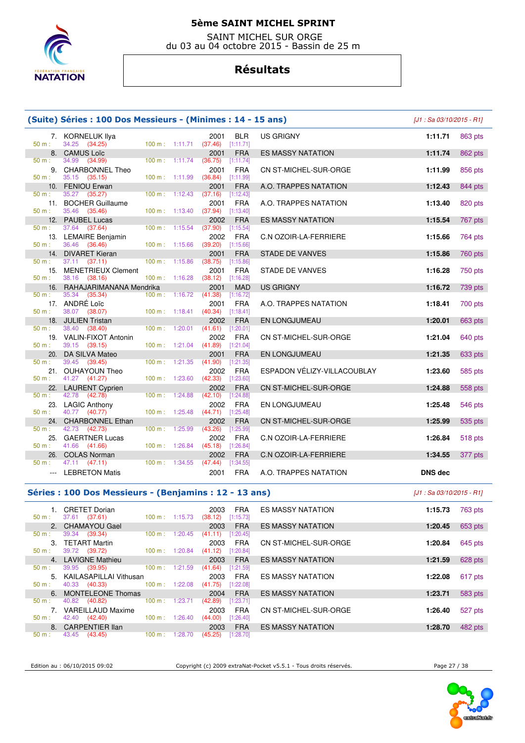

 SAINT MICHEL SUR ORGE du 03 au 04 octobre 2015 - Bassin de 25 m

### **Résultats**

|          | (Suite) Séries : 100 Dos Messieurs - (Minimes : 14 - 15 ans) |                |                          |                                            |                             | [J1 : Sa 03/10/2015 - R1]  |         |
|----------|--------------------------------------------------------------|----------------|--------------------------|--------------------------------------------|-----------------------------|----------------------------|---------|
|          | 7. KORNELUK Ilya                                             |                |                          | BLR<br>2001                                | <b>US GRIGNY</b>            | 1:11.71                    | 863 pts |
| 50 m:    | 34.25 (34.25)                                                |                |                          | 100 m: 1:11.71 (37.46) [1:11.71]           |                             |                            |         |
|          | 8. CAMUS Loïc                                                |                |                          | 2001<br><b>FRA</b>                         | <b>ES MASSY NATATION</b>    | 1:11.74                    | 862 pts |
| 50 m :   | 34.99<br>(34.99)                                             |                | 100 m: 1:11.74           | (36.75)<br>[1:11.74]                       |                             |                            |         |
| 9.       | <b>CHARBONNEL Theo</b>                                       |                |                          | 2001<br><b>FRA</b>                         | CN ST-MICHEL-SUR-ORGE       | 1:11.99                    | 856 pts |
| 50 m:    | 35.15 (35.15)                                                | 100 m: 1:11.99 |                          | (36.84)<br>[1:11.99]                       |                             |                            |         |
| 10.      | FENIOU Erwan                                                 |                |                          | 2001<br><b>FRA</b>                         | A.O. TRAPPES NATATION       | 1:12.43                    | 844 pts |
| 50 m:    | 35.27 (35.27)                                                |                | $100 \text{ m}: 1:12.43$ | (37.16)<br>$[1:12.43]$                     |                             |                            |         |
| $50 m$ : | 11. BOCHER Guillaume<br>35.46<br>(35.46)                     | 100 m: 1:13.40 |                          | 2001<br><b>FRA</b><br>(37.94)<br>[1:13.40] | A.O. TRAPPES NATATION       | 1:13.40                    | 820 pts |
| 12.      | <b>PAUBEL Lucas</b>                                          |                |                          | 2002<br><b>FRA</b>                         | <b>ES MASSY NATATION</b>    | 1:15.54                    | 767 pts |
| 50 m:    | 37.64 (37.64)                                                | 100 m: 1:15.54 |                          | (37.90)<br>[1:15.54]                       |                             |                            |         |
|          | 13. LEMAIRE Benjamin                                         |                |                          | 2002<br><b>FRA</b>                         | C.N OZOIR-LA-FERRIERE       | 1:15.66                    | 764 pts |
| 50 m:    | 36.46<br>(36.46)                                             | 100 m: 1:15.66 |                          | (39.20)<br>[1:15.66]                       |                             |                            |         |
| 14.      | <b>DIVARET Kieran</b>                                        |                |                          | 2001<br><b>FRA</b>                         | <b>STADE DE VANVES</b>      | 1:15.86                    | 760 pts |
| 50 m:    | $37.11$ $(37.11)$                                            | 100 m: 1:15.86 |                          | (38.75)<br>[1:15.86]                       |                             |                            |         |
|          | 15. MENETRIEUX Clement                                       |                |                          | 2001<br><b>FRA</b>                         | STADE DE VANVES             | 1:16.28                    | 750 pts |
| 50 m:    | 38.16 (38.16)                                                | 100 m: 1:16.28 |                          | (38.12)<br>[1:16.28]                       |                             |                            |         |
| 16.      | RAHAJARIMANANA Mendrika                                      |                |                          | 2001<br><b>MAD</b>                         | <b>US GRIGNY</b>            | 1:16.72                    | 739 pts |
| 50 m:    | 35.34<br>(35.34)                                             |                | 100 m: 1:16.72           | (41.38)<br>[1:16.72]                       |                             |                            |         |
|          | 17. ANDRÉ Loïc                                               |                |                          | <b>FRA</b><br>2001                         | A.O. TRAPPES NATATION       | 1:18.41                    | 700 pts |
| $50 m$ : | 38.07<br>(38.07)<br>18. JULIEN Tristan                       |                | $100 \text{ m}: 1:18.41$ | $(40.34)$ [1:18.41]<br><b>FRA</b><br>2002  |                             |                            |         |
| $50 m$ : | 38.40<br>(38.40)                                             | 100 m: 1:20.01 |                          | [1:20.01]<br>(41.61)                       | EN LONGJUMEAU               | 1:20.01                    | 663 pts |
|          | 19. VALIN-FIXOT Antonin                                      |                |                          | <b>FRA</b><br>2002                         | CN ST-MICHEL-SUR-ORGE       | 1:21.04                    | 640 pts |
| 50 m:    | 39.15 (39.15)                                                |                | 100 m: 1:21.04           | $(41.89)$ [1:21.04]                        |                             |                            |         |
| 20.      | DA SILVA Mateo                                               |                |                          | 2001<br><b>FRA</b>                         | <b>EN LONGJUMEAU</b>        | 1:21.35                    | 633 pts |
| 50 m:    | 39.45 (39.45)                                                | 100 m:         | 1:21.35                  | (41.90)<br>[1:21.35]                       |                             |                            |         |
|          | 21. OUHAYOUN Theo                                            |                |                          | <b>FRA</b><br>2002                         | ESPADON VÉLIZY-VILLACOUBLAY | 1:23.60                    | 585 pts |
| $50 m$ : | 41.27 (41.27)                                                | 100 m: 1:23.60 |                          | $(42.33)$ [1:23.60]                        |                             |                            |         |
| 22.      | <b>LAURENT Cyprien</b>                                       |                |                          | 2002<br><b>FRA</b>                         | CN ST-MICHEL-SUR-ORGE       | 1:24.88                    | 558 pts |
| 50 m:    | 42.78<br>(42.78)                                             | 100 m:         | 1:24.88                  | (42.10)<br>[1:24.88]                       |                             |                            |         |
|          | 23. LAGIC Anthony                                            |                |                          | 2002<br><b>FRA</b>                         | EN LONGJUMEAU               | 1:25.48                    | 546 pts |
| 50 m:    | 40.77 (40.77)                                                | 100 m: 1:25.48 |                          | (44.71)<br>$[1:25.48]$                     |                             |                            |         |
| 50 m:    | 24. CHARBONNEL Ethan<br>42.73<br>(42.73)                     | 100 m: 1:25.99 |                          | 2002<br><b>FRA</b><br>(43.26)<br>[1:25.99] | CN ST-MICHEL-SUR-ORGE       | 1:25.99                    | 535 pts |
| 25.      | <b>GAERTNER Lucas</b>                                        |                |                          | 2002<br><b>FRA</b>                         | C.N OZOIR-LA-FERRIERE       | 1:26.84                    | 518 pts |
| 50 m:    | 41.66 (41.66)                                                |                | 100 m: 1:26.84           | (45.18)<br>[1:26.84]                       |                             |                            |         |
| 26.      | <b>COLAS Norman</b>                                          |                |                          | 2002<br><b>FRA</b>                         | C.N OZOIR-LA-FERRIERE       | 1:34.55                    | 377 pts |
| 50 m:    | 47.11 (47.11)                                                | 100 m: 1:34.55 |                          | (47.44)<br>[1:34.55]                       |                             |                            |         |
|          | --- LEBRETON Matis                                           |                |                          | 2001<br>FRA                                | A.O. TRAPPES NATATION       | <b>DNS</b> dec             |         |
|          |                                                              |                |                          |                                            |                             |                            |         |
|          | Séries : 100 Dos Messieurs - (Benjamins : 12 - 13 ans)       |                |                          |                                            |                             | $[J1: Sa 03/10/2015 - R1]$ |         |
|          | 1. CRETET Dorian                                             |                |                          | <b>FRA</b><br>2003                         | ES MASSY NATATION           | 1:15.73                    | 763 pts |
| 50 m:    | 37.61 (37.61)                                                | 100 m: 1:15.73 |                          | [1:15.73]<br>(38.12)                       |                             |                            |         |
|          | 2. CHAMAYOU Gael                                             |                |                          | 2003<br><b>FRA</b>                         | <b>ES MASSY NATATION</b>    | 1:20.45                    | 653 pts |
| $50 m$ : | 39.34 (39.34)                                                | 100 m: 1:20.45 |                          | $(41.11)$ [1:20.45]                        |                             |                            |         |
|          | 3. TETART Martin                                             |                |                          | <b>FRA</b><br>2003                         | CN ST-MICHEL-SUR-ORGE       | 1:20.84                    | 645 pts |
| 50 m:    | 39.72 (39.72)                                                |                | 100 m: 1:20.84           | $(41.12)$ [1:20.84]                        |                             |                            |         |
|          | 4. LAVIGNE Mathieu                                           |                |                          | 2003<br><b>FRA</b>                         | <b>ES MASSY NATATION</b>    | 1:21.59                    | 628 pts |
| 50 m:    | 39.95<br>(39.95)                                             |                | 100 m: 1:21.59           | (41.64)<br>[1:21.59]                       |                             |                            |         |



50 m : 43.45 (43.45)

7. VAREILLAUD Maxime<br>: 42.40 (42.40)

Edition au : 06/10/2015 09:02 Copyright (c) 2009 extraNat-Pocket v5.5.1 - Tous droits réservés. Page 27 / 38

8. CARPENTIER Ilan 2003 FRA ES MASSY NATATION **1:28.70** 482 pts m: 43.45 (43.45) 100 m: 1:28.70 (45.25) [1:28.70]

5. KAILASAPILLAI Vithusan 2003 FRA ES MASSY NATATION **1:22.08** 617 pts

6. MONTELEONE Thomas 2004 FRA ES MASSY NATATION **1:23.71** 583 pts

7. VAREILLAUD Maxime 2003 FRA CN ST-MICHEL-SUR-ORGE **1:26.40** 527 pts

100 m : 1:22.08 (41.75) [1:22.08]<br>2004 FRA

40.82 (40.82) 100 m : 1:23.71 (42.89) [1:23.71]<br>
VAREILLAUD Maxime 2003 FRA<br>
42.40 (42.40) 100 m : 1:26.40 (44.00) [1:26.40]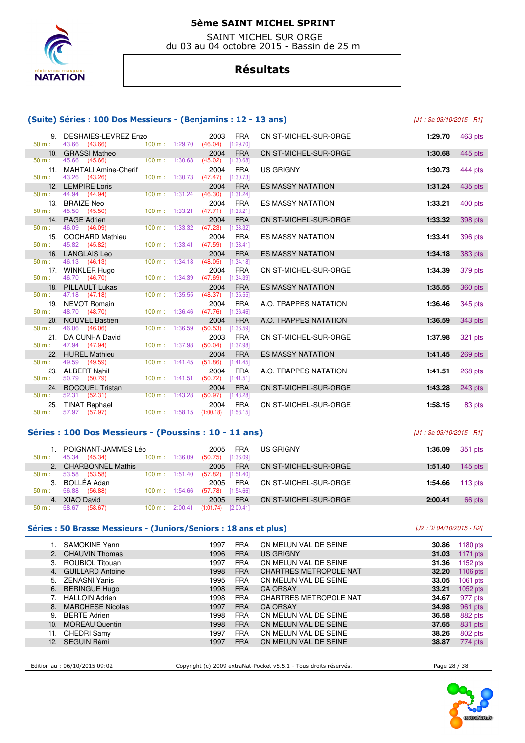

 SAINT MICHEL SUR ORGE du 03 au 04 octobre 2015 - Bassin de 25 m

# **Résultats**

|                 | (Suite) Séries : 100 Dos Messieurs - (Benjamins : 12 - 13 ans)<br>$J1 : Sa$ 03/10/2015 - R11 |                                      |         |                                            |                              |         |         |
|-----------------|----------------------------------------------------------------------------------------------|--------------------------------------|---------|--------------------------------------------|------------------------------|---------|---------|
| 9.<br>$50 m$ :  | DESHAIES-LEVREZ Enzo<br>43.66 (43.66)                                                        | 100 m: 1:29.70                       |         | 2003<br><b>FRA</b><br>(46.04)<br>[1:29.70] | CN ST-MICHEL-SUR-ORGE        | 1:29.70 | 463 pts |
|                 | 10. GRASSI Matheo                                                                            |                                      |         | <b>FRA</b><br>2004                         | CN ST-MICHEL-SUR-ORGE        | 1:30.68 | 445 pts |
| $50 m$ :        | 45.66 (45.66)                                                                                | 100 m: 1:30.68                       |         | (45.02)<br>[1:30.68]                       |                              |         |         |
|                 | 11. MAHTALI Amine-Cherif                                                                     |                                      |         | <b>FRA</b><br>2004                         | <b>US GRIGNY</b>             | 1:30.73 | 444 pts |
| $50 m$ :        | 43.26 (43.26)                                                                                | 100 m: 1:30.73                       |         | (47.47)<br>[1:30.73]                       |                              |         |         |
|                 | 12. LEMPIRE Loris                                                                            |                                      |         | <b>FRA</b><br>2004                         | <b>ES MASSY NATATION</b>     | 1:31.24 | 435 pts |
| $50 m$ :        | 44.94 (44.94)                                                                                | $100 \text{ m}$ : 1:31.24            |         | (46.30)<br>[1:31.24]                       |                              |         |         |
| 13.             | <b>BRAIZE Neo</b>                                                                            |                                      |         | 2004<br><b>FRA</b>                         | <b>ES MASSY NATATION</b>     | 1:33.21 | 400 pts |
| $50 m$ :<br>14. | 45.50 (45.50)<br><b>PAGE Adrien</b>                                                          | 100 m: 1:33.21                       |         | (47.71)<br>[1:33.21]<br>2004               |                              |         |         |
| 50 m:           | 46.09<br>(46.09)                                                                             | $100 \text{ m}: 1:33.32$             |         | <b>FRA</b><br>(47.23)<br>[1:33.32]         | CN ST-MICHEL-SUR-ORGE        | 1:33.32 | 398 pts |
| 15.             | <b>COCHARD Mathieu</b>                                                                       |                                      |         | 2004<br><b>FRA</b>                         | <b>ES MASSY NATATION</b>     | 1:33.41 | 396 pts |
| $50 m$ :        | 45.82 (45.82)                                                                                | 100 m: 1:33.41                       |         | (47.59)<br>[1:33.41]                       |                              |         |         |
| 16.             | <b>LANGLAIS Leo</b>                                                                          |                                      |         | 2004<br><b>FRA</b>                         | <b>ES MASSY NATATION</b>     | 1:34.18 | 383 pts |
| 50 m:           | 46.13 (46.13)                                                                                | 100 m: 1:34.18                       |         | (48.05)<br>[1:34.18]                       |                              |         |         |
| 17.             | <b>WINKLER Hugo</b>                                                                          |                                      |         | 2004<br><b>FRA</b>                         | CN ST-MICHEL-SUR-ORGE        | 1:34.39 | 379 pts |
| $50 m$ :        | 46.70 (46.70)                                                                                | 100 m: 1:34.39                       |         | (47.69)<br>[1:34.39]                       |                              |         |         |
| 18.             | <b>PILLAULT Lukas</b>                                                                        |                                      |         | 2004<br><b>FRA</b>                         | <b>ES MASSY NATATION</b>     | 1:35.55 | 360 pts |
| $50 m$ :        | 47.18 (47.18)                                                                                | 100 m: 1:35.55                       |         | (48.37)<br>[1:35.55]                       |                              |         |         |
| 19.             | <b>NEVOT Romain</b>                                                                          |                                      |         | <b>FRA</b><br>2004                         | A.O. TRAPPES NATATION        | 1:36.46 | 345 pts |
| $50 m$ :        | 48.70 (48.70)                                                                                | 100 m: 1:36.46                       |         | (47.76)<br>[1:36.46]                       |                              |         |         |
| 20.             | <b>NOUVEL Bastien</b>                                                                        |                                      |         | 2004<br><b>FRA</b>                         | A.O. TRAPPES NATATION        | 1:36.59 | 343 pts |
| 50 m:           | 46.06 (46.06)                                                                                | $100 \text{ m}$ :                    | 1:36.59 | (50.53)<br>[1:36.59]                       |                              |         |         |
| 21.             | DA CUNHA David                                                                               |                                      |         | 2003<br><b>FRA</b>                         | CN ST-MICHEL-SUR-ORGE        | 1:37.98 | 321 pts |
| $50 m$ :        | 47.94 (47.94)                                                                                | 100 m: 1:37.98                       |         | (50.04)<br>[1:37.98]                       |                              |         |         |
|                 | 22. HUREL Mathieu                                                                            | $100 m$ : 1:41.45                    |         | 2004<br><b>FRA</b>                         | <b>ES MASSY NATATION</b>     | 1:41.45 | 269 pts |
| $50 m$ :        | 49.59 (49.59)<br>23. ALBERT Nahil                                                            |                                      |         | (51.86)<br>[1:41.45]<br>2004<br><b>FRA</b> | A.O. TRAPPES NATATION        |         |         |
| 50 m:           | 50.79 (50.79)                                                                                | $100 m$ : 1:41.51                    |         | (50.72)<br>[1:41.51]                       |                              | 1:41.51 | 268 pts |
| 24.             | <b>BOCQUEL Tristan</b>                                                                       |                                      |         | 2004<br><b>FRA</b>                         | <b>CN ST-MICHEL-SUR-ORGE</b> | 1:43.28 | 243 pts |
| 50 m:           | 52.31 (52.31)                                                                                | $100 m$ : 1:43.28                    |         | (50.97)<br>[1:43.28]                       |                              |         |         |
| 25.             | <b>TINAT Raphael</b>                                                                         |                                      |         | 2004<br><b>FRA</b>                         | CN ST-MICHEL-SUR-ORGE        | 1:58.15 | 83 pts  |
| $50 m$ :        | 57.97<br>(57.97)                                                                             | $100 \text{ m}: 1:58.15$ $(1:00.18)$ |         | [1:58.15]                                  |                              |         |         |

#### **Séries : 100 Dos Messieurs - (Poussins : 10 - 11 ans)** [J1 : Sa 03/10/2015 - R1]

| POIGNANT-JAMMES Léo<br>45.34<br>(45.34)<br>100 m:<br>1:36.09<br>50 m: | <b>FRA</b><br>2005<br>[1:36.09]<br>(50.75) | <b>US GRIGNY</b>      | 1:36.09 | 351 pts   |
|-----------------------------------------------------------------------|--------------------------------------------|-----------------------|---------|-----------|
| 2. CHARBONNEL Mathis                                                  | <b>FRA</b><br>2005                         | CN ST-MICHEL-SUR-ORGE | 1:51.40 | $145$ pts |
| 53.58<br>(53.58)<br>100 m:<br>50 m:<br>1:51.40                        | [1:51.40]<br>(57.82)                       |                       |         |           |
| BOLLÉA Adan                                                           | <b>FRA</b><br>2005                         | CN ST-MICHEL-SUR-ORGE | 1:54.66 | $113$ pts |
| 56.88<br>(56.88)<br>1:54.66<br>$100 \text{ m}$ :<br>$50 m$ :          | [1:54.66]<br>(57.78)                       |                       |         |           |
| <b>XIAO David</b><br>4.                                               | <b>FRA</b><br>2005                         | CN ST-MICHEL-SUR-ORGE | 2:00.41 | 66 pts    |
| 58.67<br>(58.67)<br>100 m:<br>2:00.41<br>50 m:                        | [2:00.41]<br>(1:01.74)                     |                       |         |           |
|                                                                       |                                            |                       |         |           |

### **Séries : 50 Brasse Messieurs - (Juniors/Seniors : 18 ans et plus)** [J2 : Di 04/10/2015 - R2]

|     | <b>SAMOKINE Yann</b>    | 1997 | <b>FRA</b> | CN MELUN VAL DE SEINE         | 30.86 | 1180 pts   |
|-----|-------------------------|------|------------|-------------------------------|-------|------------|
|     | 2. CHAUVIN Thomas       | 1996 | <b>FRA</b> | <b>US GRIGNY</b>              | 31.03 | 1171 $pts$ |
| 3.  | <b>ROUBIOL Titouan</b>  | 1997 | <b>FRA</b> | CN MELUN VAL DE SEINE         | 31.36 | 1152 pts   |
|     | 4. GUILLARD Antoine     | 1998 | <b>FRA</b> | <b>CHARTRES METROPOLE NAT</b> | 32.20 | 1106 pts   |
|     | 5. ZENASNI Yanis        | 1995 | <b>FRA</b> | CN MELUN VAL DE SEINE         | 33.05 | $1061$ pts |
|     | 6. BERINGUE Hugo        | 1998 | <b>FRA</b> | <b>CA ORSAY</b>               | 33.21 | 1052 $pts$ |
|     | 7. HALLOIN Adrien       | 1998 | <b>FRA</b> | <b>CHARTRES METROPOLE NAT</b> | 34.67 | 977 pts    |
| 8.  | <b>MARCHESE Nicolas</b> | 1997 | <b>FRA</b> | <b>CA ORSAY</b>               | 34.98 | 961 pts    |
| 9.  | <b>BERTE Adrien</b>     | 1998 | <b>FRA</b> | CN MELUN VAL DE SEINE         | 36.58 | 882 pts    |
| 10. | <b>MOREAU Quentin</b>   | 1998 | <b>FRA</b> | CN MELUN VAL DE SEINE         | 37.65 | 831 pts    |
| 11. | CHEDRI Samy             | 1997 | <b>FRA</b> | CN MELUN VAL DE SEINE         | 38.26 | 802 pts    |
| 12. | <b>SEGUIN Rémi</b>      | 1997 | <b>FRA</b> | CN MELUN VAL DE SEINE         | 38.87 | 774 pts    |
|     |                         |      |            |                               |       |            |

Edition au : 06/10/2015 09:02 Copyright (c) 2009 extraNat-Pocket v5.5.1 - Tous droits réservés. Page 28 / 38

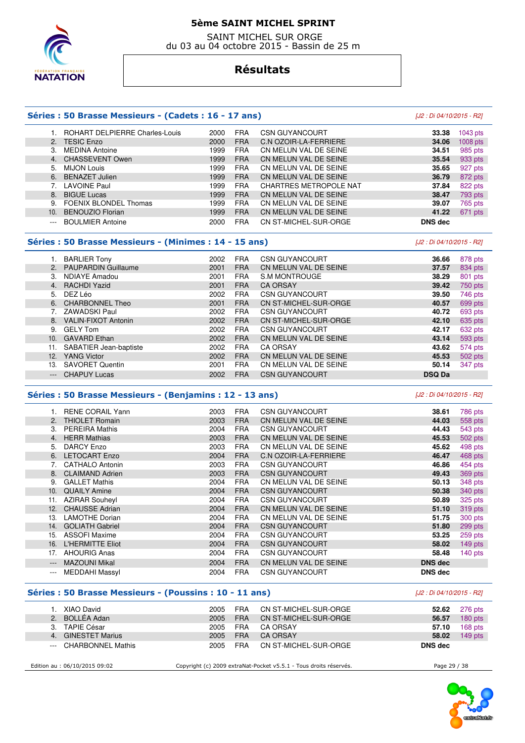

 SAINT MICHEL SUR ORGE du 03 au 04 octobre 2015 - Bassin de 25 m

### **Résultats**

#### **Séries : 50 Brasse Messieurs - (Cadets : 16 - 17 ans)** [J2 : Di 04/10/2015 - R2]

#### 1. ROHART DELPIERRE Charles-Louis 2000 FRA CSN GUYANCOURT **33.38** 1043 pts 2. TESIC Enzo 2000 FRA C.N OZOIR-LA-FERRIERE **34.06** 1008 pts 3. MEDINA Antoine **1999 FRA CN MELUN VAL DE SEINE 34.51 34.51**  4. CHASSEVENT Owen 1999 FRA CN MELUN VAL DE SEINE **35.54** 933 pts 5. MIJON Louis 1999 FRA CN MELUN VAL DE SEINE **35.65** 927 pts 6. BENAZET Julien 1999 FRA CN MELUN VAL DE SEINE **36.79** 872 pts 7. LAVOINE Paul 1999 FRA CHARTRES METROPOLE NAT **37.84** 822 pts 8. BIGUE Lucas 1999 FRA CN MELUN VAL DE SEINE **38.47** 793 pts 9. FOENIX BLONDEL Thomas 1999 FRA CN MELUN VAL DE SEINE **39.07** 765 pts 10. BENOUZIO Florian 1999 FRA CN MELUN VAL DE SEINE **41.22** 671 pts --- BOULMIER Antoine 2000 FRA CN ST-MICHEL-SUR-ORGE **DNS dec**

#### **Séries : 50 Brasse Messieurs - (Minimes : 14 - 15 ans)** [J2 : Di 04/10/2015 - R2]

|     | <b>BARLIER Tony</b>        | 2002 | <b>FRA</b> | <b>CSN GUYANCOURT</b> | 36.66         | 878 pts |
|-----|----------------------------|------|------------|-----------------------|---------------|---------|
|     | 2. PAUPARDIN Guillaume     | 2001 | <b>FRA</b> | CN MELUN VAL DE SEINE | 37.57         | 834 pts |
| 3.  | <b>NDIAYE Amadou</b>       | 2001 | <b>FRA</b> | S.M MONTROUGE         | 38.29         | 801 pts |
|     | 4. RACHDI Yazid            | 2001 | <b>FRA</b> | <b>CA ORSAY</b>       | 39.42         | 750 pts |
|     | 5. DEZ Léo                 | 2002 | <b>FRA</b> | <b>CSN GUYANCOURT</b> | 39.50         | 746 pts |
|     | 6. CHARBONNEL Theo         | 2001 | <b>FRA</b> | CN ST-MICHEL-SUR-ORGE | 40.57         | 699 pts |
|     | ZAWADSKI Paul              | 2002 | <b>FRA</b> | <b>CSN GUYANCOURT</b> | 40.72         | 693 pts |
| 8.  | <b>VALIN-FIXOT Antonin</b> | 2002 | <b>FRA</b> | CN ST-MICHEL-SUR-ORGE | 42.10         | 635 pts |
| 9.  | <b>GELY Tom</b>            | 2002 | <b>FRA</b> | <b>CSN GUYANCOURT</b> | 42.17         | 632 pts |
| 10. | <b>GAVARD Ethan</b>        | 2002 | <b>FRA</b> | CN MELUN VAL DE SEINE | 43.14         | 593 pts |
| 11. | SABATIER Jean-baptiste     | 2002 | <b>FRA</b> | <b>CA ORSAY</b>       | 43.62         | 574 pts |
| 12. | <b>YANG Victor</b>         | 2002 | <b>FRA</b> | CN MELUN VAL DE SEINE | 45.53         | 502 pts |
| 13. | <b>SAVORET Quentin</b>     | 2001 | <b>FRA</b> | CN MELUN VAL DE SEINE | 50.14         | 347 pts |
|     | <b>CHAPUY Lucas</b>        | 2002 | <b>FRA</b> | <b>CSN GUYANCOURT</b> | <b>DSQ Da</b> |         |
|     |                            |      |            |                       |               |         |

#### **Séries : 50 Brasse Messieurs - (Benjamins : 12 - 13 ans)** [J2 : Di 04/10/2015 - R2]

#### 1. RENE CORAIL Yann 2003 FRA CSN GUYANCOURT **38.61** 786 pts 2. THIOLET Romain 2003 FRA CN MELUN VAL DE SEINE **44.03** 558 pts 3. PEREIRA Mathis 2004 FRA CSN GUYANCOURT **44.43** 543 pts 4. HERR Mathias 2003 FRA CN MELUN VAL DE SEINE **45.53** 502 pts 5. DARCY Enzo 2003 FRA CN MELUN VAL DE SEINE **45.62** 498 pts 6. LETOCART Enzo 2004 FRA C.N OZOIR-LA-FERRIERE **46.47** 468 pts 7. CATHALO Antonin 2003 FRA CSN GUYANCOURT **46.86** 454 pts 8. CLAIMAND Adrien 2003 FRA CSN GUYANCOURT **49.43** 369 pts 9. GALLET Mathis 2004 FRA CN MELUN VAL DE SEINE **50.13** 348 pts 10. QUAILY Amine 2004 FRA CSN GUYANCOURT **50.38** 340 pts 11. AZIRAR Souheyl 2004 FRA CSN GUYANCOURT **50.89** 325 pts 12. CHAUSSE Adrian 2004 FRA CN MELUN VAL DE SEINE **51.10** 319 pts 13. LAMOTHE Dorian 2004 FRA CN MELUN VAL DE SEINE **51.75** 300 pts 14. GOLIATH Gabriel 2004 FRA CSN GUYANCOURT **51.80** 299 pts 15. ASSOFI Maxime 2004 FRA CSN GUYANCOURT **53.25** 259 pts 16. L'HERMITTE Eliot 2004 FRA CSN GUYANCOURT **58.02** 149 pts 17. AHOURIG Anas 2004 FRA CSN GUYANCOURT **58.48** 140 pts --- MAZOUNI Mikal 2004 FRA CN MELUN VAL DE SEINE **DNS dec**  --- MEDDAHI Massyl 2004 FRA CSN GUYANCOURT **DNS dec**

#### **Séries : 50 Brasse Messieurs - (Poussins : 10 - 11 ans)** [J2 : Di 04/10/2015 - R2]

| XIAO David            | 2005 | FRA        | 52.62                                                                                                  | 276 pts   |
|-----------------------|------|------------|--------------------------------------------------------------------------------------------------------|-----------|
| 2. BOLLÉA Adan        | 2005 | <b>FRA</b> | 56.57                                                                                                  | $180$ pts |
| TAPIE César           | 2005 | <b>FRA</b> | 57.10                                                                                                  | $168$ pts |
| 4. GINESTET Marius    | 2005 | <b>FRA</b> | 58.02                                                                                                  | $149$ pts |
| --- CHARBONNEL Mathis | 2005 | <b>FRA</b> | <b>DNS</b> dec                                                                                         |           |
|                       |      |            | CN ST-MICHEL-SUR-ORGE<br>CN ST-MICHEL-SUR-ORGE<br>CA ORSAY<br><b>CA ORSAY</b><br>CN ST-MICHEL-SUR-ORGE |           |

Edition au : 06/10/2015 09:02 Copyright (c) 2009 extraNat-Pocket v5.5.1 - Tous droits réservés. Page 29 / 38

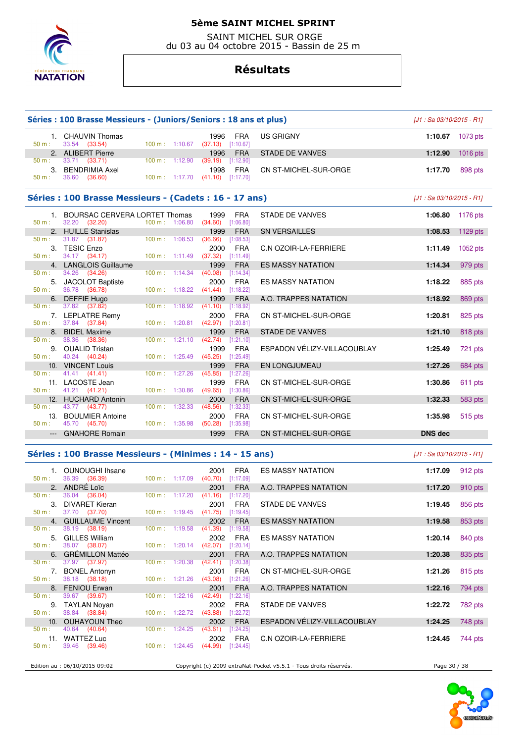

 SAINT MICHEL SUR ORGE du 03 au 04 octobre 2015 - Bassin de 25 m

# **Résultats**

|                                                                                                                                                                                                                                                                                                                                                                                                                                                                            | Séries : 100 Brasse Messieurs - (Juniors/Seniors : 18 ans et plus) |                |                                  |                                                                                 |                                                                   | $[J1: Sa 03/10/2015 - R1]$ |                  |
|----------------------------------------------------------------------------------------------------------------------------------------------------------------------------------------------------------------------------------------------------------------------------------------------------------------------------------------------------------------------------------------------------------------------------------------------------------------------------|--------------------------------------------------------------------|----------------|----------------------------------|---------------------------------------------------------------------------------|-------------------------------------------------------------------|----------------------------|------------------|
| 50 m:                                                                                                                                                                                                                                                                                                                                                                                                                                                                      | 1. CHAUVIN Thomas<br>33.54 (33.54)                                 |                |                                  | 1996<br>FRA<br>100 m: $1:10.67$ (37.13) [1:10.67]                               | US GRIGNY                                                         |                            | 1:10.67 1073 pts |
|                                                                                                                                                                                                                                                                                                                                                                                                                                                                            | 2. ALIBERT Pierre                                                  |                |                                  | <b>FRA</b><br>1996                                                              | <b>STADE DE VANVES</b>                                            | 1:12.90                    | $1016$ pts       |
| 50 m:<br>50 m:                                                                                                                                                                                                                                                                                                                                                                                                                                                             | $33.71$ $(33.71)$<br>3. BENDRIMIA Axel<br>36.60<br>(36.60)         |                | 100 m: 1:12.90                   | $(39.19)$ [1:12.90]<br>1998<br><b>FRA</b><br>100 m: 1:17.70 $(41.10)$ [1:17.70] | CN ST-MICHEL-SUR-ORGE                                             | 1:17.70                    | 898 pts          |
|                                                                                                                                                                                                                                                                                                                                                                                                                                                                            | Séries : 100 Brasse Messieurs - (Cadets : 16 - 17 ans)             |                |                                  |                                                                                 |                                                                   | $[J1: Sa 03/10/2015 - R1]$ |                  |
|                                                                                                                                                                                                                                                                                                                                                                                                                                                                            | 1. BOURSAC CERVERA LORTET Thomas                                   |                |                                  | 1999<br><b>FRA</b>                                                              | STADE DE VANVES                                                   | 1:06.80                    | 1176 pts         |
| $50 m$ :                                                                                                                                                                                                                                                                                                                                                                                                                                                                   | 32.20 (32.20)<br>2. HUILLE Stanislas                               | 100 m: 1:06.80 |                                  | $(34.60)$ [1:06.80]<br>1999<br><b>FRA</b>                                       | <b>SN VERSAILLES</b>                                              | 1:08.53                    | 1129 $pts$       |
| 50 m:                                                                                                                                                                                                                                                                                                                                                                                                                                                                      | 31.87 (31.87)                                                      |                | 100 m: 1:08.53                   | $(36.66)$ [1:08.53]                                                             |                                                                   |                            |                  |
| 50 m:                                                                                                                                                                                                                                                                                                                                                                                                                                                                      | 3. TESIC Enzo<br>34.17 (34.17)                                     |                | 100 m: 1:11.49                   | 2000<br><b>FRA</b><br>$(37.32)$ [1:11.49]                                       | C.N OZOIR-LA-FERRIERE                                             | 1:11.49                    | 1052 pts         |
|                                                                                                                                                                                                                                                                                                                                                                                                                                                                            | 4. LANGLOIS Guillaume                                              |                |                                  | 1999<br><b>FRA</b>                                                              | <b>ES MASSY NATATION</b>                                          | 1:14.34                    | 979 pts          |
| 50 m :                                                                                                                                                                                                                                                                                                                                                                                                                                                                     | 34.26 (34.26)<br>5. JACOLOT Baptiste                               |                | $100 \text{ m}: 1:14.34$         | (40.08)<br>$[1:14.34]$<br>2000<br><b>FRA</b>                                    | <b>ES MASSY NATATION</b>                                          | 1:18.22                    | 885 pts          |
| $50 m$ :                                                                                                                                                                                                                                                                                                                                                                                                                                                                   | 36.78 (36.78)<br>6. DEFFIE Hugo                                    |                | 100 m: 1:18.22                   | $(41.44)$ [1:18.22]<br><b>FRA</b><br>1999                                       | A.O. TRAPPES NATATION                                             | 1:18.92                    | 869 pts          |
| 50 m:                                                                                                                                                                                                                                                                                                                                                                                                                                                                      | 37.82 (37.82)                                                      |                | 100 m: 1:18.92                   | $(41.10)$ [1:18.92]                                                             |                                                                   |                            |                  |
| 50 m:                                                                                                                                                                                                                                                                                                                                                                                                                                                                      | 7. LEPLATRE Remy<br>37.84 (37.84)                                  |                | $100 \text{ m}: 1:20.81$         | <b>FRA</b><br>2000<br>$(42.97)$ [1:20.81]                                       | CN ST-MICHEL-SUR-ORGE                                             | 1:20.81                    | 825 pts          |
| 50 m:                                                                                                                                                                                                                                                                                                                                                                                                                                                                      | 8. BIDEL Maxime<br>38.36 (38.36)                                   |                | $100 \text{ m}: 1:21.10$         | 1999<br><b>FRA</b><br>$(42.74)$ [1:21.10]                                       | <b>STADE DE VANVES</b>                                            | 1:21.10                    | 818 pts          |
| 50 m:                                                                                                                                                                                                                                                                                                                                                                                                                                                                      | 9. OUALID Tristan<br>40.24 (40.24)                                 |                | 100 m: 1:25.49                   | <b>FRA</b><br>1999<br>$(45.25)$ [1:25.49]                                       | ESPADON VÉLIZY-VILLACOUBLAY                                       | 1:25.49                    | 721 pts          |
|                                                                                                                                                                                                                                                                                                                                                                                                                                                                            | 10. VINCENT Louis                                                  |                |                                  | 1999<br><b>FRA</b>                                                              | EN LONGJUMEAU                                                     | 1:27.26                    | 684 pts          |
| 50 m:                                                                                                                                                                                                                                                                                                                                                                                                                                                                      | 41.41 (41.41)<br>11. LACOSTE Jean                                  |                | 100 m: 1:27.26                   | (45.85)<br>[1:27.26]<br>1999<br><b>FRA</b>                                      | CN ST-MICHEL-SUR-ORGE                                             | 1:30.86                    | 611 pts          |
| $50 m$ :<br>50 m:                                                                                                                                                                                                                                                                                                                                                                                                                                                          | 41.21 (41.21)<br>12. HUCHARD Antonin<br>43.77 (43.77)              |                | 100 m: 1:30.86<br>100 m: 1:32.33 | $(49.65)$ [1:30.86]<br><b>FRA</b><br>2000<br>(48.56)<br>[1:32.33]               | CN ST-MICHEL-SUR-ORGE                                             | 1:32.33                    | 583 pts          |
| $50 m$ :                                                                                                                                                                                                                                                                                                                                                                                                                                                                   | 13. BOULMIER Antoine<br>45.70 (45.70)                              |                | 100 m: 1:35.98                   | <b>FRA</b><br>2000<br>$(50.28)$ [1:35.98]                                       | CN ST-MICHEL-SUR-ORGE                                             | 1:35.98                    | 515 pts          |
| $\frac{1}{2} \left( \frac{1}{2} \right) \left( \frac{1}{2} \right) \left( \frac{1}{2} \right) \left( \frac{1}{2} \right) \left( \frac{1}{2} \right) \left( \frac{1}{2} \right) \left( \frac{1}{2} \right) \left( \frac{1}{2} \right) \left( \frac{1}{2} \right) \left( \frac{1}{2} \right) \left( \frac{1}{2} \right) \left( \frac{1}{2} \right) \left( \frac{1}{2} \right) \left( \frac{1}{2} \right) \left( \frac{1}{2} \right) \left( \frac{1}{2} \right) \left( \frac$ | <b>GNAHORE Romain</b>                                              |                |                                  | <b>FRA</b><br>1999                                                              | CN ST-MICHEL-SUR-ORGE                                             | <b>DNS dec</b>             |                  |
|                                                                                                                                                                                                                                                                                                                                                                                                                                                                            | Séries : 100 Brasse Messieurs - (Minimes : 14 - 15 ans)            |                |                                  |                                                                                 |                                                                   | [J1 : Sa 03/10/2015 - R1]  |                  |
| 50 m:                                                                                                                                                                                                                                                                                                                                                                                                                                                                      | 1. OUNOUGHI Ihsane<br>36.39 (36.39)                                |                | 100 m: 1:17.09                   | 2001<br><b>FRA</b><br>$(40.70)$ [1:17.09]                                       | <b>ES MASSY NATATION</b>                                          | 1:17.09                    | 912 pts          |
|                                                                                                                                                                                                                                                                                                                                                                                                                                                                            | 2. ANDRÉ Loic<br>36.04 (36.04)                                     |                | $100 \text{ m}: 1:17.20$         | 2001<br><b>FRA</b><br>$(41.16)$ [1:17.20]                                       | A.O. TRAPPES NATATION                                             | 1:17.20                    | 910 pts          |
| 50 m:<br>50 m:                                                                                                                                                                                                                                                                                                                                                                                                                                                             | 3. DIVARET Kieran<br>37.70 (37.70)                                 |                |                                  | 2001 FRA<br>$100 \text{ m}: 1:19.45$ (41.75) [1:19.45]                          | STADE DE VANVES                                                   |                            | 1:19.45 856 pts  |
|                                                                                                                                                                                                                                                                                                                                                                                                                                                                            | 4. GUILLAUME Vincent                                               |                |                                  | <b>FRA</b><br>2002                                                              | ES MASSY NATATION                                                 | 1:19.58                    | 853 pts          |
| 50 m:                                                                                                                                                                                                                                                                                                                                                                                                                                                                      | 38.19 (38.19)<br>5. GILLES William                                 |                | $100 \text{ m}: 1:19.58$         | $(41.39)$ [1:19.58]<br><b>FRA</b><br>2002                                       | <b>ES MASSY NATATION</b>                                          | 1:20.14                    | 840 pts          |
| 50 m:                                                                                                                                                                                                                                                                                                                                                                                                                                                                      | 38.07 (38.07)<br>6. GRÉMILLON Mattéo                               |                | 100 m: 1:20.14                   | $(42.07)$ [1:20.14]<br>2001<br><b>FRA</b>                                       | A.O. TRAPPES NATATION                                             | 1:20.38                    | 835 pts          |
| $50 m$ :                                                                                                                                                                                                                                                                                                                                                                                                                                                                   | 37.97 (37.97)<br>7. BONEL Antonyn                                  |                | 100 m: 1:20.38                   | (42.41)<br>[1:20.38]<br>2001<br><b>FRA</b>                                      | CN ST-MICHEL-SUR-ORGE                                             | 1:21.26                    | 815 pts          |
| 50 m:                                                                                                                                                                                                                                                                                                                                                                                                                                                                      | 38.18 (38.18)<br>8. FENIOU Erwan                                   |                | 100 m: 1:21.26                   | $(43.08)$ [1:21.26]<br>2001<br><b>FRA</b>                                       | A.O. TRAPPES NATATION                                             | 1:22.16                    | 794 pts          |
| 50 m:                                                                                                                                                                                                                                                                                                                                                                                                                                                                      | 39.67 (39.67)<br>9. TAYLAN Noyan                                   |                | 100 m: 1:22.16                   | $(42.49)$ [1:22.16]<br>2002<br><b>FRA</b>                                       | STADE DE VANVES                                                   | 1:22.72                    | 782 pts          |
| $50 m$ :                                                                                                                                                                                                                                                                                                                                                                                                                                                                   | 38.84 (38.84)                                                      |                |                                  | 100 m: 1:22.72 (43.88) [1:22.72]                                                |                                                                   |                            |                  |
| $50 m$ :                                                                                                                                                                                                                                                                                                                                                                                                                                                                   | 10. OUHAYOUN Theo<br>40.64 (40.64)                                 |                | 100 m: 1:24.25                   | 2002<br><b>FRA</b><br>$(43.61)$ [1:24.25]                                       | ESPADON VELIZY-VILLACOUBLAY                                       | 1:24.25                    | 748 pts          |
| 50 m:                                                                                                                                                                                                                                                                                                                                                                                                                                                                      | 11. WATTEZ Luc<br>39.46 (39.46)                                    |                | $100 \text{ m}: 1:24.45$         | 2002<br>FRA<br>$(44.99)$ [1:24.45]                                              | C.N OZOIR-LA-FERRIERE                                             | 1:24.45                    | 744 pts          |
|                                                                                                                                                                                                                                                                                                                                                                                                                                                                            | Edition au : 06/10/2015 09:02                                      |                |                                  |                                                                                 | Copyright (c) 2009 extraNat-Pocket v5.5.1 - Tous droits réservés. | Page 30 / 38               |                  |

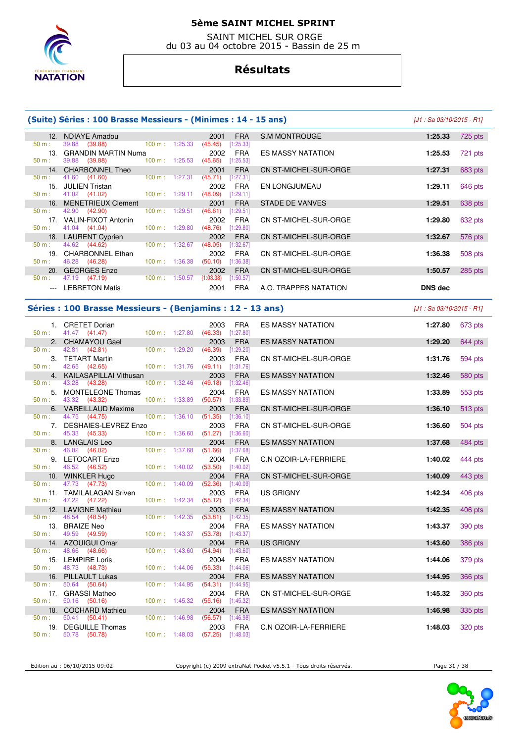

 SAINT MICHEL SUR ORGE du 03 au 04 octobre 2015 - Bassin de 25 m

# **Résultats**

|                     | (Suite) Séries : 100 Brasse Messieurs - (Minimes : 14 - 15 ans) |                   |         |                                            |                           |                          | $[J1: Sa 03/10/2015 - R1]$ |         |
|---------------------|-----------------------------------------------------------------|-------------------|---------|--------------------------------------------|---------------------------|--------------------------|----------------------------|---------|
|                     | 12. NDIAYE Amadou                                               |                   |         | 2001                                       | <b>FRA</b>                | S.M MONTROUGE            | 1:25.33                    | 725 pts |
| 50 m:               | 39.88 (39.88)<br>13. GRANDIN MARTIN Numa                        | 100 m: 1:25.33    |         | $(45.45)$ [1:25.33]<br>2002                | <b>FRA</b>                | <b>ES MASSY NATATION</b> | 1:25.53                    | 721 pts |
| 50 m:               | 39.88 (39.88)                                                   | 100 m: 1:25.53    |         | $(45.65)$ [1:25.53]                        |                           |                          |                            |         |
| 50 m:               | 14. CHARBONNEL Theo<br>41.60<br>(41.60)                         | 100 m: 1:27.31    |         | 2001<br>$(45.71)$ [1:27.31]                | <b>FRA</b>                | CN ST-MICHEL-SUR-ORGE    | 1:27.31                    | 683 pts |
| 50 m:               | 15. JULIEN Tristan<br>41.02 (41.02)                             | 100 m: 1:29.11    |         | 2002<br>$(48.09)$ [1:29.11]                | <b>FRA</b>                | EN LONGJUMEAU            | 1:29.11                    | 646 pts |
| 50 m:               | 16. MENETRIEUX Clement<br>42.90 (42.90)                         | 100 m: 1:29.51    |         | 2001<br>$(46.61)$ [1:29.51]                | <b>FRA</b>                | <b>STADE DE VANVES</b>   | 1:29.51                    | 638 pts |
|                     | 17. VALIN-FIXOT Antonin                                         |                   |         | 2002                                       | <b>FRA</b>                | CN ST-MICHEL-SUR-ORGE    | 1:29.80                    | 632 pts |
| $50 m$ :            | 41.04 (41.04)<br>18. LAURENT Cyprien                            | 100 m: 1:29.80    |         | $(48.76)$ [1:29.80]<br>2002                | <b>FRA</b>                | CN ST-MICHEL-SUR-ORGE    | 1:32.67                    | 576 pts |
| 50 m:               | 44.62<br>(44.62)<br>19. CHARBONNEL Ethan                        | 100 m: 1:32.67    |         | $(48.05)$ [1:32.67]<br>2002                | <b>FRA</b>                | CN ST-MICHEL-SUR-ORGE    | 1:36.38                    | 508 pts |
| 50 m:               | 46.28 (46.28)                                                   | 100 m: 1:36.38    |         | $(50.10)$ [1:36.38]                        |                           |                          |                            |         |
| 50 m:               | 20. GEORGES Enzo<br>47.19 (47.19)                               |                   |         | 2002<br>100 m: 1:50.57 (1:03.38) [1:50.57] | <b>FRA</b>                | CN ST-MICHEL-SUR-ORGE    | 1:50.57                    | 285 pts |
| $\qquad \qquad - -$ | <b>LEBRETON Matis</b>                                           |                   |         | 2001                                       | <b>FRA</b>                | A.O. TRAPPES NATATION    | DNS dec                    |         |
|                     | Séries : 100 Brasse Messieurs - (Benjamins : 12 - 13 ans)       |                   |         |                                            |                           |                          | $[J1: Sa 03/10/2015 - R1]$ |         |
|                     | 1. CRETET Dorian                                                |                   |         | 2003                                       | <b>FRA</b>                | <b>ES MASSY NATATION</b> | 1:27.80                    | 673 pts |
| $50 m$ :            | 41.47 (41.47)<br>2. CHAMAYOU Gael                               | 100 m: 1:27.80    |         | $(46.33)$ $[1:27.80]$<br>2003              | <b>FRA</b>                | <b>ES MASSY NATATION</b> | 1:29.20                    | 644 pts |
| 50 m:               | 42.81<br>(42.81)<br>3. TETART Martin                            | 100 m: 1:29.20    |         | $(46.39)$ [1:29.20]<br>2003                | <b>FRA</b>                | CN ST-MICHEL-SUR-ORGE    | 1:31.76                    | 594 pts |
| 50 m:               | 42.65 (42.65)                                                   |                   |         | 100 m: 1:31.76 (49.11) [1:31.76]           |                           |                          |                            |         |
| 50 m:               | 4. KAILASAPILLAI Vithusan<br>43.28 (43.28)                      | 100 m: 1:32.46    |         | 2003<br>(49.18)                            | <b>FRA</b><br>[1:32.46]   | <b>ES MASSY NATATION</b> | 1:32.46                    | 580 pts |
| $50 m$ :            | 5. MONTELEONE Thomas<br>43.32 (43.32)                           | 100 m: 1:33.89    |         | 2004<br>$(50.57)$ [1:33.89]                | <b>FRA</b>                | <b>ES MASSY NATATION</b> | 1:33.89                    | 553 pts |
| 50 m:               | 6. VAREILLAUD Maxime<br>44.75 (44.75)                           | 100 m: 1:36.10    |         | 2003                                       | <b>FRA</b>                | CN ST-MICHEL-SUR-ORGE    | 1:36.10                    | 513 pts |
|                     | 7. DESHAIES-LEVREZ Enzo                                         |                   |         | $(51.35)$ [1:36.10]<br>2003                | <b>FRA</b>                | CN ST-MICHEL-SUR-ORGE    | 1:36.60                    | 504 pts |
| $50 m$ :            | 45.33 (45.33)<br>8. LANGLAIS Leo                                | 100 m: 1:36.60    |         | $(51.27)$ [1:36.60]<br>2004                | <b>FRA</b>                | <b>ES MASSY NATATION</b> | 1:37.68                    | 484 pts |
| 50 m:               | 46.02<br>(46.02)<br>9. LETOCART Enzo                            | 100 m: 1:37.68    |         | (51.66)<br>2004                            | $[1:37.68]$<br><b>FRA</b> | C.N OZOIR-LA-FERRIERE    | 1:40.02                    | 444 pts |
| 50 m:               | 46.52 (46.52)                                                   | $100 m$ : 1:40.02 |         | (53.50)                                    | [1:40.02]                 |                          |                            |         |
| 50 m:               | 10. WINKLER Hugo<br>47.73 (47.73)                               | 100 m: 1:40.09    |         | 2004<br>$(52.36)$ [1:40.09]                | <b>FRA</b>                | CN ST-MICHEL-SUR-ORGE    | 1:40.09                    | 443 pts |
| 50 m:               | 11. TAMILALAGAN Sriven<br>47.22 (47.22)                         |                   |         | 2003<br>100 m: 1:42.34 (55.12) [1:42.34]   | FRA                       | <b>US GRIGNY</b>         | 1:42.34                    | 406 pts |
| 50 m:               | 12. LAVIGNE Mathieu<br>48.54 (48.54)                            | 100 m: 1:42.35    |         | 2003<br>(53.81)                            | <b>FRA</b><br>[1:42.35]   | <b>ES MASSY NATATION</b> | 1:42.35                    | 406 pts |
|                     | 13. BRAIZE Neo                                                  |                   |         | 2004                                       | <b>FRA</b>                | ES MASSY NATATION        | 1:43.37                    | 390 pts |
| 50 m:               | 49.59 (49.59)<br>14. AZOUIGUI Omar                              | 100 m: 1:43.37    |         | $(53.78)$ [1:43.37]<br>2004                | <b>FRA</b>                | <b>US GRIGNY</b>         | 1:43.60                    | 386 pts |
| $50 m$ :            | 48.66<br>(48.66)<br>15. LEMPIRE Loris                           | 100 m: 1:43.60    |         | $(54.94)$ [1:43.60]<br>2004                | <b>FRA</b>                | ES MASSY NATATION        | 1:44.06                    | 379 pts |
| 50 m:               | 48.73 (48.73)                                                   | 100 m: 1:44.06    |         | $(55.33)$ [1:44.06]                        |                           |                          |                            |         |
| 16.<br>50 m:        | <b>PILLAULT Lukas</b><br>50.64 (50.64)                          | 100 m :           | 1:44.95 | 2004<br>$(54.31)$ [1:44.95]                | <b>FRA</b>                | <b>ES MASSY NATATION</b> | 1:44.95                    | 366 pts |
| 50 m:               | 17. GRASSI Matheo<br>50.16 (50.16)                              | 100 m: 1:45.32    |         | 2004<br>$(55.16)$ [1:45.32]                | <b>FRA</b>                | CN ST-MICHEL-SUR-ORGE    | 1:45.32                    | 360 pts |
|                     | 18. COCHARD Mathieu<br>50.41 (50.41)                            |                   | 1:46.98 | 2004                                       | <b>FRA</b>                | <b>ES MASSY NATATION</b> | 1:46.98                    | 335 pts |
| 50 m:               | 19. DEGUILLE Thomas                                             | 100 m :           |         | $(56.57)$ [1:46.98]<br>2003                | FRA                       | C.N OZOIR-LA-FERRIERE    | 1:48.03                    | 320 pts |
| $50 m$ :            | 50.78 (50.78)                                                   | 100 m: 1:48.03    |         | $(57.25)$ [1:48.03]                        |                           |                          |                            |         |

Edition au : 06/10/2015 09:02 Copyright (c) 2009 extraNat-Pocket v5.5.1 - Tous droits réservés. Page 31 / 38

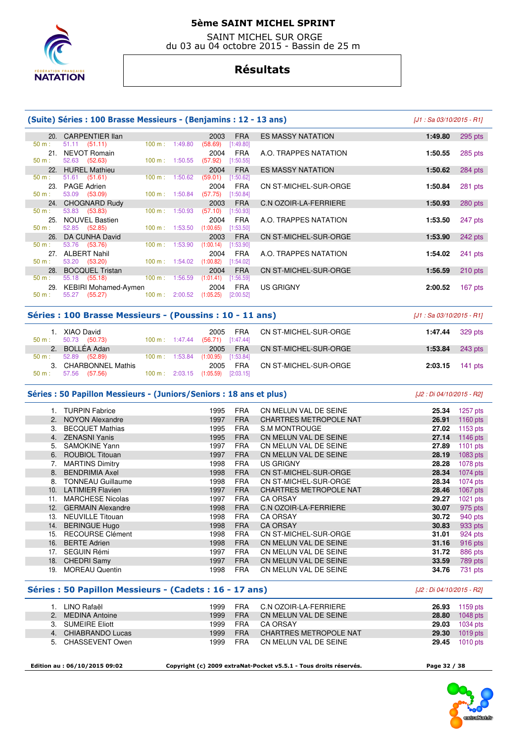

 SAINT MICHEL SUR ORGE du 03 au 04 octobre 2015 - Bassin de 25 m

# **Résultats**

|          | (Suite) Séries : 100 Brasse Messieurs - (Benjamins : 12 - 13 ans) |                           |                                     |                          |                            |  |  |  |  |  |  |
|----------|-------------------------------------------------------------------|---------------------------|-------------------------------------|--------------------------|----------------------------|--|--|--|--|--|--|
|          | 20. CARPENTIER Ilan                                               |                           | 2003<br><b>FRA</b>                  | <b>ES MASSY NATATION</b> | 1:49.80<br>295 pts         |  |  |  |  |  |  |
| 50 m:    | $51.11$ $(51.11)$                                                 | 100 m: 1:49.80            | (58.69)<br>[1:49.80]                |                          |                            |  |  |  |  |  |  |
| $50 m$ : | 21. NEVOT Romain<br>52.63 (52.63)                                 | 100 m: 1:50.55            | 2004<br>FRA<br>(57.92)<br>[1:50.55] | A.O. TRAPPES NATATION    | 285 pts<br>1:50.55         |  |  |  |  |  |  |
|          | 22. HUREL Mathieu                                                 |                           | 2004<br><b>FRA</b>                  | <b>ES MASSY NATATION</b> | 284 pts<br>1:50.62         |  |  |  |  |  |  |
| $50 m$ : | $51.61$ (51.61)                                                   | 100 m: 1:50.62            | (59.01)<br>[1:50.62]                |                          |                            |  |  |  |  |  |  |
|          | 23. PAGE Adrien                                                   |                           | 2004<br>FRA                         | CN ST-MICHEL-SUR-ORGE    | $281$ pts<br>1:50.84       |  |  |  |  |  |  |
| 50 m:    | 53.09 (53.09)                                                     | $100 \text{ m}$ : 1:50.84 | (57.75)<br>[1:50.84]                |                          |                            |  |  |  |  |  |  |
|          | 24. CHOGNARD Rudy                                                 |                           | 2003<br><b>FRA</b>                  | C.N OZOIR-LA-FERRIERE    | 280 pts<br>1:50.93         |  |  |  |  |  |  |
| 50 m:    | 53.83 (53.83)                                                     | 100 m: 1:50.93            | (57.10)<br>[1:50.93]                |                          |                            |  |  |  |  |  |  |
|          | 25. NOUVEL Bastien                                                |                           | 2004<br>FRA                         | A.O. TRAPPES NATATION    | 1:53.50<br>247 pts         |  |  |  |  |  |  |
| 50 m:    | 52.85 (52.85)                                                     | $100 \text{ m}: 1:53.50$  | (1:00.65)<br>[1:53.50]              |                          |                            |  |  |  |  |  |  |
|          | 26. DA CUNHA David                                                |                           | 2003<br><b>FRA</b>                  | CN ST-MICHEL-SUR-ORGE    | 242 pts<br>1:53.90         |  |  |  |  |  |  |
| 50 m:    | 53.76 (53.76)                                                     | 100 m: 1:53.90            | (1:00.14)<br>[1:53.90]              |                          |                            |  |  |  |  |  |  |
|          | 27. ALBERT Nahil                                                  |                           | 2004<br>FRA                         | A.O. TRAPPES NATATION    | 1:54.02<br>$241$ pts       |  |  |  |  |  |  |
| $50 m$ : | 53.20 (53.20)                                                     | 100 m: 1:54.02            | (1:00.82)<br>[1:54.02]              |                          |                            |  |  |  |  |  |  |
| $50 m$ : | 28. BOCQUEL Tristan<br>55.18 (55.18)                              | 100 m: 1:56.59  (1:01.41) | 2004<br><b>FRA</b><br>[1:56.59]     | CN ST-MICHEL-SUR-ORGE    | $210$ pts<br>1:56.59       |  |  |  |  |  |  |
|          | 29. KEBIRI Mohamed-Aymen                                          |                           | 2004<br>FRA                         | US GRIGNY                | 2:00.52<br>$167$ pts       |  |  |  |  |  |  |
| 50 m:    | 55.27 (55.27) 100 m : 2:00.52 (1:05.25) [2:00.52]                 |                           |                                     |                          |                            |  |  |  |  |  |  |
|          |                                                                   |                           |                                     |                          |                            |  |  |  |  |  |  |
|          | Séries : 100 Brasse Messieurs - (Poussins : 10 - 11 ans)          |                           |                                     |                          | $[J1: Sa 03/10/2015 - R1]$ |  |  |  |  |  |  |

|          | 1. XIAO David        |                          | 2005 FRA                                      | CN ST-MICHEL-SUR-ORGE          | <b>1:47.44</b> 329 pts |         |
|----------|----------------------|--------------------------|-----------------------------------------------|--------------------------------|------------------------|---------|
| 50 m:    | 50.73 (50.73)        |                          | 100 m : 1:47.44 (56.71) [1:47.44]             |                                |                        |         |
|          | 2. BOLLÉA Adan       |                          |                                               | 2005 FRA CN ST-MICHEL-SUR-ORGE | 1:53.84                | 243 pts |
| $50 m$ : | 52.89 (52.89)        | $100 \text{ m}: 1:53.84$ | $(1:00.95)$ $[1:53.84]$                       |                                |                        |         |
|          | 3. CHARBONNEL Mathis |                          | 2005 FRA                                      | CN ST-MICHEL-SUR-ORGE          | $2:03.15$ 141 pts      |         |
| 50 m:    | 57.56 (57.56)        |                          | $100 \text{ m}$ : 2:03.15 (1:05.59) [2:03.15] |                                |                        |         |

#### Séries : 50 Papillon Messieurs - (Juniors/Seniors : 18 ans et plus) *[J2 : Di 04/10/2015 - R2]*

|     | 1. TURPIN Fabrice        | 1995 | <b>FRA</b> | CN MELUN VAL DE SEINE         | 25.34 | $1257$ pts |
|-----|--------------------------|------|------------|-------------------------------|-------|------------|
|     | 2. NOYON Alexandre       | 1997 | <b>FRA</b> | <b>CHARTRES METROPOLE NAT</b> | 26.91 | 1160 $pts$ |
| 3.  | <b>BECQUET Mathias</b>   | 1995 | <b>FRA</b> | <b>S.M MONTROUGE</b>          | 27.02 | 1153 pts   |
| 4.  | ZENASNI Yanis            | 1995 | <b>FRA</b> | CN MELUN VAL DE SEINE         | 27.14 | 1146 pts   |
| 5.  | <b>SAMOKINE Yann</b>     | 1997 | <b>FRA</b> | CN MELUN VAL DE SEINE         | 27.89 | $1101$ pts |
| 6.  | <b>ROUBIOL Titouan</b>   | 1997 | <b>FRA</b> | CN MELUN VAL DE SEINE         | 28.19 | 1083 pts   |
|     | <b>MARTINS Dimitry</b>   | 1998 | <b>FRA</b> | US GRIGNY                     | 28.28 | 1078 pts   |
| 8.  | <b>BENDRIMIA Axel</b>    | 1998 | <b>FRA</b> | CN ST-MICHEL-SUR-ORGE         | 28.34 | 1074 pts   |
| 8.  | <b>TONNEAU Guillaume</b> | 1998 | <b>FRA</b> | CN ST-MICHEL-SUR-ORGE         | 28.34 | 1074 pts   |
| 10. | <b>LATIMIER Flavien</b>  | 1997 | <b>FRA</b> | <b>CHARTRES METROPOLE NAT</b> | 28.46 | 1067 pts   |
| 11. | <b>MARCHESE Nicolas</b>  | 1997 | <b>FRA</b> | <b>CA ORSAY</b>               | 29.27 | $1021$ pts |
| 12. | <b>GERMAIN Alexandre</b> | 1998 | <b>FRA</b> | C.N OZOIR-LA-FERRIERE         | 30.07 | 975 pts    |
| 13. | <b>NEUVILLE Titouan</b>  | 1998 | <b>FRA</b> | <b>CA ORSAY</b>               | 30.72 | 940 pts    |
| 14. | <b>BERINGUE Hugo</b>     | 1998 | <b>FRA</b> | <b>CA ORSAY</b>               | 30.83 | 933 pts    |
| 15. | <b>RECOURSE Clément</b>  | 1998 | <b>FRA</b> | CN ST-MICHEL-SUR-ORGE         | 31.01 | 924 pts    |
| 16. | <b>BERTE Adrien</b>      | 1998 | <b>FRA</b> | CN MELUN VAL DE SEINE         | 31.16 | 916 pts    |
| 17. | SEGUIN Rémi              | 1997 | FRA        | CN MELUN VAL DE SEINE         | 31.72 | 886 pts    |
| 18. | <b>CHEDRI Samy</b>       | 1997 | <b>FRA</b> | CN MELUN VAL DE SEINE         | 33.59 | 789 pts    |
| 19. | <b>MOREAU Quentin</b>    | 1998 | <b>FRA</b> | CN MELUN VAL DE SEINE         | 34.76 | 731 pts    |

#### **Séries : 50 Papillon Messieurs - (Cadets : 16 - 17 ans)** [J2 : Di 04/10/2015 - R2]

| LINO Rafaël         | 1999   | FRA        | C.N OZOIR-LA-FERRIERE  | 26.93 | 1159 pts              |
|---------------------|--------|------------|------------------------|-------|-----------------------|
| 2. MEDINA Antoine   | 1999 - | <b>FRA</b> | CN MELUN VAL DE SEINE  |       | <b>28.80</b> 1048 pts |
| 3. SUMEIRE Eliott   | 1999   | FRA        | CA ORSAY               |       | <b>29.03</b> 1034 pts |
| 4. CHIABRANDO Lucas | 1999   | <b>FRA</b> | CHARTRES METROPOLE NAT |       | <b>29.30</b> 1019 pts |
| 5. CHASSEVENT Owen  | 1999.  | FRA        | CN MELUN VAL DE SEINE  |       | <b>29.45</b> 1010 pts |

T.

 **Edition au : 06/10/2015 09:02 Copyright (c) 2009 extraNat-Pocket v5.5.1 - Tous droits réservés. Page 32 / 38** 

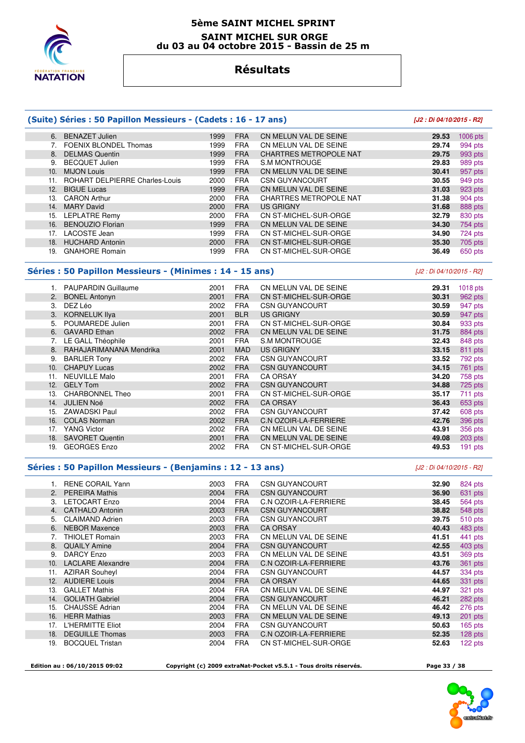

#### **5ème SAINT MICHEL SPRINT SAINT MICHEL SUR ORGE du 03 au 04 octobre 2015 - Bassin de 25 m**

### **Résultats**

### **(Suite) Séries : 50 Papillon Messieurs - (Cadets : 16 - 17 ans) [J2 : Di 04/10/2015 - R2]**

#### 6. BENAZET Julien 1999 FRA CN MELUN VAL DE SEINE **29.53** 1006 pts 7. FOENIX BLONDEL Thomas 1999 FRA CN MELUN VAL DE SEINE **29.74** 994 pts 8. DELMAS Quentin 1999 FRA CHARTRES METROPOLE NAT **29.75** 993 pts 9. BECQUET Julien 1999 FRA S.M MONTROUGE **29.83** 989 pts 10. MIJON Louis 1999 FRA CN MELUN VAL DE SEINE **30.41** 957 pts 11. ROHART DELPIERRE Charles-Louis 2000 FRA CSN GUYANCOURT **30.55** 949 pts 12. BIGUE Lucas 1999 FRA CN MELUN VAL DE SEINE **31.03** 923 pts 13. CARON Arthur 2000 FRA CHARTRES METROPOLE NAT **31.38** 904 pts 14. MARY David 2000 FRA US GRIGNY **31.68** 888 pts 15. LEPLATRE Remy 2000 FRA CN ST-MICHEL-SUR-ORGE **32.79** 830 pts 16. BENOUZIO Florian 1999 FRA CN MELUN VAL DE SEINE **34.30** 754 pts 17. LACOSTE Jean 1999 FRA CN ST-MICHEL-SUR-ORGE **34.90** 724 pts 18. HUCHARD Antonin 2000 FRA CN ST-MICHEL-SUR-ORGE **35.30** 705 pts 1999 FRA CN ST-MICHEL-SUR-ORGE **36.49** 650 pts

### **Séries : 50 Papillon Messieurs - (Minimes : 14 - 15 ans)** [J2 : Di 04/10/2015 - R2]

 1. PAUPARDIN Guillaume 2001 FRA CN MELUN VAL DE SEINE **29.31** 1018 pts 2. BONEL Antonyn 2001 FRA CN ST-MICHEL-SUR-ORGE **30.31** 962 pts 3. DEZ Léo 2002 FRA CSN GUYANCOURT **30.59** 947 pts 3. KORNELUK Ilya 2001 BLR US GRIGNY **30.59 30.59**  5. POUMAREDE Julien 2001 FRA CN ST-MICHEL-SUR-ORGE **30.84** 933 pts 6. GAVARD Ethan 2002 FRA CN MELUN VAL DE SEINE **31.75** 884 pts 7. LE GALL Théophile 2001 FRA S.M MONTROUGE **32.43** 848 pts 8. RAHAJARIMANANA Mendrika 2001 MAD US GRIGNY **33.15** 811 pts 9. BARLIER Tony 2002 FRA CSN GUYANCOURT **33.52** 792 pts 10. CHAPUY Lucas 2002 FRA CSN GUYANCOURT **34.15** 761 pts 11. NEUVILLE Malo 2001 FRA CA ORSAY **34.20** 758 pts 12. GELY Tom **34.88 2002 FRA CSN GUYANCOURT**<br>13. CHARBONNEL Theo 2001 FRA CN ST-MICHEL-SUR-ORGE 35.17 711 pts 13. CHARBONNEL Theo 2001 FRA CN ST-MICHEL-SUR-ORGE **35.17** 711 pts 14. JULIEN Noé 2002 FRA CA ORSAY **36.43** 653 pts 15. ZAWADSKI Paul 2002 FRA CSN GUYANCOURT **37.42** 608 pts 16. COLAS Norman 2002 FRA C.N OZOIR-LA-FERRIERE **42.76** 396 pts 17. YANG Victor 2002 FRA CN MELUN VAL DE SEINE **43.91** 356 pts 18. SAVORET Quentin 2001 FRA CN MELUN VAL DE SEINE **49.08** 203 pts 19. GEORGES Enzo 2002 FRA CN ST-MICHEL-SUR-ORGE **49.53** 191 pts

### **Séries : 50 Papillon Messieurs - (Benjamins : 12 - 13 ans)** [J2 : Di 04/10/2015 - R2]

|                | <b>RENE CORAIL Yann</b>  | 2003 | <b>FRA</b> | <b>CSN GUYANCOURT</b>        | 32.90 | 824 pts   |
|----------------|--------------------------|------|------------|------------------------------|-------|-----------|
| 2 <sub>1</sub> | <b>PEREIRA Mathis</b>    | 2004 | <b>FRA</b> | <b>CSN GUYANCOURT</b>        | 36.90 | 631 pts   |
| 3.             | <b>LETOCART Enzo</b>     | 2004 | <b>FRA</b> | C.N OZOIR-LA-FERRIERE        | 38.45 | 564 pts   |
| 4.             | <b>CATHALO Antonin</b>   | 2003 | <b>FRA</b> | <b>CSN GUYANCOURT</b>        | 38.82 | 548 pts   |
| 5.             | <b>CLAIMAND Adrien</b>   | 2003 | <b>FRA</b> | <b>CSN GUYANCOURT</b>        | 39.75 | 510 pts   |
| 6.             | <b>NEBOR Maxence</b>     | 2003 | <b>FRA</b> | <b>CA ORSAY</b>              | 40.43 | 483 pts   |
|                | <b>THIOLET Romain</b>    | 2003 | <b>FRA</b> | CN MELUN VAL DE SEINE        | 41.51 | 441 pts   |
| 8.             | <b>QUAILY Amine</b>      | 2004 | <b>FRA</b> | <b>CSN GUYANCOURT</b>        | 42.55 | 403 pts   |
| 9.             | DARCY Enzo               | 2003 | <b>FRA</b> | CN MELUN VAL DE SEINE        | 43.51 | 369 pts   |
| 10.            | <b>LACLARE Alexandre</b> | 2004 | <b>FRA</b> | <b>C.N OZOIR-LA-FERRIERE</b> | 43.76 | 361 pts   |
| 11.            | <b>AZIRAR Souheyl</b>    | 2004 | <b>FRA</b> | <b>CSN GUYANCOURT</b>        | 44.57 | 334 pts   |
| 12.            | <b>AUDIERE Louis</b>     | 2004 | <b>FRA</b> | <b>CA ORSAY</b>              | 44.65 | 331 pts   |
| 13.            | <b>GALLET Mathis</b>     | 2004 | <b>FRA</b> | CN MELUN VAL DE SEINE        | 44.97 | 321 pts   |
| 14.            | <b>GOLIATH Gabriel</b>   | 2004 | <b>FRA</b> | <b>CSN GUYANCOURT</b>        | 46.21 | 282 pts   |
| 15.            | <b>CHAUSSE Adrian</b>    | 2004 | <b>FRA</b> | CN MELUN VAL DE SEINE        | 46.42 | 276 pts   |
| 16.            | <b>HERR Mathias</b>      | 2003 | <b>FRA</b> | CN MELUN VAL DE SEINE        | 49.13 | 201 pts   |
| 17.            | <b>L'HERMITTE Eliot</b>  | 2004 | <b>FRA</b> | <b>CSN GUYANCOURT</b>        | 50.63 | $165$ pts |
| 18.            | <b>DEGUILLE Thomas</b>   | 2003 | <b>FRA</b> | <b>C.N OZOIR-LA-FERRIERE</b> | 52.35 | 128 pts   |
| 19.            | <b>BOCQUEL Tristan</b>   | 2004 | <b>FRA</b> | CN ST-MICHEL-SUR-ORGE        | 52.63 | 122 pts   |
|                |                          |      |            |                              |       |           |

 **Edition au : 06/10/2015 09:02 Copyright (c) 2009 extraNat-Pocket v5.5.1 - Tous droits réservés. Page 33 / 38** 

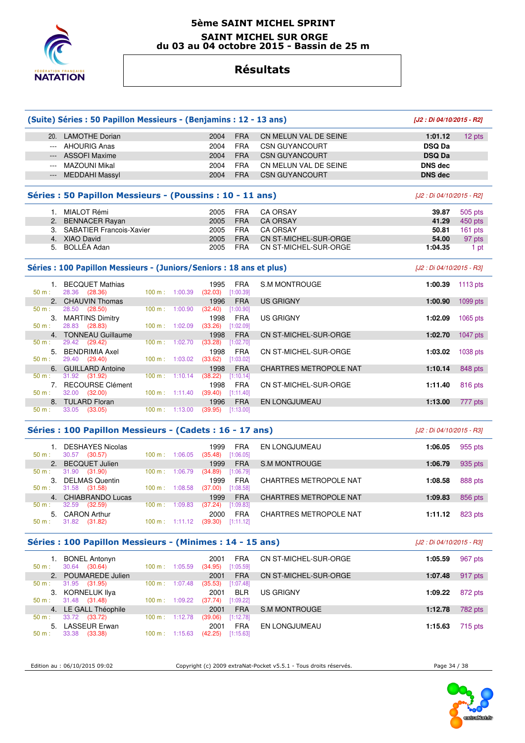

### **5ème SAINT MICHEL SPRINT SAINT MICHEL SUR ORGE du 03 au 04 octobre 2015 - Bassin de 25 m**

# **Résultats**

|          | (Suite) Séries : 50 Papillon Messieurs - (Benjamins : 12 - 13 ans)   |                   |                          |                                  |                         |                               | [J2 : Di 04/10/2015 - R2] |            |
|----------|----------------------------------------------------------------------|-------------------|--------------------------|----------------------------------|-------------------------|-------------------------------|---------------------------|------------|
|          | 20. LAMOTHE Dorian                                                   |                   |                          | 2004                             | <b>FRA</b>              | CN MELUN VAL DE SEINE         | 1:01.12                   | 12 pts     |
|          | --- AHOURIG Anas                                                     |                   |                          | 2004                             | <b>FRA</b>              | <b>CSN GUYANCOURT</b>         | <b>DSQ Da</b>             |            |
|          | <b>ASSOFI Maxime</b>                                                 |                   |                          | 2004                             | <b>FRA</b>              | <b>CSN GUYANCOURT</b>         | <b>DSQ Da</b>             |            |
| $\cdots$ | <b>MAZOUNI Mikal</b>                                                 |                   |                          | 2004                             | <b>FRA</b>              | CN MELUN VAL DE SEINE         | <b>DNS</b> dec            |            |
| $\cdots$ | <b>MEDDAHI Massyl</b>                                                |                   |                          | 2004                             | <b>FRA</b>              | <b>CSN GUYANCOURT</b>         | <b>DNS dec</b>            |            |
|          |                                                                      |                   |                          |                                  |                         |                               |                           |            |
|          | Séries : 50 Papillon Messieurs - (Poussins : 10 - 11 ans)            |                   |                          |                                  |                         |                               | [J2 : Di 04/10/2015 - R2] |            |
|          | 1. MIALOT Rémi                                                       |                   |                          | 2005                             | <b>FRA</b>              | <b>CA ORSAY</b>               | 39.87                     | 505 pts    |
|          | 2. BENNACER Rayan                                                    |                   |                          | 2005                             | <b>FRA</b>              | <b>CA ORSAY</b>               | 41.29                     | 450 pts    |
|          | 3. SABATIER Francois-Xavier                                          |                   |                          | 2005                             | <b>FRA</b>              | <b>CA ORSAY</b>               | 50.81                     | 161 pts    |
|          | 4. XIAO David                                                        |                   |                          | 2005                             | <b>FRA</b>              | CN ST-MICHEL-SUR-ORGE         | 54.00                     | 97 pts     |
| 5.       | BOLLÉA Adan                                                          |                   |                          | 2005                             | <b>FRA</b>              | CN ST-MICHEL-SUR-ORGE         | 1:04.35                   | 1 pt       |
|          | Séries : 100 Papillon Messieurs - (Juniors/Seniors : 18 ans et plus) |                   |                          |                                  |                         |                               | [J2 : Di 04/10/2015 - R3] |            |
|          | 1. BECQUET Mathias                                                   |                   |                          | 1995                             | <b>FRA</b>              | <b>S.M MONTROUGE</b>          | 1:00.39                   | $1113$ pts |
| $50 m$ : | 28.36<br>(28.36)                                                     | $100 m$ : 1:00.39 |                          | (32.03)                          | [1:00.39]               |                               |                           |            |
|          | 2. CHAUVIN Thomas                                                    |                   |                          | 1996                             | <b>FRA</b>              | <b>US GRIGNY</b>              | 1:00.90                   | 1099 pts   |
| 50 m:    | 28.50<br>(28.50)                                                     | 100 m: 1:00.90    |                          | (32.40)                          | [1:00.90]               |                               |                           |            |
|          | 3. MARTINS Dimitry                                                   |                   |                          | 1998                             | <b>FRA</b>              | <b>US GRIGNY</b>              | 1:02.09                   | 1065 pts   |
| 50 m:    | 28.83 (28.83)                                                        | 100 m: 1:02.09    |                          | $(33.26)$ [1:02.09]              |                         |                               |                           |            |
|          | 4. TONNEAU Guillaume                                                 |                   |                          | 1998                             | <b>FRA</b>              | CN ST-MICHEL-SUR-ORGE         | 1:02.70                   | 1047 pts   |
| $50 m$ : | 29.42 (29.42)                                                        | 100 m: 1:02.70    |                          | (33.28)                          | [1:02.70]               |                               |                           |            |
|          | 5. BENDRIMIA Axel                                                    |                   |                          | 1998                             | <b>FRA</b>              | CN ST-MICHEL-SUR-ORGE         | 1:03.02                   | 1038 pts   |
| 50 m:    | 29.40 (29.40)                                                        | 100 m: 1:03.02    |                          | (33.62)                          | [1:03.02]               |                               |                           |            |
|          | 6. GUILLARD Antoine                                                  |                   |                          | 1998                             | <b>FRA</b>              | <b>CHARTRES METROPOLE NAT</b> | 1:10.14                   | 848 pts    |
| 50 m:    | 31.92 (31.92)                                                        |                   | $100 \text{ m}: 1:10.14$ | (38.22)                          | [1:10.14]               |                               |                           |            |
|          | 7. RECOURSE Clément                                                  |                   |                          | 1998                             | <b>FRA</b>              | CN ST-MICHEL-SUR-ORGE         | 1:11.40                   | 816 pts    |
| 50 m:    | 32.00 (32.00)                                                        | 100 m: 1:11.40    |                          | (39.40)                          | [1:11.40]               |                               |                           |            |
| 50 m:    | 8. TULARD Floran<br>33.05 (33.05)                                    |                   | 100 m: 1:13.00           | 1996<br>(39.95)                  | <b>FRA</b><br>[1:13.00] | <b>EN LONGJUMEAU</b>          | 1:13.00                   | 777 pts    |
|          |                                                                      |                   |                          |                                  |                         |                               |                           |            |
|          | Séries : 100 Papillon Messieurs - (Cadets : 16 - 17 ans)             |                   |                          |                                  |                         |                               | [J2 : Di 04/10/2015 - R3] |            |
|          | 1. DESHAYES Nicolas                                                  |                   |                          | 1999                             | <b>FRA</b>              | EN LONGJUMEAU                 | 1:06.05                   | 955 pts    |
| 50 m:    | 30.57 (30.57)                                                        | 100 m: 1:06.05    |                          | (35.48)                          | [1:06.05]               |                               |                           |            |
|          | 2. BECQUET Julien                                                    |                   |                          | 1999                             | <b>FRA</b>              | <b>S.M MONTROUGE</b>          | 1:06.79                   | 935 pts    |
| 50 m:    | 31.90 (31.90)                                                        | 100 m: 1:06.79    |                          | (34.89)                          | [1:06.79]               |                               |                           |            |
|          | 3. DELMAS Quentin                                                    |                   |                          | 1999                             | <b>FRA</b>              | CHARTRES METROPOLE NAT        | 1:08.58                   | 888 pts    |
| 50 m:    | 31.58 (31.58)                                                        | 100 m: 1:08.58    |                          | (37.00)                          | [1:08.58]               |                               |                           |            |
|          | 4. CHIABRANDO Lucas                                                  |                   |                          | 1999                             | <b>FRA</b>              | <b>CHARTRES METROPOLE NAT</b> | 1:09.83                   | 856 pts    |
| $50 m$ : | $32.59$ $(32.59)$                                                    |                   |                          | 100 m: 1:09.83 (37.24) [1:09.83] |                         |                               |                           |            |
| 50 m:    | 5. CARON Arthur<br>31.82 (31.82)                                     |                   | $100 \text{ m}: 1:11.12$ | 2000<br>$(39.30)$ [1:11.12]      | <b>FRA</b>              | CHARTRES METROPOLE NAT        | 1:11.12                   | 823 pts    |
|          | Séries : 100 Papillon Messieurs - (Minimes : 14 - 15 ans)            |                   |                          |                                  |                         |                               | [J2 : Di 04/10/2015 - R3] |            |
|          |                                                                      |                   |                          |                                  |                         |                               |                           |            |
|          | 1. BONEL Antonyn                                                     |                   |                          | 2001                             | <b>FRA</b>              | CN ST-MICHEL-SUR-ORGE         | 1:05.59                   | 967 pts    |
| 50 m:    | 30.64 (30.64)                                                        | 100 m: 1:05.59    |                          | (34.95)                          | [1:05.59]               |                               |                           |            |
| 2.       | POUMAREDE Julien                                                     |                   |                          | 2001                             | <b>FRA</b>              | CN ST-MICHEL-SUR-ORGE         | 1:07.48                   | 917 pts    |

 2. POUMAREDE Julien 2001 FRA CN ST-MICHEL-SUR-ORGE **1:07.48** 917 pts 50 m : 31.95 (31.95) 100 m : 1:07.48 (35.53) [1:07.48] 3. KORNELUK Ilya 2001 BLR US GRIGNY **1:09.22** 872 pts  $31.48$   $(31.48)$   $100 \text{ m}$  :  $1:09.22$  4. LE GALL Théophile 2001 FRA S.M MONTROUGE **1:12.78** 782 pts 50 m : 33.72 (33.72) 100 m : 1:12.78 (39.06) [1:12.78] 5. LASSEUR Erwan 2001 FRA EN LONGJUMEAU **1:15.63** 715 pts 50 m : 33.38 (33.38) 100 m : 1:15.63 (42.25) [1:15.63]

Edition au : 06/10/2015 09:02 Copyright (c) 2009 extraNat-Pocket v5.5.1 - Tous droits réservés. Page 34 / 38

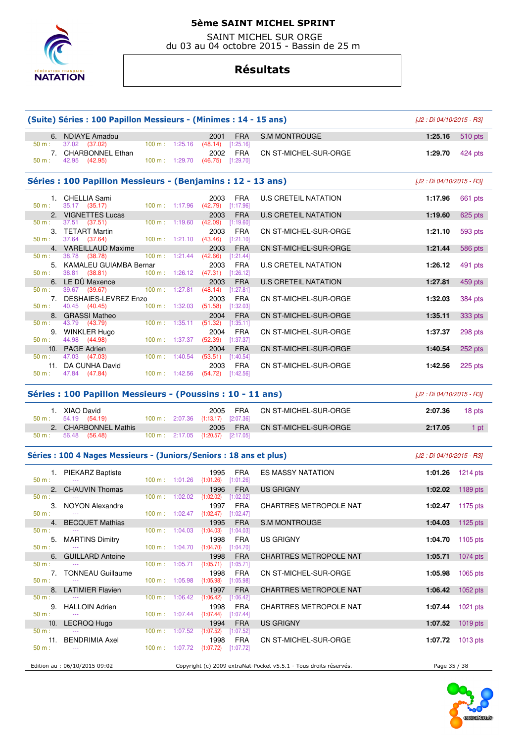

 SAINT MICHEL SUR ORGE du 03 au 04 octobre 2015 - Bassin de 25 m

# **Résultats**

|                 | (Suite) Séries : 100 Papillon Messieurs - (Minimes : 14 - 15 ans)   |                          |                          |                                                     |                         |                                                                   | [J2 : Di 04/10/2015 - R3] |                  |
|-----------------|---------------------------------------------------------------------|--------------------------|--------------------------|-----------------------------------------------------|-------------------------|-------------------------------------------------------------------|---------------------------|------------------|
|                 | 6. NDIAYE Amadou                                                    |                          |                          | 2001                                                | <b>FRA</b>              | <b>S.M MONTROUGE</b>                                              | 1:25.16                   | 510 pts          |
| 50 m:           | 37.02 (37.02)<br>7. CHARBONNEL Ethan                                |                          |                          | $100 \text{ m}: 1:25.16$ (48.14) [1:25.16]<br>2002  | FRA                     | CN ST-MICHEL-SUR-ORGE                                             | 1:29.70                   | 424 pts          |
| 50 m :          | 42.95 (42.95)                                                       |                          |                          | 100 m : 1:29.70 $(46.75)$ [1:29.70]                 |                         |                                                                   |                           |                  |
|                 | Séries : 100 Papillon Messieurs - (Benjamins : 12 - 13 ans)         |                          |                          |                                                     |                         |                                                                   | [J2 : Di 04/10/2015 - R3] |                  |
| 50 m:           | 1. CHELLIA Sami<br>35.17 (35.17)                                    |                          |                          | 2003<br>100 m: 1:17.96 (42.79) [1:17.96]            | FRA                     | <b>U.S CRETEIL NATATION</b>                                       | 1:17.96                   | 661 pts          |
|                 | 2. VIGNETTES Lucas                                                  |                          |                          | 2003                                                | <b>FRA</b>              | <b>U.S CRETEIL NATATION</b>                                       | 1:19.60                   | 625 pts          |
| 50 m :          | 37.51 (37.51)<br>3. TETART Martin                                   | $100 \text{ m}: 1:19.60$ |                          | $(42.09)$ [1:19.60]<br>2003                         | <b>FRA</b>              | CN ST-MICHEL-SUR-ORGE                                             | 1:21.10                   | 593 pts          |
| 50 m:           | 37.64 (37.64)<br>4. VAREILLAUD Maxime                               |                          |                          | $100 \text{ m}: 1:21.10 (43.46)$<br>2003            | [1:21.10]<br><b>FRA</b> | CN ST-MICHEL-SUR-ORGE                                             | 1:21.44                   | 586 pts          |
| 50 m:           | 38.78 (38.78)<br>5. KAMALEU GUIAMBA Bernar                          |                          |                          | 100 m : 1:21.44 (42.66) [1:21.44]<br>2003           | FRA                     | U.S CRETEIL NATATION                                              | 1:26.12                   | 491 pts          |
| 50 m:           | 38.81 (38.81)<br>6. LE DÛ Maxence                                   |                          |                          | $100 \text{ m}: 1:26.12$ (47.31) [1:26.12]<br>2003  | <b>FRA</b>              | <b>U.S CRETEIL NATATION</b>                                       | 1:27.81                   | 459 pts          |
| 50 m:           | 39.67 (39.67)<br>7. DESHAIES-LEVREZ Enzo                            |                          |                          | 100 m : 1:27.81 $(48.14)$ [1:27.81]<br>2003         | FRA                     | CN ST-MICHEL-SUR-ORGE                                             | 1:32.03                   | 384 pts          |
| $50 m$ :        | 40.45 (40.45)<br>8. GRASSI Matheo                                   |                          |                          | 100 m: 1:32.03 (51.58) [1:32.03]<br>2004            | <b>FRA</b>              | CN ST-MICHEL-SUR-ORGE                                             | 1:35.11                   | 333 pts          |
| 50 m:           | 43.79 (43.79)                                                       |                          |                          | $100 \text{ m}: 1:35.11 (51.32) [1:35.11]$          |                         |                                                                   |                           |                  |
| 50 m:           | 9. WINKLER Hugo<br>44.98 (44.98)                                    |                          |                          | 2004<br>100 m: 1:37.37 (52.39) [1:37.37]            | FRA                     | CN ST-MICHEL-SUR-ORGE                                             | 1:37.37                   | 298 pts          |
| 50 m:           | 10. PAGE Adrien<br>47.03 (47.03)                                    |                          |                          | 2004<br>100 m : 1:40.54 $(53.51)$ [1:40.54]         | <b>FRA</b>              | CN ST-MICHEL-SUR-ORGE                                             | 1:40.54                   | 252 pts          |
| 50 m:           | 11. DA CUNHA David<br>47.84 (47.84)                                 |                          |                          | 2003<br>$100 \text{ m}: 1:42.56$ (54.72) [1:42.56]  | FRA                     | CN ST-MICHEL-SUR-ORGE                                             | 1:42.56                   | 225 pts          |
|                 | Séries : 100 Papillon Messieurs - (Poussins : 10 - 11 ans)          |                          |                          |                                                     |                         |                                                                   | [J2 : Di 04/10/2015 - R3] |                  |
|                 |                                                                     |                          |                          |                                                     |                         |                                                                   |                           |                  |
| 50 m:           | 1. XIAO David<br>54.19 (54.19)                                      |                          |                          | 2005<br>100 m: 2:07.36 (1:13.17) [2:07.36]          | <b>FRA</b>              | CN ST-MICHEL-SUR-ORGE                                             | 2:07.36                   | 18 pts           |
| 50 m :          | 2. CHARBONNEL Mathis<br>56.48 (56.48)                               |                          |                          | 2005<br>100 m: 2:17.05 (1:20.57) [2:17.05]          | <b>FRA</b>              | CN ST-MICHEL-SUR-ORGE                                             | 2:17.05                   | 1 pt             |
|                 | Séries : 100 4 Nages Messieurs - (Juniors/Seniors : 18 ans et plus) |                          |                          |                                                     |                         |                                                                   | [J2 : Di 04/10/2015 - R3] |                  |
|                 | 1. PIEKARZ Baptiste                                                 |                          |                          | 1995                                                | FRA                     | <b>ES MASSY NATATION</b>                                          | 1:01.26 1214 pts          |                  |
| 50 m:           | $\sim$<br>2. CHAUVIN Thomas                                         |                          |                          | 100 m: 1:01.26 (1:01.26) [1:01.26]<br>1996          | <b>FRA</b>              | <b>US GRIGNY</b>                                                  |                           | 1:02.02 1189 pts |
| 50 m:           | $\rightarrow$ $\rightarrow$                                         |                          |                          | 100 m: 1:02.02 (1:02.02) [1:02.02]                  |                         |                                                                   |                           |                  |
| 50 m:           | 3. NOYON Alexandre                                                  |                          |                          | 1997 FRA<br>100 m : 1:02.47 $(1:02.47)$ $[1:02.47]$ |                         | CHARTRES METROPOLE NAT                                            |                           | 1:02.47 1175 pts |
| 4.<br>50 m:     | <b>BECQUET Mathias</b>                                              |                          | $100 \text{ m}: 1:04.03$ | 1995<br>(1:04.03)                                   | <b>FRA</b><br>[1:04.03] | S.M MONTROUGE                                                     | 1:04.03                   | 1125 pts         |
| 5.<br>50 m:     | <b>MARTINS Dimitry</b>                                              |                          |                          | 1998<br>100 m: 1:04.70 (1:04.70) [1:04.70]          | <b>FRA</b>              | <b>US GRIGNY</b>                                                  | 1:04.70                   | 1105 $pts$       |
| 6.              | <b>GUILLARD Antoine</b>                                             |                          |                          | 1998                                                | <b>FRA</b>              | CHARTRES METROPOLE NAT                                            | 1:05.71                   | 1074 pts         |
| 50 m:<br>7.     | <b>TONNEAU Guillaume</b>                                            | 100 m: 1:05.71           |                          | (1:05.71)<br>1998                                   | [1:05.71]<br><b>FRA</b> | CN ST-MICHEL-SUR-ORGE                                             | 1:05.98                   | $1065$ pts       |
| $50 m$ :        | 8. LATIMIER Flavien                                                 | 100 m: 1:05.98           |                          | $(1:05.98)$ $[1:05.98]$<br>1997                     | <b>FRA</b>              | CHARTRES METROPOLE NAT                                            | 1:06.42                   | 1052 pts         |
| 50 m:           | 9. HALLOIN Adrien                                                   |                          | 100 m: 1:06.42           | (1:06.42)<br>1998                                   | [1:06.42]<br><b>FRA</b> | CHARTRES METROPOLE NAT                                            | 1:07.44                   | $1021$ pts       |
| $50 m$ :<br>10. | LECROQ Hugo                                                         |                          |                          | $100 \text{ m}: 1:07.44$ $(1:07.44)$<br>1994        | [1:07.44]<br><b>FRA</b> | US GRIGNY                                                         | 1:07.52                   | 1019 pts         |
| 50 m:           |                                                                     |                          | 100 m: 1:07.52           | (1:07.52)                                           | [1:07.52]               |                                                                   |                           |                  |
| $50 m$ :        | 11. BENDRIMIA Axel                                                  |                          |                          | 1998<br>100 m : 1:07.72 (1:07.72) [1:07.72]         | <b>FRA</b>              | CN ST-MICHEL-SUR-ORGE                                             | 1:07.72                   | $1013$ pts       |
|                 | Edition au : 06/10/2015 09:02                                       |                          |                          |                                                     |                         | Copyright (c) 2009 extraNat-Pocket v5.5.1 - Tous droits réservés. | Page 35 / 38              |                  |

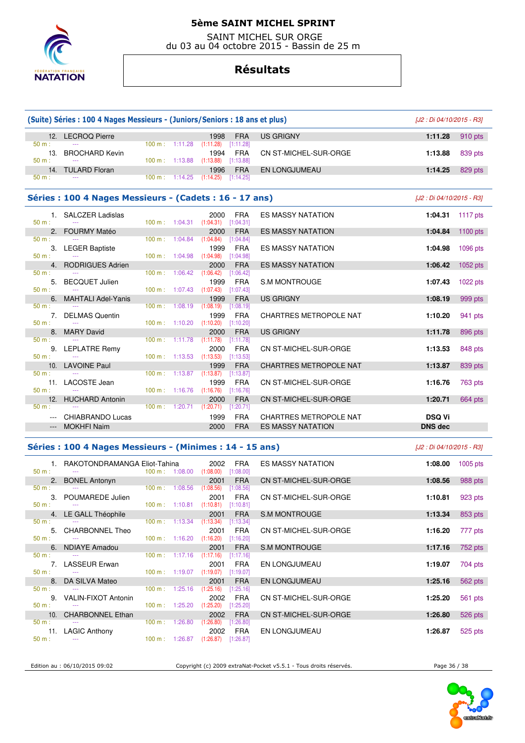

 SAINT MICHEL SUR ORGE du 03 au 04 octobre 2015 - Bassin de 25 m

### **Résultats**

| (Suite) Séries : 100 4 Nages Messieurs - (Juniors/Seniors : 18 ans et plus) | [J2 : Di 04/10/2015 - R3]                               |                |                                      |                   |                         |                               |                           |            |
|-----------------------------------------------------------------------------|---------------------------------------------------------|----------------|--------------------------------------|-------------------|-------------------------|-------------------------------|---------------------------|------------|
|                                                                             | 12. LECROQ Pierre                                       |                |                                      | 1998              | <b>FRA</b>              | <b>US GRIGNY</b>              | 1:11.28                   | 910 pts    |
| $50 m$ :                                                                    |                                                         |                | 100 m: 1:11.28                       | (1:11.28)         | [1:11.28]               |                               |                           |            |
| 13.<br>$50 m$ :                                                             | <b>BROCHARD Kevin</b>                                   |                | 100 m: 1:13.88                       | 1994<br>(1:13.88) | <b>FRA</b><br>[1:13.88] | CN ST-MICHEL-SUR-ORGE         | 1:13.88                   | 839 pts    |
|                                                                             | 14. TULARD Floran                                       |                |                                      | 1996              | <b>FRA</b>              | EN LONGJUMEAU                 | 1:14.25                   | 829 pts    |
| $50 m$ :                                                                    |                                                         |                | $100 \text{ m}: 1:14.25$             | (1:14.25)         | [1:14.25]               |                               |                           |            |
|                                                                             | Séries : 100 4 Nages Messieurs - (Cadets : 16 - 17 ans) |                |                                      |                   |                         |                               | [J2 : Di 04/10/2015 - R3] |            |
|                                                                             | 1. SALCZER Ladislas                                     |                |                                      | 2000              | <b>FRA</b>              | <b>ES MASSY NATATION</b>      | 1:04.31                   | 1117 pts   |
| $50 m$ :                                                                    | $\mathbb{Z} \to \mathbb{Z}$                             |                | $100 \text{ m}: 1:04.31$ $(1:04.31)$ |                   | [1:04.31]               |                               |                           |            |
|                                                                             | 2. FOURMY Matéo                                         |                |                                      | 2000              | <b>FRA</b>              | <b>ES MASSY NATATION</b>      | 1:04.84                   | 1100 $pts$ |
| $50 m$ :                                                                    |                                                         |                | $100 m$ : 1:04.84                    | (1:04.84)         | [1:04.84]               |                               |                           |            |
| 3.<br>$50 m$ :                                                              | <b>LEGER Baptiste</b>                                   | 100 m: 1:04.98 |                                      | 1999<br>(1:04.98) | <b>FRA</b><br>[1:04.98] | <b>ES MASSY NATATION</b>      | 1:04.98                   | 1096 pts   |
|                                                                             | 4. RODRIGUES Adrien                                     |                |                                      | 2000              | <b>FRA</b>              | <b>ES MASSY NATATION</b>      | 1:06.42                   | 1052 pts   |
| $50 m$ :                                                                    |                                                         |                | 100 m: 1:06.42                       | (1:06.42)         | [1:06.42]               |                               |                           |            |
| 5.                                                                          | <b>BECQUET Julien</b>                                   |                |                                      | 1999              | <b>FRA</b>              | <b>S.M MONTROUGE</b>          | 1:07.43                   | 1022 pts   |
| $50 m$ :                                                                    |                                                         |                | $100 \text{ m}: 1:07.43$ $(1:07.43)$ |                   | [1:07.43]               |                               |                           |            |
| 6.                                                                          | <b>MAHTALI Adel-Yanis</b>                               |                |                                      | 1999              | <b>FRA</b>              | <b>US GRIGNY</b>              | 1:08.19                   | 999 pts    |
| $50 m$ :                                                                    |                                                         | 100 m:         | 1:08.19                              | (1:08.19)         | [1:08.19]               |                               |                           |            |
|                                                                             | 7. DELMAS Quentin                                       |                |                                      | 1999              | <b>FRA</b>              | <b>CHARTRES METROPOLE NAT</b> | 1:10.20                   | 941 pts    |
| $50 m$ :                                                                    | 8. MARY David                                           |                | 100 m: 1:10.20                       | (1:10.20)<br>2000 | [1:10.20]<br><b>FRA</b> |                               |                           |            |
| 50 m:                                                                       |                                                         | 100 m:         | 1:11.78                              | (1:11.78)         | [1:11.78]               | <b>US GRIGNY</b>              | 1:11.78                   | 896 pts    |
| 9.                                                                          | LEPLATRE Remy                                           |                |                                      | 2000              | <b>FRA</b>              | CN ST-MICHEL-SUR-ORGE         | 1:13.53                   | 848 pts    |
| $50 m$ :                                                                    |                                                         |                | 100 m: 1:13.53                       | (1:13.53)         | [1:13.53]               |                               |                           |            |
|                                                                             | 10. LAVOINE Paul                                        |                |                                      | 1999              | <b>FRA</b>              | <b>CHARTRES METROPOLE NAT</b> | 1:13.87                   | 839 pts    |
| $50 m$ :                                                                    |                                                         |                | $100 \text{ m}: 1:13.87$ $(1:13.87)$ |                   | [1:13.87]               |                               |                           |            |
|                                                                             | 11. LACOSTE Jean                                        |                |                                      | 1999              | <b>FRA</b>              | CN ST-MICHEL-SUR-ORGE         | 1:16.76                   | 763 pts    |
| $50 m$ :                                                                    |                                                         |                | $100 \text{ m}$ : 1:16.76 (1:16.76)  |                   | [1:16.76]               |                               |                           |            |
| 12.                                                                         | <b>HUCHARD Antonin</b>                                  |                |                                      | 2000              | <b>FRA</b>              | CN ST-MICHEL-SUR-ORGE         | 1:20.71                   | 664 pts    |
| $50 m$ :                                                                    |                                                         |                | 100 m: 1:20.71                       | (1:20.71)         | [1:20.71]               |                               |                           |            |
| $---$                                                                       | CHIABRANDO Lucas                                        |                |                                      | 1999              | <b>FRA</b>              | <b>CHARTRES METROPOLE NAT</b> | <b>DSQ Vi</b>             |            |
| $\qquad \qquad - -$                                                         | <b>MOKHFI Naim</b>                                      |                |                                      | 2000              | <b>FRA</b>              | <b>ES MASSY NATATION</b>      | <b>DNS dec</b>            |            |
|                                                                             | Séries: 100 4 Nages Messieurs - (Minimes: 14 - 15 ans)  |                |                                      |                   |                         |                               | [J2 : Di 04/10/2015 - R3] |            |

|          | 1. RAKOTONDRAMANGA Eliot-Tahina                           | $100 \text{ m}: 1:08.00 (1:08.00)$   | 2002      | <b>FRA</b><br>[1:08.00]   | ES MASSY NATATION     | 1:08.00 | $1005$ pts |
|----------|-----------------------------------------------------------|--------------------------------------|-----------|---------------------------|-----------------------|---------|------------|
|          | 2. BONEL Antonyn                                          |                                      | 2001      | <b>FRA</b>                | CN ST-MICHEL-SUR-ORGE | 1:08.56 | 988 pts    |
| $50 m$ : | <b>Contract</b>                                           | 100 m: 1:08.56                       | (1:08.56) | [1:08.56]                 |                       |         |            |
|          | 3. POUMAREDE Julien                                       |                                      | 2001      | <b>FRA</b>                | CN ST-MICHEL-SUR-ORGE | 1:10.81 | 923 pts    |
| $50 m$ : | <b>Service Contracts</b>                                  | $100 \text{ m}: 1:10.81$             | (1:10.81) | [1:10.81]                 |                       |         |            |
|          | 4. LE GALL Théophile                                      |                                      | 2001      | <b>FRA</b>                | S.M MONTROUGE         | 1:13.34 | 853 pts    |
| $50 m$ : |                                                           | $100 \text{ m}: 1:13.34$ $(1:13.34)$ |           | [1:13.34]                 |                       |         |            |
|          | 5. CHARBONNEL Theo                                        |                                      | 2001      | <b>FRA</b>                | CN ST-MICHEL-SUR-ORGE | 1:16.20 | 777 pts    |
| $50 m$ : |                                                           | $100 \text{ m}: 1:16.20 (1:16.20)$   |           | [1:16.20]                 |                       |         |            |
|          | 6. NDIAYE Amadou                                          |                                      | 2001      | <b>FRA</b>                | S.M MONTROUGE         | 1:17.16 | 752 pts    |
| $50 m$ : | $\sim$ $\sim$                                             | $100 \text{ m}: 1:17.16$ $(1:17.16)$ |           | [1:17.16]                 |                       |         |            |
|          | 7. LASSEUR Erwan                                          | $100 \text{ m}$ : 1:19.07            | 2001      | FRA                       | <b>EN LONGJUMEAU</b>  | 1:19.07 | 704 pts    |
| $50 m$ : | the company of the company of the company of              |                                      | (1:19.07) | [1:19.07]                 |                       |         |            |
| $50 m$ : | 8. DA SILVA Mateo                                         | $100 \text{ m}: 1:25.16$ $(1:25.16)$ | 2001      | <b>FRA</b>                | <b>EN LONGJUMEAU</b>  | 1:25.16 | 562 pts    |
|          |                                                           |                                      |           | [1:25.16]                 |                       |         |            |
| $50 m$ : | 9. VALIN-FIXOT Antonin<br><b><i><u>Participal</u></i></b> | $100 \text{ m}: 1:25.20 (1:25.20)$   | 2002      | <b>FRA</b><br>$[1:25.20]$ | CN ST-MICHEL-SUR-ORGE | 1:25.20 | 561 pts    |
|          | 10. CHARBONNEL Ethan                                      |                                      | 2002      | <b>FRA</b>                | CN ST-MICHEL-SUR-ORGE |         |            |
| $50 m$ : | <b>State State</b>                                        | 100 m: 1:26.80                       | (1:26.80) | [1:26.80]                 |                       | 1:26.80 | 526 pts    |
|          | 11. LAGIC Anthony                                         |                                      | 2002      | FRA                       | EN LONGJUMEAU         | 1:26.87 |            |
| $50 m$ : |                                                           | $100 \text{ m}: 1:26.87$ $(1:26.87)$ |           | [1:26.87]                 |                       |         | 525 pts    |
|          |                                                           |                                      |           |                           |                       |         |            |

Edition au : 06/10/2015 09:02 Copyright (c) 2009 extraNat-Pocket v5.5.1 - Tous droits réservés. Page 36 / 38

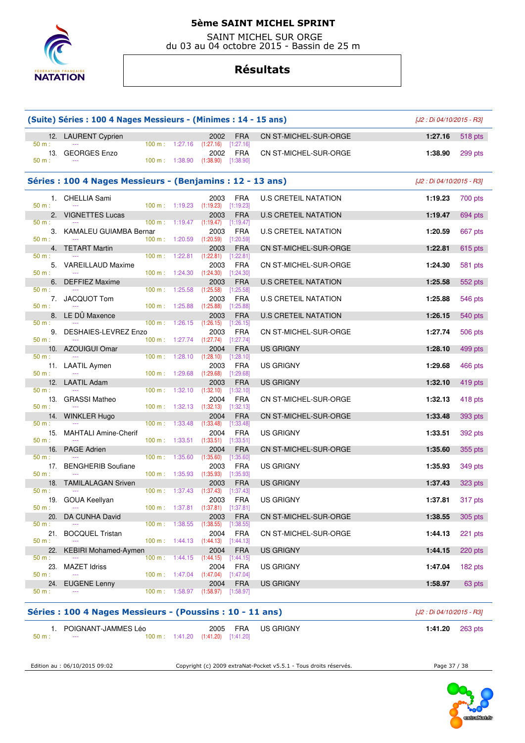

 SAINT MICHEL SUR ORGE du 03 au 04 octobre 2015 - Bassin de 25 m

# **Résultats**

|                       | (Suite) Séries : 100 4 Nages Messieurs - (Minimes : 14 - 15 ans) |                                  | [J2 : Di 04/10/2015 - R3]            |                                                                                     |                                        |                             |                           |                |
|-----------------------|------------------------------------------------------------------|----------------------------------|--------------------------------------|-------------------------------------------------------------------------------------|----------------------------------------|-----------------------------|---------------------------|----------------|
|                       | 12. LAURENT Cyprien                                              |                                  |                                      | 2002                                                                                | <b>FRA</b>                             | CN ST-MICHEL-SUR-ORGE       | 1:27.16                   | 518 pts        |
| 50 m:                 | 13. GEORGES Enzo                                                 |                                  |                                      | $100 \text{ m}: 1:27.16$ $(1:27.16)$ $[1:27.16]$<br>2002                            | FRA                                    | CN ST-MICHEL-SUR-ORGE       | 1:38.90                   | 299 pts        |
| 50 m:                 |                                                                  |                                  | 100 m: 1:38.90                       | $(1:38.90)$ $[1:38.90]$                                                             |                                        |                             |                           |                |
|                       | Séries : 100 4 Nages Messieurs - (Benjamins : 12 - 13 ans)       |                                  |                                      |                                                                                     |                                        |                             | [J2 : Di 04/10/2015 - R3] |                |
| 50 m:                 | 1. CHELLIA Sami                                                  |                                  |                                      | 2003<br>100 m: 1:19.23 (1:19.23) [1:19.23]                                          | FRA                                    | <b>U.S CRETEIL NATATION</b> | 1:19.23                   | 700 pts        |
|                       | 2. VIGNETTES Lucas                                               |                                  |                                      | 2003                                                                                | <b>FRA</b>                             | <b>U.S CRETEIL NATATION</b> | 1:19.47                   | 694 pts        |
| 50 m:<br>50 m:        | $\sim$ $\sim$<br>3. KAMALEU GUIAMBA Bernar                       | $100 \text{ m}: 1:20.59$         |                                      | $100 \text{ m}: 1:19.47$ $(1:19.47)$ $[1:19.47]$<br>2003<br>$(1:20.59)$ $[1:20.59]$ | <b>FRA</b>                             | U.S CRETEIL NATATION        | 1:20.59                   | 667 pts        |
|                       | 4. TETART Martin                                                 |                                  |                                      | 2003                                                                                | <b>FRA</b>                             | CN ST-MICHEL-SUR-ORGE       | 1:22.81                   | 615 pts        |
| 50 m:<br>50 m:        | 5. VAREILLAUD Maxime                                             |                                  | $100 \text{ m}: 1:24.30$             | 100 m : 1:22.81 (1:22.81) [1:22.81]<br>2003<br>(1:24.30)                            | <b>FRA</b><br>$[1:24.30]$              | CN ST-MICHEL-SUR-ORGE       | 1:24.30                   | 581 pts        |
| 6.                    | <b>DEFFIEZ Maxime</b>                                            |                                  |                                      | 2003                                                                                | <b>FRA</b>                             | <b>U.S CRETEIL NATATION</b> | 1:25.58                   | 552 pts        |
| 50 m:<br>50 m:        | 7. JACQUOT Tom                                                   |                                  | $100 \text{ m}: 1:25.58$             | (1:25.58)<br>2003<br>$100 \text{ m}: 1:25.88$ $(1:25.88)$                           | [1:25.58]<br><b>FRA</b><br>[1:25.88]   | U.S CRETEIL NATATION        | 1:25.88                   | 546 pts        |
|                       | 8. LE DÜ Maxence                                                 |                                  |                                      | 2003                                                                                | <b>FRA</b>                             | <b>U.S CRETEIL NATATION</b> | 1:26.15                   | <b>540 pts</b> |
| 50 m:<br>50 m:        | 9. DESHAIES-LEVREZ Enzo                                          | 100 m:                           |                                      | $1:26.15$ $(1:26.15)$<br>2003<br>100 m : 1:27.74 $(1:27.74)$ $[1:27.74]$            | [1:26.15]<br>FRA                       | CN ST-MICHEL-SUR-ORGE       | 1:27.74                   | 506 pts        |
|                       | 10. AZOUIGUI Omar                                                |                                  |                                      | 2004                                                                                | <b>FRA</b>                             | <b>US GRIGNY</b>            | 1:28.10                   | 499 pts        |
| 50 m:<br>50 m:        | 11. LAATIL Aymen                                                 | 100 m: 1:29.68                   |                                      | $100 \text{ m}: 1:28.10$ $(1:28.10)$<br>2003<br>(1:29.68)                           | [1:28.10]<br><b>FRA</b><br>[1:29.68]   | <b>US GRIGNY</b>            | 1:29.68                   | 466 pts        |
| 12.                   | LAATIL Adam                                                      |                                  |                                      | 2003                                                                                | <b>FRA</b>                             | US GRIGNY                   | 1:32.10                   | 419 pts        |
| 50 m:<br>50 m:        | 13. GRASSI Matheo                                                |                                  | $100 \text{ m}: 1:32.10 (1:32.10)$   | 2004<br>$100 \text{ m}: 1:32.13$ $(1:32.13)$                                        | $[1:32.10]$<br><b>FRA</b><br>[1:32.13] | CN ST-MICHEL-SUR-ORGE       | 1:32.13                   | 418 pts        |
|                       | 14. WINKLER Hugo                                                 |                                  |                                      | 2004                                                                                | <b>FRA</b>                             | CN ST-MICHEL-SUR-ORGE       | 1:33.48                   | 393 pts        |
| 50 m:<br>15.<br>50 m: | <b>MAHTALI Amine-Cherif</b>                                      | 100 m: 1:33.48                   |                                      | (1:33.48)<br>2004<br>$100 \text{ m}: 1:33.51$ $(1:33.51)$ $[1:33.51]$               | [1:33.48]<br><b>FRA</b>                | US GRIGNY                   | 1:33.51                   | 392 pts        |
| 16.                   | <b>PAGE Adrien</b>                                               |                                  |                                      | 2004                                                                                | <b>FRA</b>                             | CN ST-MICHEL-SUR-ORGE       | 1:35.60                   | 355 pts        |
| $50 m$ :<br>50 m:     | 17. BENGHERIB Soufiane                                           | 100 m: 1:35.60<br>100 m: 1:35.93 |                                      | (1:35.60)<br>2003<br>(1:35.93)                                                      | [1:35.60]<br><b>FRA</b><br>[1:35.93]   | US GRIGNY                   | 1:35.93                   | 349 pts        |
| 18.                   | <b>TAMILALAGAN Sriven</b>                                        |                                  |                                      | 2003                                                                                | <b>FRA</b>                             | <b>US GRIGNY</b>            | 1:37.43                   | 323 pts        |
| 50 m:<br>$50 m$ :     | 19. GOUA Keellyan                                                |                                  | $100 \text{ m}: 1:37.43$ $(1:37.43)$ | 2003<br>100 m: 1:37.81 (1:37.81) [1:37.81]                                          | $[1:37.43]$<br>FRA                     | <b>US GRIGNY</b>            | 1:37.81                   | 317 pts        |
| 20.                   | DA CUNHA David                                                   |                                  |                                      | 2003                                                                                | <b>FRA</b>                             | CN ST-MICHEL-SUR-ORGE       | 1:38.55                   | 305 pts        |
| 50 m:<br>21.<br>50 m: | <b>BOCQUEL Tristan</b>                                           | $100 \text{ m}$ :                | 1:38.55                              | (1:38.55)<br>2004<br>100 m: 1:44.13 (1:44.13) [1:44.13]                             | [1:38.55]<br><b>FRA</b>                | CN ST-MICHEL-SUR-ORGE       | 1:44.13                   | 221 pts        |
| 22.                   | <b>KEBIRI Mohamed-Aymen</b>                                      |                                  |                                      | 2004                                                                                | <b>FRA</b>                             | <b>US GRIGNY</b>            | 1:44.15                   | 220 pts        |
| 50 m:<br>23.<br>50 m: | <b>MAZET Idriss</b>                                              |                                  |                                      | $100 \text{ m}: 1:44.15 (1:44.15)$<br>2004<br>100 m : $1:47.04$ (1:47.04)           | [1:44.15]<br><b>FRA</b><br>$[1:47.04]$ | <b>US GRIGNY</b>            | 1:47.04                   | 182 pts        |
| 24.                   | <b>EUGENE Lenny</b>                                              |                                  |                                      | 2004                                                                                | <b>FRA</b>                             | <b>US GRIGNY</b>            | 1:58.97                   | 63 pts         |
| 50 m:                 |                                                                  |                                  |                                      | 100 m: 1:58.97 (1:58.97) [1:58.97]                                                  |                                        |                             |                           |                |

### **Séries : 100 4 Nages Messieurs - (Poussins : 10 - 11 ans)** [J2 : Di 04/10/2015 - R3]

|                 | POIGNANT-JAMMES Léo |  | 2005 FRA US GRIGNY | 1:41.20 $263 \text{ pts}$                        |  |  |  |
|-----------------|---------------------|--|--------------------|--------------------------------------------------|--|--|--|
| 50 <sub>m</sub> | $- - -$             |  |                    | $100 \text{ m}: 1:41.20$ $(1:41.20)$ $[1:41.20]$ |  |  |  |

Edition au : 06/10/2015 09:02 Copyright (c) 2009 extraNat-Pocket v5.5.1 - Tous droits réservés. Page 37 / 38